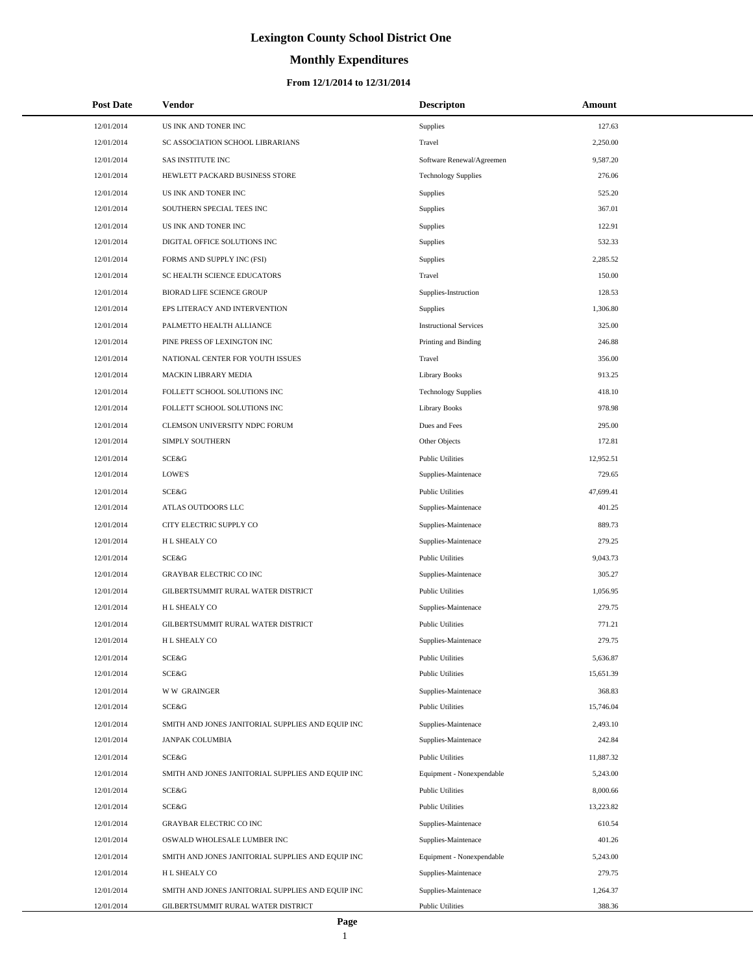# **Monthly Expenditures**

| <b>Post Date</b> | <b>Vendor</b>                                     | <b>Descripton</b>             | Amount    |
|------------------|---------------------------------------------------|-------------------------------|-----------|
| 12/01/2014       | US INK AND TONER INC                              | Supplies                      | 127.63    |
| 12/01/2014       | SC ASSOCIATION SCHOOL LIBRARIANS                  | Travel                        | 2,250.00  |
| 12/01/2014       | <b>SAS INSTITUTE INC</b>                          | Software Renewal/Agreemen     | 9,587.20  |
| 12/01/2014       | HEWLETT PACKARD BUSINESS STORE                    | <b>Technology Supplies</b>    | 276.06    |
| 12/01/2014       | US INK AND TONER INC                              | Supplies                      | 525.20    |
| 12/01/2014       | SOUTHERN SPECIAL TEES INC                         | Supplies                      | 367.01    |
| 12/01/2014       | US INK AND TONER INC                              | Supplies                      | 122.91    |
| 12/01/2014       | DIGITAL OFFICE SOLUTIONS INC                      | Supplies                      | 532.33    |
| 12/01/2014       | FORMS AND SUPPLY INC (FSI)                        | Supplies                      | 2,285.52  |
| 12/01/2014       | SC HEALTH SCIENCE EDUCATORS                       | Travel                        | 150.00    |
| 12/01/2014       | BIORAD LIFE SCIENCE GROUP                         | Supplies-Instruction          | 128.53    |
| 12/01/2014       | EPS LITERACY AND INTERVENTION                     | Supplies                      | 1,306.80  |
| 12/01/2014       | PALMETTO HEALTH ALLIANCE                          | <b>Instructional Services</b> | 325.00    |
| 12/01/2014       | PINE PRESS OF LEXINGTON INC                       | Printing and Binding          | 246.88    |
| 12/01/2014       | NATIONAL CENTER FOR YOUTH ISSUES                  | Travel                        | 356.00    |
| 12/01/2014       | MACKIN LIBRARY MEDIA                              | <b>Library Books</b>          | 913.25    |
| 12/01/2014       | FOLLETT SCHOOL SOLUTIONS INC                      | <b>Technology Supplies</b>    | 418.10    |
| 12/01/2014       | FOLLETT SCHOOL SOLUTIONS INC                      | <b>Library Books</b>          | 978.98    |
| 12/01/2014       | CLEMSON UNIVERSITY NDPC FORUM                     | Dues and Fees                 | 295.00    |
| 12/01/2014       | SIMPLY SOUTHERN                                   | Other Objects                 | 172.81    |
| 12/01/2014       | SCE&G                                             | <b>Public Utilities</b>       | 12,952.51 |
| 12/01/2014       | LOWE'S                                            | Supplies-Maintenace           | 729.65    |
| 12/01/2014       | SCE&G                                             | <b>Public Utilities</b>       | 47,699.41 |
| 12/01/2014       | ATLAS OUTDOORS LLC                                | Supplies-Maintenace           | 401.25    |
| 12/01/2014       | CITY ELECTRIC SUPPLY CO                           | Supplies-Maintenace           | 889.73    |
| 12/01/2014       | H L SHEALY CO                                     | Supplies-Maintenace           | 279.25    |
| 12/01/2014       | SCE&G                                             | <b>Public Utilities</b>       | 9,043.73  |
| 12/01/2014       | <b>GRAYBAR ELECTRIC CO INC</b>                    | Supplies-Maintenace           | 305.27    |
| 12/01/2014       | GILBERTSUMMIT RURAL WATER DISTRICT                | <b>Public Utilities</b>       | 1,056.95  |
| 12/01/2014       | H L SHEALY CO                                     | Supplies-Maintenace           | 279.75    |
| 12/01/2014       | GILBERTSUMMIT RURAL WATER DISTRICT                | <b>Public Utilities</b>       | 771.21    |
| 12/01/2014       | <b>HL SHEALY CO</b>                               | Supplies-Maintenace           | 279.75    |
| 12/01/2014       | SCE&G                                             | <b>Public Utilities</b>       | 5,636.87  |
| 12/01/2014       | SCE&G                                             | <b>Public Utilities</b>       | 15,651.39 |
| 12/01/2014       | <b>WW GRAINGER</b>                                | Supplies-Maintenace           | 368.83    |
| 12/01/2014       | SCE&G                                             | <b>Public Utilities</b>       | 15,746.04 |
| 12/01/2014       | SMITH AND JONES JANITORIAL SUPPLIES AND EQUIP INC | Supplies-Maintenace           | 2,493.10  |
| 12/01/2014       | <b>JANPAK COLUMBIA</b>                            | Supplies-Maintenace           | 242.84    |
| 12/01/2014       | SCE&G                                             | <b>Public Utilities</b>       | 11,887.32 |
| 12/01/2014       | SMITH AND JONES JANITORIAL SUPPLIES AND EQUIP INC | Equipment - Nonexpendable     | 5,243.00  |
| 12/01/2014       | SCE&G                                             | <b>Public Utilities</b>       | 8,000.66  |
| 12/01/2014       | SCE&G                                             | <b>Public Utilities</b>       | 13,223.82 |
| 12/01/2014       | GRAYBAR ELECTRIC CO INC                           | Supplies-Maintenace           | 610.54    |
| 12/01/2014       | OSWALD WHOLESALE LUMBER INC                       | Supplies-Maintenace           | 401.26    |
| 12/01/2014       | SMITH AND JONES JANITORIAL SUPPLIES AND EQUIP INC | Equipment - Nonexpendable     | 5,243.00  |
| 12/01/2014       | H L SHEALY CO                                     | Supplies-Maintenace           | 279.75    |
| 12/01/2014       | SMITH AND JONES JANITORIAL SUPPLIES AND EQUIP INC | Supplies-Maintenace           | 1,264.37  |
| 12/01/2014       | GILBERTSUMMIT RURAL WATER DISTRICT                | <b>Public Utilities</b>       | 388.36    |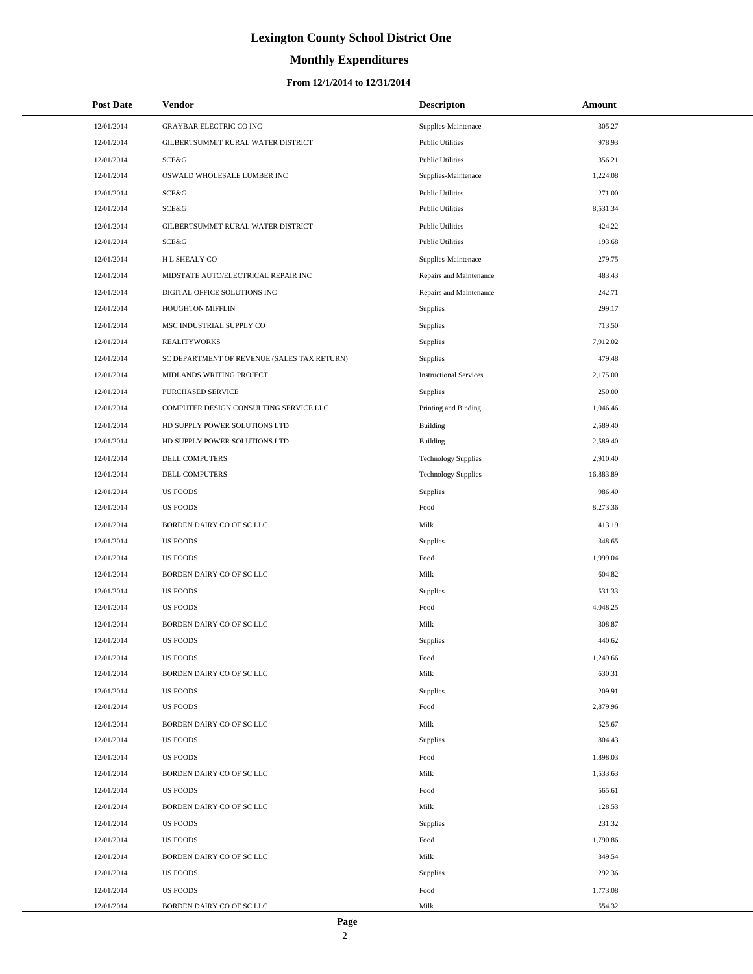# **Monthly Expenditures**

### **From 12/1/2014 to 12/31/2014**

| <b>Post Date</b> | Vendor                                      | <b>Descripton</b>             | Amount    |
|------------------|---------------------------------------------|-------------------------------|-----------|
| 12/01/2014       | <b>GRAYBAR ELECTRIC CO INC</b>              | Supplies-Maintenace           | 305.27    |
| 12/01/2014       | GILBERTSUMMIT RURAL WATER DISTRICT          | <b>Public Utilities</b>       | 978.93    |
| 12/01/2014       | SCE&G                                       | <b>Public Utilities</b>       | 356.21    |
| 12/01/2014       | OSWALD WHOLESALE LUMBER INC                 | Supplies-Maintenace           | 1,224.08  |
| 12/01/2014       | SCE&G                                       | <b>Public Utilities</b>       | 271.00    |
| 12/01/2014       | <b>SCE&amp;G</b>                            | <b>Public Utilities</b>       | 8,531.34  |
| 12/01/2014       | GILBERTSUMMIT RURAL WATER DISTRICT          | <b>Public Utilities</b>       | 424.22    |
| 12/01/2014       | SCE&G                                       | <b>Public Utilities</b>       | 193.68    |
| 12/01/2014       | H L SHEALY CO                               | Supplies-Maintenace           | 279.75    |
| 12/01/2014       | MIDSTATE AUTO/ELECTRICAL REPAIR INC         | Repairs and Maintenance       | 483.43    |
| 12/01/2014       | DIGITAL OFFICE SOLUTIONS INC                | Repairs and Maintenance       | 242.71    |
| 12/01/2014       | HOUGHTON MIFFLIN                            | Supplies                      | 299.17    |
| 12/01/2014       | MSC INDUSTRIAL SUPPLY CO                    | Supplies                      | 713.50    |
| 12/01/2014       | <b>REALITYWORKS</b>                         | Supplies                      | 7,912.02  |
| 12/01/2014       | SC DEPARTMENT OF REVENUE (SALES TAX RETURN) | Supplies                      | 479.48    |
| 12/01/2014       | MIDLANDS WRITING PROJECT                    | <b>Instructional Services</b> | 2,175.00  |
| 12/01/2014       | PURCHASED SERVICE                           | Supplies                      | 250.00    |
| 12/01/2014       | COMPUTER DESIGN CONSULTING SERVICE LLC      | Printing and Binding          | 1,046.46  |
| 12/01/2014       | HD SUPPLY POWER SOLUTIONS LTD               | Building                      | 2,589.40  |
| 12/01/2014       | HD SUPPLY POWER SOLUTIONS LTD               | Building                      | 2,589.40  |
| 12/01/2014       | DELL COMPUTERS                              | <b>Technology Supplies</b>    | 2,910.40  |
| 12/01/2014       | DELL COMPUTERS                              | <b>Technology Supplies</b>    | 16,883.89 |
| 12/01/2014       | <b>US FOODS</b>                             | Supplies                      | 986.40    |
| 12/01/2014       | <b>US FOODS</b>                             | Food                          | 8,273.36  |
| 12/01/2014       | BORDEN DAIRY CO OF SC LLC                   | Milk                          | 413.19    |
| 12/01/2014       | <b>US FOODS</b>                             | Supplies                      | 348.65    |
| 12/01/2014       | <b>US FOODS</b>                             | Food                          | 1,999.04  |
| 12/01/2014       | BORDEN DAIRY CO OF SC LLC                   | Milk                          | 604.82    |
| 12/01/2014       | <b>US FOODS</b>                             | Supplies                      | 531.33    |
| 12/01/2014       | <b>US FOODS</b>                             | Food                          | 4,048.25  |
| 12/01/2014       | BORDEN DAIRY CO OF SC LLC                   | Milk                          | 308.87    |
| 12/01/2014       | <b>US FOODS</b>                             | Supplies                      | 440.62    |
| 12/01/2014       | <b>US FOODS</b>                             | Food                          | 1,249.66  |
| 12/01/2014       | BORDEN DAIRY CO OF SC LLC                   | Milk                          | 630.31    |
| 12/01/2014       | <b>US FOODS</b>                             | Supplies                      | 209.91    |
| 12/01/2014       | <b>US FOODS</b>                             | Food                          | 2,879.96  |
| 12/01/2014       | BORDEN DAIRY CO OF SC LLC                   | Milk                          | 525.67    |
| 12/01/2014       | <b>US FOODS</b>                             | Supplies                      | 804.43    |
| 12/01/2014       | <b>US FOODS</b>                             | Food                          | 1,898.03  |
| 12/01/2014       | BORDEN DAIRY CO OF SC LLC                   | Milk                          | 1,533.63  |
| 12/01/2014       | <b>US FOODS</b>                             | Food                          | 565.61    |
| 12/01/2014       | BORDEN DAIRY CO OF SC LLC                   | Milk                          | 128.53    |
| 12/01/2014       | <b>US FOODS</b>                             | Supplies                      | 231.32    |
| 12/01/2014       | <b>US FOODS</b>                             | Food                          | 1,790.86  |
| 12/01/2014       | BORDEN DAIRY CO OF SC LLC                   | Milk                          | 349.54    |
| 12/01/2014       | <b>US FOODS</b>                             | Supplies                      | 292.36    |
| 12/01/2014       | <b>US FOODS</b>                             | Food                          | 1,773.08  |
| 12/01/2014       | BORDEN DAIRY CO OF SC LLC                   | Milk                          | 554.32    |

L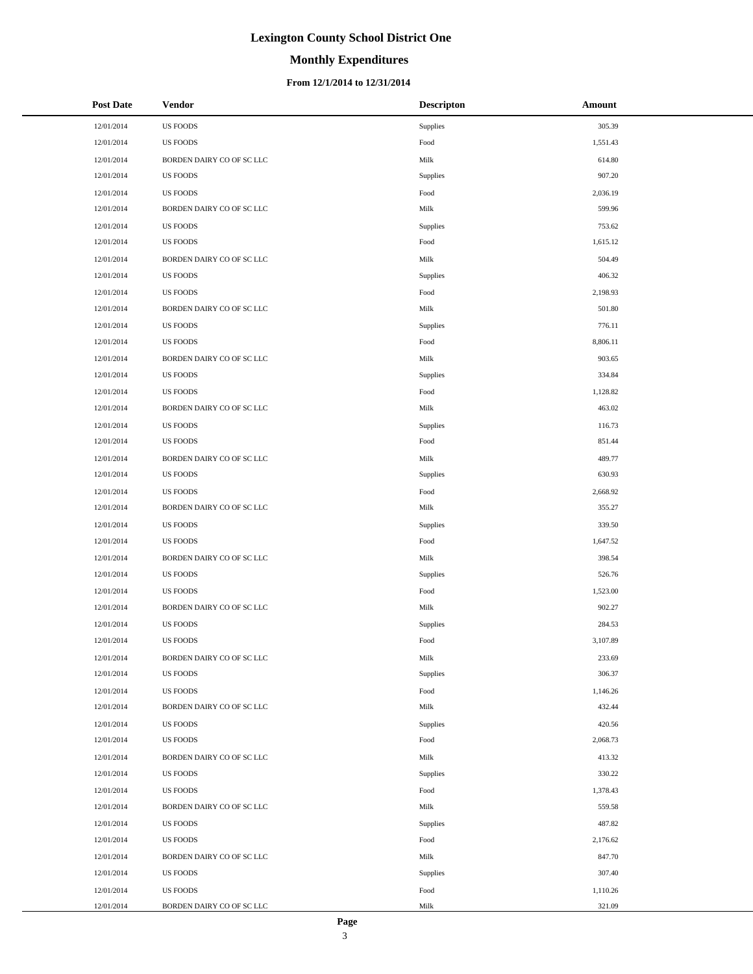# **Monthly Expenditures**

| <b>Post Date</b> | <b>Vendor</b>             | <b>Descripton</b> | Amount   |
|------------------|---------------------------|-------------------|----------|
| 12/01/2014       | <b>US FOODS</b>           | Supplies          | 305.39   |
| 12/01/2014       | <b>US FOODS</b>           | Food              | 1,551.43 |
| 12/01/2014       | BORDEN DAIRY CO OF SC LLC | Milk              | 614.80   |
| 12/01/2014       | <b>US FOODS</b>           | Supplies          | 907.20   |
| 12/01/2014       | <b>US FOODS</b>           | Food              | 2,036.19 |
| 12/01/2014       | BORDEN DAIRY CO OF SC LLC | Milk              | 599.96   |
| 12/01/2014       | <b>US FOODS</b>           | Supplies          | 753.62   |
| 12/01/2014       | <b>US FOODS</b>           | Food              | 1,615.12 |
| 12/01/2014       | BORDEN DAIRY CO OF SC LLC | Milk              | 504.49   |
| 12/01/2014       | <b>US FOODS</b>           | Supplies          | 406.32   |
| 12/01/2014       | <b>US FOODS</b>           | Food              | 2,198.93 |
| 12/01/2014       | BORDEN DAIRY CO OF SC LLC | Milk              | 501.80   |
| 12/01/2014       | <b>US FOODS</b>           | Supplies          | 776.11   |
| 12/01/2014       | <b>US FOODS</b>           | Food              | 8,806.11 |
| 12/01/2014       | BORDEN DAIRY CO OF SC LLC | Milk              | 903.65   |
| 12/01/2014       | <b>US FOODS</b>           | Supplies          | 334.84   |
| 12/01/2014       | <b>US FOODS</b>           | Food              | 1,128.82 |
| 12/01/2014       | BORDEN DAIRY CO OF SC LLC | Milk              | 463.02   |
| 12/01/2014       | <b>US FOODS</b>           | Supplies          | 116.73   |
| 12/01/2014       | <b>US FOODS</b>           | Food              | 851.44   |
| 12/01/2014       | BORDEN DAIRY CO OF SC LLC | Milk              | 489.77   |
| 12/01/2014       | <b>US FOODS</b>           | Supplies          | 630.93   |
| 12/01/2014       | <b>US FOODS</b>           | Food              | 2,668.92 |
| 12/01/2014       | BORDEN DAIRY CO OF SC LLC | Milk              | 355.27   |
| 12/01/2014       | <b>US FOODS</b>           | Supplies          | 339.50   |
| 12/01/2014       | <b>US FOODS</b>           | Food              | 1,647.52 |
| 12/01/2014       | BORDEN DAIRY CO OF SC LLC | Milk              | 398.54   |
| 12/01/2014       | <b>US FOODS</b>           | Supplies          | 526.76   |
| 12/01/2014       | <b>US FOODS</b>           | Food              | 1,523.00 |
| 12/01/2014       | BORDEN DAIRY CO OF SC LLC | Milk              | 902.27   |
| 12/01/2014       | <b>US FOODS</b>           | Supplies          | 284.53   |
| 12/01/2014       | <b>US FOODS</b>           | Food              | 3,107.89 |
| 12/01/2014       | BORDEN DAIRY CO OF SC LLC | Milk              | 233.69   |
| 12/01/2014       | <b>US FOODS</b>           | Supplies          | 306.37   |
| 12/01/2014       | <b>US FOODS</b>           | Food              | 1,146.26 |
| 12/01/2014       | BORDEN DAIRY CO OF SC LLC | Milk              | 432.44   |
| 12/01/2014       | <b>US FOODS</b>           | Supplies          | 420.56   |
| 12/01/2014       | <b>US FOODS</b>           | Food              | 2,068.73 |
| 12/01/2014       | BORDEN DAIRY CO OF SC LLC | Milk              | 413.32   |
| 12/01/2014       | <b>US FOODS</b>           | Supplies          | 330.22   |
| 12/01/2014       | <b>US FOODS</b>           | Food              | 1,378.43 |
| 12/01/2014       | BORDEN DAIRY CO OF SC LLC | Milk              | 559.58   |
| 12/01/2014       | <b>US FOODS</b>           | Supplies          | 487.82   |
| 12/01/2014       | <b>US FOODS</b>           | Food              | 2,176.62 |
| 12/01/2014       | BORDEN DAIRY CO OF SC LLC | Milk              | 847.70   |
| 12/01/2014       | <b>US FOODS</b>           | Supplies          | 307.40   |
| 12/01/2014       | <b>US FOODS</b>           | Food              | 1,110.26 |
| 12/01/2014       | BORDEN DAIRY CO OF SC LLC | Milk              | 321.09   |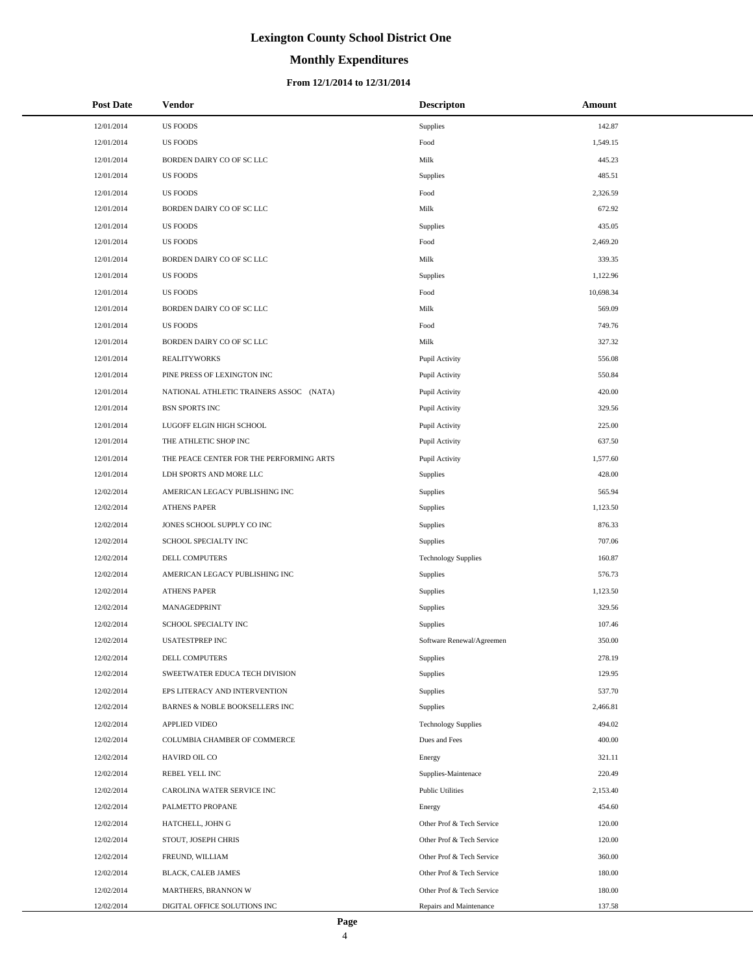# **Monthly Expenditures**

### **From 12/1/2014 to 12/31/2014**

| <b>Post Date</b> | Vendor                                   | <b>Descripton</b>          | Amount    |
|------------------|------------------------------------------|----------------------------|-----------|
| 12/01/2014       | <b>US FOODS</b>                          | Supplies                   | 142.87    |
| 12/01/2014       | <b>US FOODS</b>                          | Food                       | 1,549.15  |
| 12/01/2014       | BORDEN DAIRY CO OF SC LLC                | Milk                       | 445.23    |
| 12/01/2014       | <b>US FOODS</b>                          | Supplies                   | 485.51    |
| 12/01/2014       | <b>US FOODS</b>                          | Food                       | 2,326.59  |
| 12/01/2014       | BORDEN DAIRY CO OF SC LLC                | Milk                       | 672.92    |
| 12/01/2014       | <b>US FOODS</b>                          | Supplies                   | 435.05    |
| 12/01/2014       | <b>US FOODS</b>                          | Food                       | 2,469.20  |
| 12/01/2014       | BORDEN DAIRY CO OF SC LLC                | Milk                       | 339.35    |
| 12/01/2014       | <b>US FOODS</b>                          | Supplies                   | 1,122.96  |
| 12/01/2014       | <b>US FOODS</b>                          | Food                       | 10,698.34 |
| 12/01/2014       | BORDEN DAIRY CO OF SC LLC                | Milk                       | 569.09    |
| 12/01/2014       | <b>US FOODS</b>                          | Food                       | 749.76    |
| 12/01/2014       | BORDEN DAIRY CO OF SC LLC                | Milk                       | 327.32    |
| 12/01/2014       | <b>REALITYWORKS</b>                      | Pupil Activity             | 556.08    |
| 12/01/2014       | PINE PRESS OF LEXINGTON INC              | Pupil Activity             | 550.84    |
| 12/01/2014       | NATIONAL ATHLETIC TRAINERS ASSOC (NATA)  | Pupil Activity             | 420.00    |
| 12/01/2014       | <b>BSN SPORTS INC</b>                    | Pupil Activity             | 329.56    |
| 12/01/2014       | LUGOFF ELGIN HIGH SCHOOL                 | Pupil Activity             | 225.00    |
| 12/01/2014       | THE ATHLETIC SHOP INC                    | Pupil Activity             | 637.50    |
| 12/01/2014       | THE PEACE CENTER FOR THE PERFORMING ARTS | Pupil Activity             | 1,577.60  |
| 12/01/2014       | LDH SPORTS AND MORE LLC                  | Supplies                   | 428.00    |
| 12/02/2014       | AMERICAN LEGACY PUBLISHING INC           | Supplies                   | 565.94    |
| 12/02/2014       | <b>ATHENS PAPER</b>                      | Supplies                   | 1,123.50  |
| 12/02/2014       | JONES SCHOOL SUPPLY CO INC               | Supplies                   | 876.33    |
| 12/02/2014       | SCHOOL SPECIALTY INC                     | Supplies                   | 707.06    |
| 12/02/2014       | DELL COMPUTERS                           | <b>Technology Supplies</b> | 160.87    |
| 12/02/2014       | AMERICAN LEGACY PUBLISHING INC           | Supplies                   | 576.73    |
| 12/02/2014       | <b>ATHENS PAPER</b>                      | Supplies                   | 1,123.50  |
| 12/02/2014       | MANAGEDPRINT                             | Supplies                   | 329.56    |
| 12/02/2014       | SCHOOL SPECIALTY INC                     | Supplies                   | 107.46    |
| 12/02/2014       | <b>USATESTPREP INC</b>                   | Software Renewal/Agreemen  | 350.00    |
| 12/02/2014       | DELL COMPUTERS                           | Supplies                   | 278.19    |
| 12/02/2014       | SWEETWATER EDUCA TECH DIVISION           | Supplies                   | 129.95    |
| 12/02/2014       | EPS LITERACY AND INTERVENTION            | Supplies                   | 537.70    |
| 12/02/2014       | BARNES & NOBLE BOOKSELLERS INC           | Supplies                   | 2,466.81  |
| 12/02/2014       | <b>APPLIED VIDEO</b>                     | <b>Technology Supplies</b> | 494.02    |
| 12/02/2014       | COLUMBIA CHAMBER OF COMMERCE             | Dues and Fees              | 400.00    |
| 12/02/2014       | HAVIRD OIL CO                            | Energy                     | 321.11    |
| 12/02/2014       | REBEL YELL INC                           | Supplies-Maintenace        | 220.49    |
| 12/02/2014       | CAROLINA WATER SERVICE INC               | <b>Public Utilities</b>    | 2,153.40  |
| 12/02/2014       | PALMETTO PROPANE                         | Energy                     | 454.60    |
| 12/02/2014       | HATCHELL, JOHN G                         | Other Prof & Tech Service  | 120.00    |
| 12/02/2014       | STOUT, JOSEPH CHRIS                      | Other Prof & Tech Service  | 120.00    |
| 12/02/2014       | FREUND, WILLIAM                          | Other Prof & Tech Service  | 360.00    |
| 12/02/2014       | BLACK, CALEB JAMES                       | Other Prof & Tech Service  | 180.00    |
| 12/02/2014       | MARTHERS, BRANNON W                      | Other Prof & Tech Service  | 180.00    |
| 12/02/2014       | DIGITAL OFFICE SOLUTIONS INC             | Repairs and Maintenance    | 137.58    |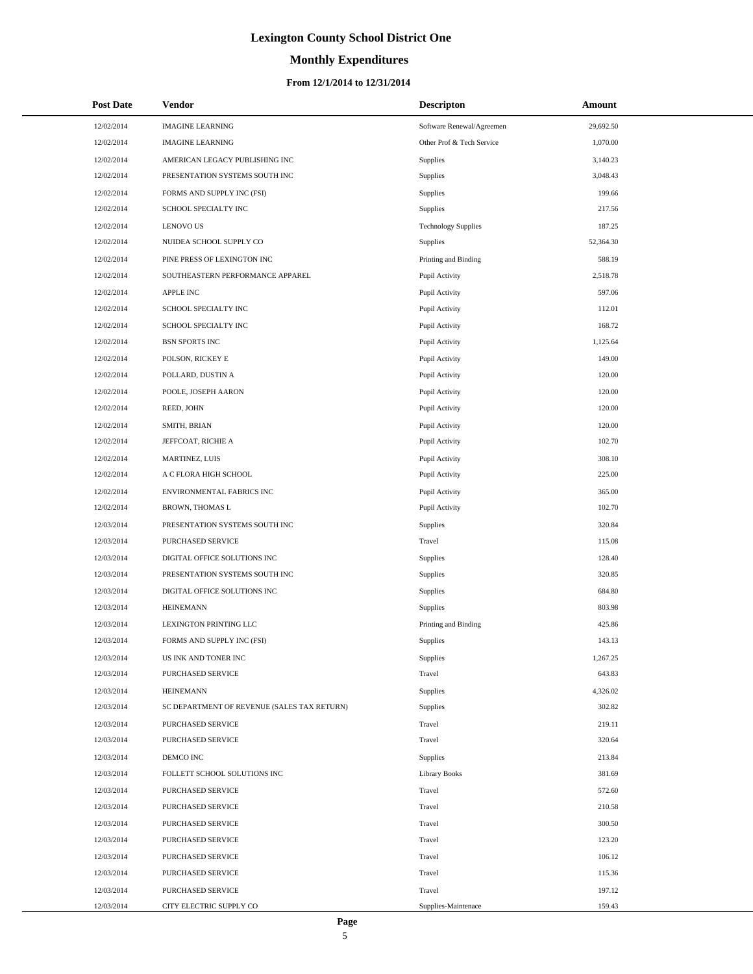# **Monthly Expenditures**

| <b>Post Date</b> | <b>Vendor</b>                               | <b>Descripton</b>          | Amount    |
|------------------|---------------------------------------------|----------------------------|-----------|
| 12/02/2014       | <b>IMAGINE LEARNING</b>                     | Software Renewal/Agreemen  | 29,692.50 |
| 12/02/2014       | <b>IMAGINE LEARNING</b>                     | Other Prof & Tech Service  | 1,070.00  |
| 12/02/2014       | AMERICAN LEGACY PUBLISHING INC              | Supplies                   | 3,140.23  |
| 12/02/2014       | PRESENTATION SYSTEMS SOUTH INC              | Supplies                   | 3,048.43  |
| 12/02/2014       | FORMS AND SUPPLY INC (FSI)                  | Supplies                   | 199.66    |
| 12/02/2014       | SCHOOL SPECIALTY INC                        | Supplies                   | 217.56    |
| 12/02/2014       | <b>LENOVO US</b>                            | <b>Technology Supplies</b> | 187.25    |
| 12/02/2014       | NUIDEA SCHOOL SUPPLY CO                     | Supplies                   | 52,364.30 |
| 12/02/2014       | PINE PRESS OF LEXINGTON INC                 | Printing and Binding       | 588.19    |
| 12/02/2014       | SOUTHEASTERN PERFORMANCE APPAREL            | Pupil Activity             | 2,518.78  |
| 12/02/2014       | <b>APPLE INC</b>                            | Pupil Activity             | 597.06    |
| 12/02/2014       | SCHOOL SPECIALTY INC                        | Pupil Activity             | 112.01    |
| 12/02/2014       | SCHOOL SPECIALTY INC                        | Pupil Activity             | 168.72    |
| 12/02/2014       | <b>BSN SPORTS INC</b>                       | Pupil Activity             | 1,125.64  |
| 12/02/2014       | POLSON, RICKEY E                            | Pupil Activity             | 149.00    |
| 12/02/2014       | POLLARD, DUSTIN A                           | Pupil Activity             | 120.00    |
| 12/02/2014       | POOLE, JOSEPH AARON                         | Pupil Activity             | 120.00    |
| 12/02/2014       | REED, JOHN                                  | Pupil Activity             | 120.00    |
| 12/02/2014       | SMITH, BRIAN                                | Pupil Activity             | 120.00    |
| 12/02/2014       | JEFFCOAT, RICHIE A                          | Pupil Activity             | 102.70    |
| 12/02/2014       | MARTINEZ, LUIS                              | Pupil Activity             | 308.10    |
| 12/02/2014       | A C FLORA HIGH SCHOOL                       | Pupil Activity             | 225.00    |
| 12/02/2014       | ENVIRONMENTAL FABRICS INC                   | Pupil Activity             | 365.00    |
| 12/02/2014       | BROWN, THOMAS L                             | Pupil Activity             | 102.70    |
| 12/03/2014       | PRESENTATION SYSTEMS SOUTH INC              | Supplies                   | 320.84    |
| 12/03/2014       | PURCHASED SERVICE                           | Travel                     | 115.08    |
| 12/03/2014       | DIGITAL OFFICE SOLUTIONS INC                | Supplies                   | 128.40    |
| 12/03/2014       | PRESENTATION SYSTEMS SOUTH INC              | Supplies                   | 320.85    |
| 12/03/2014       | DIGITAL OFFICE SOLUTIONS INC                | Supplies                   | 684.80    |
| 12/03/2014       | <b>HEINEMANN</b>                            | Supplies                   | 803.98    |
| 12/03/2014       | LEXINGTON PRINTING LLC                      | Printing and Binding       | 425.86    |
| 12/03/2014       | FORMS AND SUPPLY INC (FSI)                  | Supplies                   | 143.13    |
| 12/03/2014       | US INK AND TONER INC                        | Supplies                   | 1,267.25  |
| 12/03/2014       | PURCHASED SERVICE                           | Travel                     | 643.83    |
| 12/03/2014       | <b>HEINEMANN</b>                            | Supplies                   | 4,326.02  |
| 12/03/2014       | SC DEPARTMENT OF REVENUE (SALES TAX RETURN) | Supplies                   | 302.82    |
| 12/03/2014       | PURCHASED SERVICE                           | Travel                     | 219.11    |
| 12/03/2014       | PURCHASED SERVICE                           | Travel                     | 320.64    |
| 12/03/2014       | DEMCO INC                                   | Supplies                   | 213.84    |
| 12/03/2014       | FOLLETT SCHOOL SOLUTIONS INC                | <b>Library Books</b>       | 381.69    |
| 12/03/2014       | PURCHASED SERVICE                           | Travel                     | 572.60    |
| 12/03/2014       | PURCHASED SERVICE                           | Travel                     | 210.58    |
| 12/03/2014       | PURCHASED SERVICE                           | Travel                     | 300.50    |
| 12/03/2014       | PURCHASED SERVICE                           | Travel                     | 123.20    |
| 12/03/2014       | PURCHASED SERVICE                           | Travel                     | 106.12    |
| 12/03/2014       | PURCHASED SERVICE                           | Travel                     | 115.36    |
| 12/03/2014       | PURCHASED SERVICE                           | Travel                     | 197.12    |
| 12/03/2014       | CITY ELECTRIC SUPPLY CO                     | Supplies-Maintenace        | 159.43    |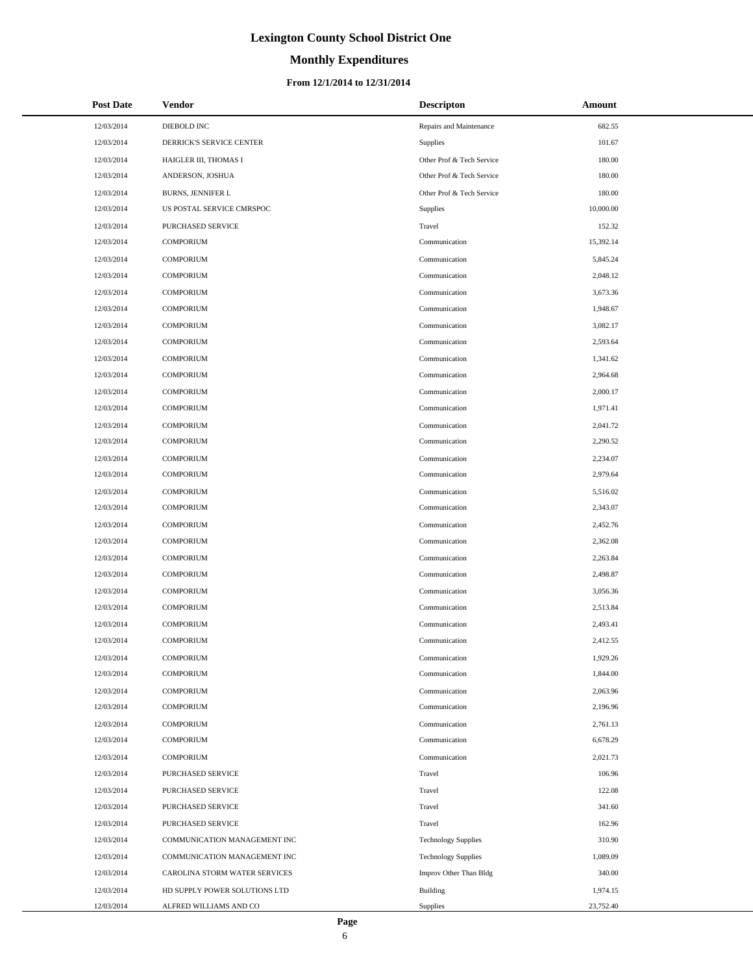# **Monthly Expenditures**

### **From 12/1/2014 to 12/31/2014**

| <b>Post Date</b> | Vendor                        | <b>Descripton</b>          | Amount    |
|------------------|-------------------------------|----------------------------|-----------|
| 12/03/2014       | DIEBOLD INC                   | Repairs and Maintenance    | 682.55    |
| 12/03/2014       | DERRICK'S SERVICE CENTER      | <b>Supplies</b>            | 101.67    |
| 12/03/2014       | HAIGLER III, THOMAS I         | Other Prof & Tech Service  | 180.00    |
| 12/03/2014       | ANDERSON, JOSHUA              | Other Prof & Tech Service  | 180.00    |
| 12/03/2014       | <b>BURNS, JENNIFER L</b>      | Other Prof & Tech Service  | 180.00    |
| 12/03/2014       | US POSTAL SERVICE CMRSPOC     | Supplies                   | 10,000.00 |
| 12/03/2014       | PURCHASED SERVICE             | Travel                     | 152.32    |
| 12/03/2014       | <b>COMPORIUM</b>              | Communication              | 15,392.14 |
| 12/03/2014       | <b>COMPORIUM</b>              | Communication              | 5,845.24  |
| 12/03/2014       | <b>COMPORIUM</b>              | Communication              | 2,048.12  |
| 12/03/2014       | <b>COMPORIUM</b>              | Communication              | 3,673.36  |
| 12/03/2014       | <b>COMPORIUM</b>              | Communication              | 1,948.67  |
| 12/03/2014       | <b>COMPORIUM</b>              | Communication              | 3,082.17  |
| 12/03/2014       | <b>COMPORIUM</b>              | Communication              | 2,593.64  |
| 12/03/2014       | <b>COMPORIUM</b>              | Communication              | 1,341.62  |
| 12/03/2014       | <b>COMPORIUM</b>              | Communication              | 2,964.68  |
| 12/03/2014       | <b>COMPORIUM</b>              | Communication              | 2,000.17  |
| 12/03/2014       | <b>COMPORIUM</b>              | Communication              | 1,971.41  |
| 12/03/2014       | <b>COMPORIUM</b>              | Communication              | 2,041.72  |
| 12/03/2014       | <b>COMPORIUM</b>              | Communication              | 2,290.52  |
| 12/03/2014       | <b>COMPORIUM</b>              | Communication              | 2,234.07  |
| 12/03/2014       | <b>COMPORIUM</b>              | Communication              | 2,979.64  |
| 12/03/2014       | <b>COMPORIUM</b>              | Communication              | 5,516.02  |
| 12/03/2014       | <b>COMPORIUM</b>              | Communication              | 2,343.07  |
| 12/03/2014       | <b>COMPORIUM</b>              | Communication              | 2,452.76  |
| 12/03/2014       | <b>COMPORIUM</b>              | Communication              | 2,362.08  |
| 12/03/2014       | <b>COMPORIUM</b>              | Communication              | 2,263.84  |
| 12/03/2014       | <b>COMPORIUM</b>              | Communication              | 2,498.87  |
| 12/03/2014       | <b>COMPORIUM</b>              | Communication              | 3,056.36  |
| 12/03/2014       | <b>COMPORIUM</b>              | Communication              | 2,513.84  |
| 12/03/2014       | <b>COMPORIUM</b>              | Communication              | 2,493.41  |
| 12/03/2014       | <b>COMPORIUM</b>              | Communication              | 2,412.55  |
| 12/03/2014       | <b>COMPORIUM</b>              | Communication              | 1,929.26  |
| 12/03/2014       | <b>COMPORIUM</b>              | Communication              | 1,844.00  |
| 12/03/2014       | <b>COMPORIUM</b>              | Communication              | 2,063.96  |
| 12/03/2014       | <b>COMPORIUM</b>              | Communication              | 2,196.96  |
| 12/03/2014       | <b>COMPORIUM</b>              | Communication              | 2,761.13  |
| 12/03/2014       | <b>COMPORIUM</b>              | Communication              | 6,678.29  |
| 12/03/2014       | <b>COMPORIUM</b>              | Communication              | 2,021.73  |
| 12/03/2014       | PURCHASED SERVICE             | Travel                     | 106.96    |
| 12/03/2014       | PURCHASED SERVICE             | Travel                     | 122.08    |
| 12/03/2014       | PURCHASED SERVICE             | Travel                     | 341.60    |
| 12/03/2014       | PURCHASED SERVICE             | Travel                     | 162.96    |
| 12/03/2014       | COMMUNICATION MANAGEMENT INC  | <b>Technology Supplies</b> | 310.90    |
| 12/03/2014       | COMMUNICATION MANAGEMENT INC  | <b>Technology Supplies</b> | 1,089.09  |
| 12/03/2014       | CAROLINA STORM WATER SERVICES | Improv Other Than Bldg     | 340.00    |
| 12/03/2014       | HD SUPPLY POWER SOLUTIONS LTD | <b>Building</b>            | 1,974.15  |
| 12/03/2014       | ALFRED WILLIAMS AND CO        | Supplies                   | 23,752.40 |

L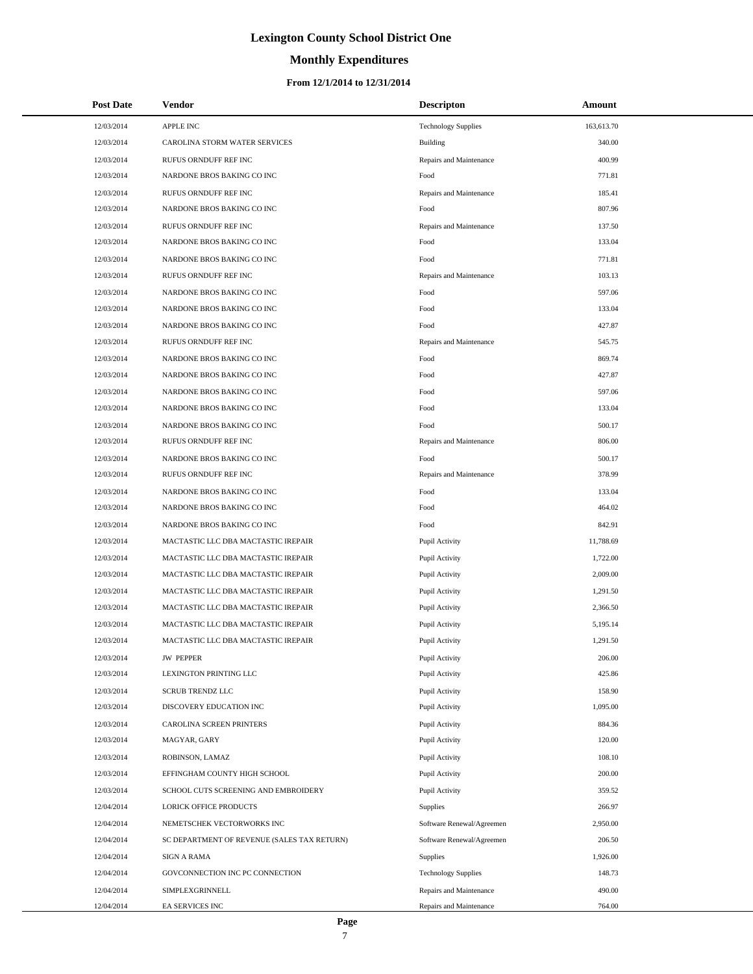### **Monthly Expenditures**

### **From 12/1/2014 to 12/31/2014**

| <b>Post Date</b> | Vendor                                      | <b>Descripton</b>          | Amount     |
|------------------|---------------------------------------------|----------------------------|------------|
| 12/03/2014       | APPLE INC                                   | <b>Technology Supplies</b> | 163,613.70 |
| 12/03/2014       | CAROLINA STORM WATER SERVICES               | Building                   | 340.00     |
| 12/03/2014       | RUFUS ORNDUFF REF INC                       | Repairs and Maintenance    | 400.99     |
| 12/03/2014       | NARDONE BROS BAKING CO INC                  | Food                       | 771.81     |
| 12/03/2014       | RUFUS ORNDUFF REF INC                       | Repairs and Maintenance    | 185.41     |
| 12/03/2014       | NARDONE BROS BAKING CO INC                  | Food                       | 807.96     |
| 12/03/2014       | RUFUS ORNDUFF REF INC                       | Repairs and Maintenance    | 137.50     |
| 12/03/2014       | NARDONE BROS BAKING CO INC                  | Food                       | 133.04     |
| 12/03/2014       | NARDONE BROS BAKING CO INC                  | Food                       | 771.81     |
| 12/03/2014       | RUFUS ORNDUFF REF INC                       | Repairs and Maintenance    | 103.13     |
| 12/03/2014       | NARDONE BROS BAKING CO INC                  | Food                       | 597.06     |
| 12/03/2014       | NARDONE BROS BAKING CO INC                  | Food                       | 133.04     |
| 12/03/2014       | NARDONE BROS BAKING CO INC                  | Food                       | 427.87     |
| 12/03/2014       | RUFUS ORNDUFF REF INC                       | Repairs and Maintenance    | 545.75     |
| 12/03/2014       | NARDONE BROS BAKING CO INC                  | Food                       | 869.74     |
| 12/03/2014       | NARDONE BROS BAKING CO INC                  | Food                       | 427.87     |
| 12/03/2014       | NARDONE BROS BAKING CO INC                  | Food                       | 597.06     |
| 12/03/2014       | NARDONE BROS BAKING CO INC                  | Food                       | 133.04     |
| 12/03/2014       | NARDONE BROS BAKING CO INC                  | Food                       | 500.17     |
| 12/03/2014       | RUFUS ORNDUFF REF INC                       | Repairs and Maintenance    | 806.00     |
| 12/03/2014       | NARDONE BROS BAKING CO INC                  | Food                       | 500.17     |
| 12/03/2014       | RUFUS ORNDUFF REF INC                       | Repairs and Maintenance    | 378.99     |
| 12/03/2014       | NARDONE BROS BAKING CO INC                  | Food                       | 133.04     |
| 12/03/2014       | NARDONE BROS BAKING CO INC                  | Food                       | 464.02     |
| 12/03/2014       | NARDONE BROS BAKING CO INC                  | Food                       | 842.91     |
| 12/03/2014       | MACTASTIC LLC DBA MACTASTIC IREPAIR         | Pupil Activity             | 11,788.69  |
| 12/03/2014       | MACTASTIC LLC DBA MACTASTIC IREPAIR         | Pupil Activity             | 1,722.00   |
| 12/03/2014       | MACTASTIC LLC DBA MACTASTIC IREPAIR         | Pupil Activity             | 2,009.00   |
| 12/03/2014       | MACTASTIC LLC DBA MACTASTIC IREPAIR         | Pupil Activity             | 1,291.50   |
| 12/03/2014       | MACTASTIC LLC DBA MACTASTIC IREPAIR         | Pupil Activity             | 2,366.50   |
| 12/03/2014       | MACTASTIC LLC DBA MACTASTIC IREPAIR         | Pupil Activity             | 5,195.14   |
| 12/03/2014       | MACTASTIC LLC DBA MACTASTIC IREPAIR         | Pupil Activity             | 1,291.50   |
| 12/03/2014       | <b>JW PEPPER</b>                            | Pupil Activity             | 206.00     |
| 12/03/2014       | LEXINGTON PRINTING LLC                      | Pupil Activity             | 425.86     |
| 12/03/2014       | <b>SCRUB TRENDZ LLC</b>                     | Pupil Activity             | 158.90     |
| 12/03/2014       | DISCOVERY EDUCATION INC                     | Pupil Activity             | 1,095.00   |
| 12/03/2014       | CAROLINA SCREEN PRINTERS                    | Pupil Activity             | 884.36     |
| 12/03/2014       | MAGYAR, GARY                                | Pupil Activity             | 120.00     |
| 12/03/2014       | ROBINSON, LAMAZ                             | Pupil Activity             | 108.10     |
| 12/03/2014       | EFFINGHAM COUNTY HIGH SCHOOL                | Pupil Activity             | 200.00     |
| 12/03/2014       | SCHOOL CUTS SCREENING AND EMBROIDERY        | Pupil Activity             | 359.52     |
| 12/04/2014       | <b>LORICK OFFICE PRODUCTS</b>               | Supplies                   | 266.97     |
| 12/04/2014       | NEMETSCHEK VECTORWORKS INC                  | Software Renewal/Agreemen  | 2,950.00   |
| 12/04/2014       | SC DEPARTMENT OF REVENUE (SALES TAX RETURN) | Software Renewal/Agreemen  | 206.50     |
| 12/04/2014       | <b>SIGN A RAMA</b>                          | <b>Supplies</b>            | 1,926.00   |
| 12/04/2014       | GOVCONNECTION INC PC CONNECTION             | <b>Technology Supplies</b> | 148.73     |
| 12/04/2014       | SIMPLEXGRINNELL                             | Repairs and Maintenance    | 490.00     |
| 12/04/2014       | EA SERVICES INC                             | Repairs and Maintenance    | 764.00     |

L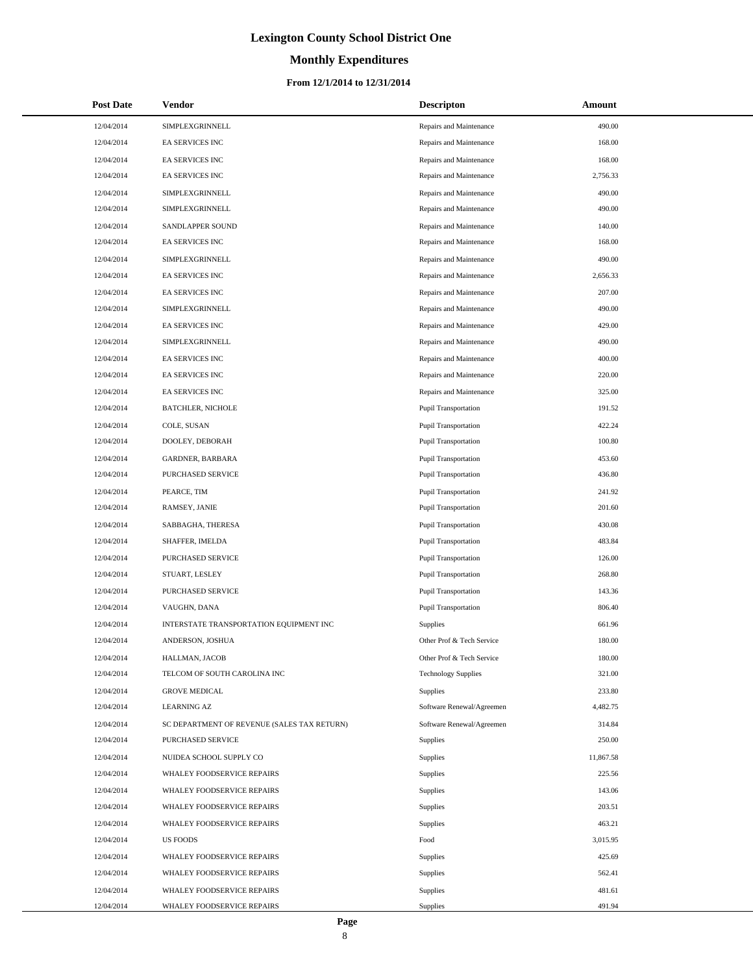# **Monthly Expenditures**

### **From 12/1/2014 to 12/31/2014**

| <b>Post Date</b> | Vendor                                      | <b>Descripton</b>           | Amount    |
|------------------|---------------------------------------------|-----------------------------|-----------|
| 12/04/2014       | SIMPLEXGRINNELL                             | Repairs and Maintenance     | 490.00    |
| 12/04/2014       | EA SERVICES INC                             | Repairs and Maintenance     | 168.00    |
| 12/04/2014       | EA SERVICES INC                             | Repairs and Maintenance     | 168.00    |
| 12/04/2014       | <b>EA SERVICES INC</b>                      | Repairs and Maintenance     | 2,756.33  |
| 12/04/2014       | SIMPLEXGRINNELL                             | Repairs and Maintenance     | 490.00    |
| 12/04/2014       | SIMPLEXGRINNELL                             | Repairs and Maintenance     | 490.00    |
| 12/04/2014       | SANDLAPPER SOUND                            | Repairs and Maintenance     | 140.00    |
| 12/04/2014       | EA SERVICES INC                             | Repairs and Maintenance     | 168.00    |
| 12/04/2014       | SIMPLEXGRINNELL                             | Repairs and Maintenance     | 490.00    |
| 12/04/2014       | EA SERVICES INC                             | Repairs and Maintenance     | 2,656.33  |
| 12/04/2014       | EA SERVICES INC                             | Repairs and Maintenance     | 207.00    |
| 12/04/2014       | SIMPLEXGRINNELL                             | Repairs and Maintenance     | 490.00    |
| 12/04/2014       | EA SERVICES INC                             | Repairs and Maintenance     | 429.00    |
| 12/04/2014       | SIMPLEXGRINNELL                             | Repairs and Maintenance     | 490.00    |
| 12/04/2014       | <b>EA SERVICES INC</b>                      | Repairs and Maintenance     | 400.00    |
| 12/04/2014       | EA SERVICES INC                             | Repairs and Maintenance     | 220.00    |
| 12/04/2014       | <b>EA SERVICES INC</b>                      | Repairs and Maintenance     | 325.00    |
| 12/04/2014       | <b>BATCHLER, NICHOLE</b>                    | <b>Pupil Transportation</b> | 191.52    |
| 12/04/2014       | COLE, SUSAN                                 | Pupil Transportation        | 422.24    |
| 12/04/2014       | DOOLEY, DEBORAH                             | <b>Pupil Transportation</b> | 100.80    |
| 12/04/2014       | GARDNER, BARBARA                            | Pupil Transportation        | 453.60    |
| 12/04/2014       | PURCHASED SERVICE                           | Pupil Transportation        | 436.80    |
| 12/04/2014       | PEARCE, TIM                                 | Pupil Transportation        | 241.92    |
| 12/04/2014       | RAMSEY, JANIE                               | Pupil Transportation        | 201.60    |
| 12/04/2014       | SABBAGHA, THERESA                           | Pupil Transportation        | 430.08    |
| 12/04/2014       | SHAFFER, IMELDA                             | Pupil Transportation        | 483.84    |
| 12/04/2014       | PURCHASED SERVICE                           | <b>Pupil Transportation</b> | 126.00    |
| 12/04/2014       | STUART, LESLEY                              | <b>Pupil Transportation</b> | 268.80    |
| 12/04/2014       | PURCHASED SERVICE                           | Pupil Transportation        | 143.36    |
| 12/04/2014       | VAUGHN, DANA                                | Pupil Transportation        | 806.40    |
| 12/04/2014       | INTERSTATE TRANSPORTATION EQUIPMENT INC     | Supplies                    | 661.96    |
| 12/04/2014       | ANDERSON, JOSHUA                            | Other Prof & Tech Service   | 180.00    |
| 12/04/2014       | HALLMAN, JACOB                              | Other Prof & Tech Service   | 180.00    |
| 12/04/2014       | TELCOM OF SOUTH CAROLINA INC                | <b>Technology Supplies</b>  | 321.00    |
| 12/04/2014       | <b>GROVE MEDICAL</b>                        | Supplies                    | 233.80    |
| 12/04/2014       | <b>LEARNING AZ</b>                          | Software Renewal/Agreemen   | 4,482.75  |
| 12/04/2014       | SC DEPARTMENT OF REVENUE (SALES TAX RETURN) | Software Renewal/Agreemen   | 314.84    |
| 12/04/2014       | PURCHASED SERVICE                           | <b>Supplies</b>             | 250.00    |
| 12/04/2014       | NUIDEA SCHOOL SUPPLY CO                     | Supplies                    | 11,867.58 |
| 12/04/2014       | WHALEY FOODSERVICE REPAIRS                  | <b>Supplies</b>             | 225.56    |
| 12/04/2014       | WHALEY FOODSERVICE REPAIRS                  | Supplies                    | 143.06    |
| 12/04/2014       | WHALEY FOODSERVICE REPAIRS                  | Supplies                    | 203.51    |
| 12/04/2014       | WHALEY FOODSERVICE REPAIRS                  | Supplies                    | 463.21    |
| 12/04/2014       | <b>US FOODS</b>                             | Food                        | 3,015.95  |
| 12/04/2014       | WHALEY FOODSERVICE REPAIRS                  | Supplies                    | 425.69    |
| 12/04/2014       | WHALEY FOODSERVICE REPAIRS                  | Supplies                    | 562.41    |
| 12/04/2014       | WHALEY FOODSERVICE REPAIRS                  | Supplies                    | 481.61    |
| 12/04/2014       | WHALEY FOODSERVICE REPAIRS                  | Supplies                    | 491.94    |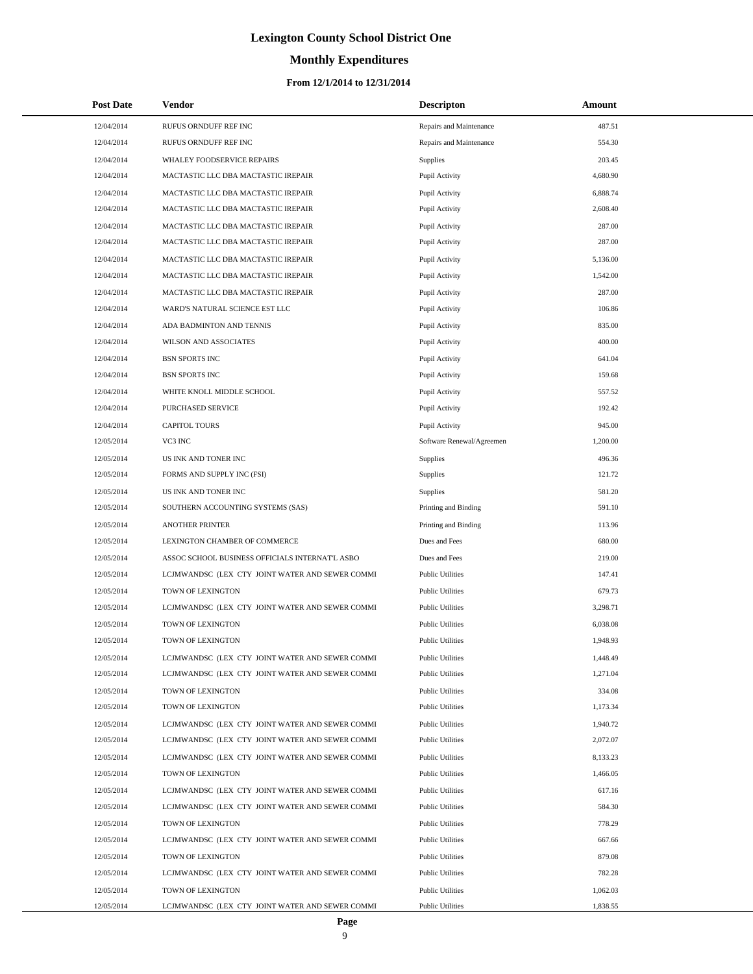# **Monthly Expenditures**

| Post Date  | Vendor                                          | <b>Descripton</b>         | Amount   |
|------------|-------------------------------------------------|---------------------------|----------|
| 12/04/2014 | RUFUS ORNDUFF REF INC                           | Repairs and Maintenance   | 487.51   |
| 12/04/2014 | RUFUS ORNDUFF REF INC                           | Repairs and Maintenance   | 554.30   |
| 12/04/2014 | WHALEY FOODSERVICE REPAIRS                      | Supplies                  | 203.45   |
| 12/04/2014 | MACTASTIC LLC DBA MACTASTIC IREPAIR             | Pupil Activity            | 4,680.90 |
| 12/04/2014 | MACTASTIC LLC DBA MACTASTIC IREPAIR             | Pupil Activity            | 6,888.74 |
| 12/04/2014 | MACTASTIC LLC DBA MACTASTIC IREPAIR             | Pupil Activity            | 2,608.40 |
| 12/04/2014 | MACTASTIC LLC DBA MACTASTIC IREPAIR             | Pupil Activity            | 287.00   |
| 12/04/2014 | MACTASTIC LLC DBA MACTASTIC IREPAIR             | Pupil Activity            | 287.00   |
| 12/04/2014 | MACTASTIC LLC DBA MACTASTIC IREPAIR             | Pupil Activity            | 5,136.00 |
| 12/04/2014 | MACTASTIC LLC DBA MACTASTIC IREPAIR             | Pupil Activity            | 1,542.00 |
| 12/04/2014 | MACTASTIC LLC DBA MACTASTIC IREPAIR             | Pupil Activity            | 287.00   |
| 12/04/2014 | WARD'S NATURAL SCIENCE EST LLC                  | Pupil Activity            | 106.86   |
| 12/04/2014 | ADA BADMINTON AND TENNIS                        | Pupil Activity            | 835.00   |
| 12/04/2014 | WILSON AND ASSOCIATES                           | Pupil Activity            | 400.00   |
| 12/04/2014 | <b>BSN SPORTS INC</b>                           | Pupil Activity            | 641.04   |
| 12/04/2014 | <b>BSN SPORTS INC</b>                           | Pupil Activity            | 159.68   |
| 12/04/2014 | WHITE KNOLL MIDDLE SCHOOL                       | Pupil Activity            | 557.52   |
| 12/04/2014 | <b>PURCHASED SERVICE</b>                        | Pupil Activity            | 192.42   |
| 12/04/2014 | <b>CAPITOL TOURS</b>                            | Pupil Activity            | 945.00   |
| 12/05/2014 | VC3 INC                                         | Software Renewal/Agreemen | 1,200.00 |
| 12/05/2014 | US INK AND TONER INC                            | Supplies                  | 496.36   |
| 12/05/2014 | FORMS AND SUPPLY INC (FSI)                      | Supplies                  | 121.72   |
| 12/05/2014 | US INK AND TONER INC                            | Supplies                  | 581.20   |
| 12/05/2014 | SOUTHERN ACCOUNTING SYSTEMS (SAS)               | Printing and Binding      | 591.10   |
| 12/05/2014 | <b>ANOTHER PRINTER</b>                          | Printing and Binding      | 113.96   |
| 12/05/2014 | LEXINGTON CHAMBER OF COMMERCE                   | Dues and Fees             | 680.00   |
| 12/05/2014 | ASSOC SCHOOL BUSINESS OFFICIALS INTERNAT'L ASBO | Dues and Fees             | 219.00   |
| 12/05/2014 | LCJMWANDSC (LEX CTY JOINT WATER AND SEWER COMMI | <b>Public Utilities</b>   | 147.41   |
| 12/05/2014 | TOWN OF LEXINGTON                               | <b>Public Utilities</b>   | 679.73   |
| 12/05/2014 | LCJMWANDSC (LEX CTY JOINT WATER AND SEWER COMMI | <b>Public Utilities</b>   | 3,298.71 |
| 12/05/2014 | TOWN OF LEXINGTON                               | <b>Public Utilities</b>   | 6,038.08 |
| 12/05/2014 | TOWN OF LEXINGTON                               | <b>Public Utilities</b>   | 1,948.93 |
| 12/05/2014 | LCJMWANDSC (LEX CTY JOINT WATER AND SEWER COMMI | <b>Public Utilities</b>   | 1,448.49 |
| 12/05/2014 | LCJMWANDSC (LEX CTY JOINT WATER AND SEWER COMMI | <b>Public Utilities</b>   | 1,271.04 |
| 12/05/2014 | TOWN OF LEXINGTON                               | <b>Public Utilities</b>   | 334.08   |
| 12/05/2014 | TOWN OF LEXINGTON                               | <b>Public Utilities</b>   | 1,173.34 |
| 12/05/2014 | LCJMWANDSC (LEX CTY JOINT WATER AND SEWER COMMI | <b>Public Utilities</b>   | 1,940.72 |
| 12/05/2014 | LCJMWANDSC (LEX CTY JOINT WATER AND SEWER COMMI | <b>Public Utilities</b>   | 2,072.07 |
| 12/05/2014 | LCJMWANDSC (LEX CTY JOINT WATER AND SEWER COMMI | <b>Public Utilities</b>   | 8,133.23 |
| 12/05/2014 | TOWN OF LEXINGTON                               | <b>Public Utilities</b>   | 1,466.05 |
| 12/05/2014 | LCJMWANDSC (LEX CTY JOINT WATER AND SEWER COMMI | <b>Public Utilities</b>   | 617.16   |
| 12/05/2014 | LCJMWANDSC (LEX CTY JOINT WATER AND SEWER COMMI | <b>Public Utilities</b>   | 584.30   |
| 12/05/2014 | TOWN OF LEXINGTON                               | <b>Public Utilities</b>   | 778.29   |
| 12/05/2014 | LCJMWANDSC (LEX CTY JOINT WATER AND SEWER COMMI | <b>Public Utilities</b>   | 667.66   |
| 12/05/2014 | TOWN OF LEXINGTON                               | <b>Public Utilities</b>   | 879.08   |
| 12/05/2014 | LCJMWANDSC (LEX CTY JOINT WATER AND SEWER COMMI | <b>Public Utilities</b>   | 782.28   |
| 12/05/2014 | TOWN OF LEXINGTON                               | <b>Public Utilities</b>   | 1,062.03 |
| 12/05/2014 | LCJMWANDSC (LEX CTY JOINT WATER AND SEWER COMMI | <b>Public Utilities</b>   | 1,838.55 |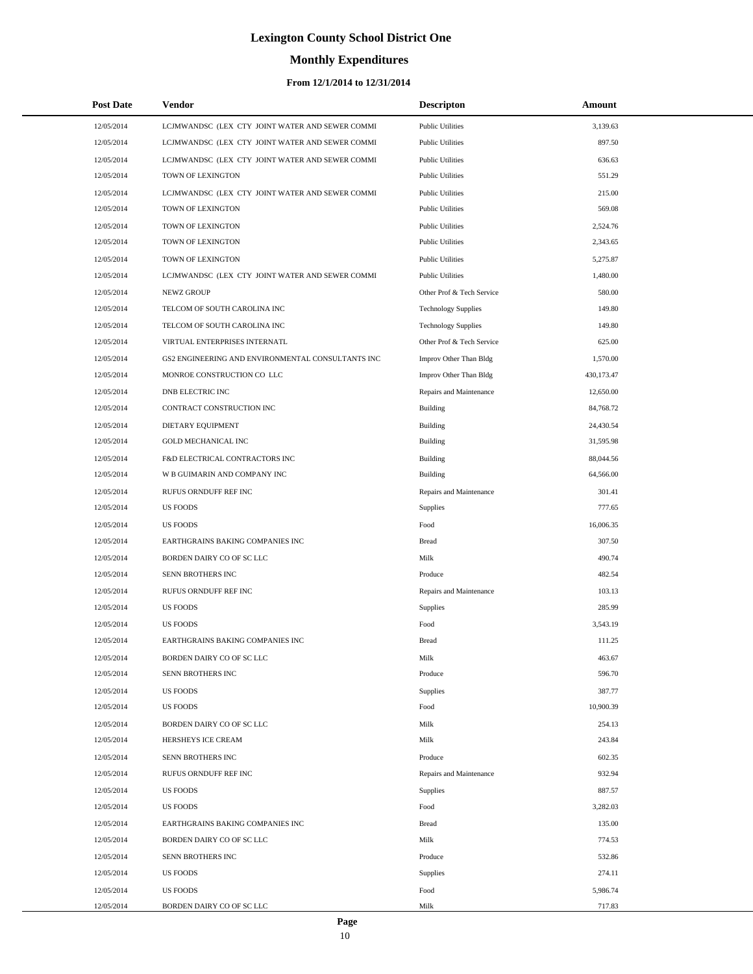# **Monthly Expenditures**

| <b>Post Date</b> | Vendor                                            | <b>Descripton</b>          | Amount     |
|------------------|---------------------------------------------------|----------------------------|------------|
| 12/05/2014       | LCJMWANDSC (LEX CTY JOINT WATER AND SEWER COMMI   | <b>Public Utilities</b>    | 3,139.63   |
| 12/05/2014       | LCJMWANDSC (LEX CTY JOINT WATER AND SEWER COMMI   | <b>Public Utilities</b>    | 897.50     |
| 12/05/2014       | LCJMWANDSC (LEX CTY JOINT WATER AND SEWER COMMI   | <b>Public Utilities</b>    | 636.63     |
| 12/05/2014       | TOWN OF LEXINGTON                                 | <b>Public Utilities</b>    | 551.29     |
| 12/05/2014       | LCJMWANDSC (LEX CTY JOINT WATER AND SEWER COMMI   | <b>Public Utilities</b>    | 215.00     |
| 12/05/2014       | TOWN OF LEXINGTON                                 | <b>Public Utilities</b>    | 569.08     |
| 12/05/2014       | TOWN OF LEXINGTON                                 | <b>Public Utilities</b>    | 2,524.76   |
| 12/05/2014       | TOWN OF LEXINGTON                                 | <b>Public Utilities</b>    | 2,343.65   |
| 12/05/2014       | TOWN OF LEXINGTON                                 | <b>Public Utilities</b>    | 5,275.87   |
| 12/05/2014       | LCJMWANDSC (LEX CTY JOINT WATER AND SEWER COMMI   | <b>Public Utilities</b>    | 1,480.00   |
| 12/05/2014       | <b>NEWZ GROUP</b>                                 | Other Prof & Tech Service  | 580.00     |
| 12/05/2014       | TELCOM OF SOUTH CAROLINA INC                      | <b>Technology Supplies</b> | 149.80     |
| 12/05/2014       | TELCOM OF SOUTH CAROLINA INC                      | <b>Technology Supplies</b> | 149.80     |
| 12/05/2014       | VIRTUAL ENTERPRISES INTERNATL                     | Other Prof & Tech Service  | 625.00     |
| 12/05/2014       | GS2 ENGINEERING AND ENVIRONMENTAL CONSULTANTS INC | Improv Other Than Bldg     | 1,570.00   |
| 12/05/2014       | MONROE CONSTRUCTION CO LLC                        | Improv Other Than Bldg     | 430,173.47 |
| 12/05/2014       | DNB ELECTRIC INC                                  | Repairs and Maintenance    | 12,650.00  |
| 12/05/2014       | CONTRACT CONSTRUCTION INC                         | <b>Building</b>            | 84,768.72  |
| 12/05/2014       | <b>DIETARY EQUIPMENT</b>                          | Building                   | 24,430.54  |
| 12/05/2014       | <b>GOLD MECHANICAL INC</b>                        | <b>Building</b>            | 31,595.98  |
| 12/05/2014       | F&D ELECTRICAL CONTRACTORS INC                    | Building                   | 88,044.56  |
| 12/05/2014       | W B GUIMARIN AND COMPANY INC                      | <b>Building</b>            | 64,566.00  |
| 12/05/2014       | RUFUS ORNDUFF REF INC                             | Repairs and Maintenance    | 301.41     |
| 12/05/2014       | <b>US FOODS</b>                                   | <b>Supplies</b>            | 777.65     |
| 12/05/2014       | <b>US FOODS</b>                                   | Food                       | 16,006.35  |
| 12/05/2014       | EARTHGRAINS BAKING COMPANIES INC                  | <b>Bread</b>               | 307.50     |
| 12/05/2014       | BORDEN DAIRY CO OF SC LLC                         | Milk                       | 490.74     |
| 12/05/2014       | SENN BROTHERS INC                                 | Produce                    | 482.54     |
| 12/05/2014       | RUFUS ORNDUFF REF INC                             | Repairs and Maintenance    | 103.13     |
| 12/05/2014       | <b>US FOODS</b>                                   | Supplies                   | 285.99     |
| 12/05/2014       | US FOODS                                          | Food                       | 3,543.19   |
| 12/05/2014       | EARTHGRAINS BAKING COMPANIES INC                  | <b>Bread</b>               | 111.25     |
| 12/05/2014       | BORDEN DAIRY CO OF SC LLC                         | Milk                       | 463.67     |
| 12/05/2014       | SENN BROTHERS INC                                 | Produce                    | 596.70     |
| 12/05/2014       | <b>US FOODS</b>                                   | Supplies                   | 387.77     |
| 12/05/2014       | <b>US FOODS</b>                                   | Food                       | 10,900.39  |
| 12/05/2014       | BORDEN DAIRY CO OF SC LLC                         | Milk                       | 254.13     |
| 12/05/2014       | HERSHEYS ICE CREAM                                | Milk                       | 243.84     |
| 12/05/2014       | SENN BROTHERS INC                                 | Produce                    | 602.35     |
| 12/05/2014       | RUFUS ORNDUFF REF INC                             | Repairs and Maintenance    | 932.94     |
| 12/05/2014       | <b>US FOODS</b>                                   | Supplies                   | 887.57     |
| 12/05/2014       | <b>US FOODS</b>                                   | Food                       | 3,282.03   |
| 12/05/2014       | EARTHGRAINS BAKING COMPANIES INC                  | <b>Bread</b>               | 135.00     |
| 12/05/2014       | BORDEN DAIRY CO OF SC LLC                         | Milk                       | 774.53     |
| 12/05/2014       | SENN BROTHERS INC                                 | Produce                    | 532.86     |
| 12/05/2014       | <b>US FOODS</b>                                   | Supplies                   | 274.11     |
| 12/05/2014       | <b>US FOODS</b>                                   | Food                       | 5,986.74   |
| 12/05/2014       | BORDEN DAIRY CO OF SC LLC                         | Milk                       | 717.83     |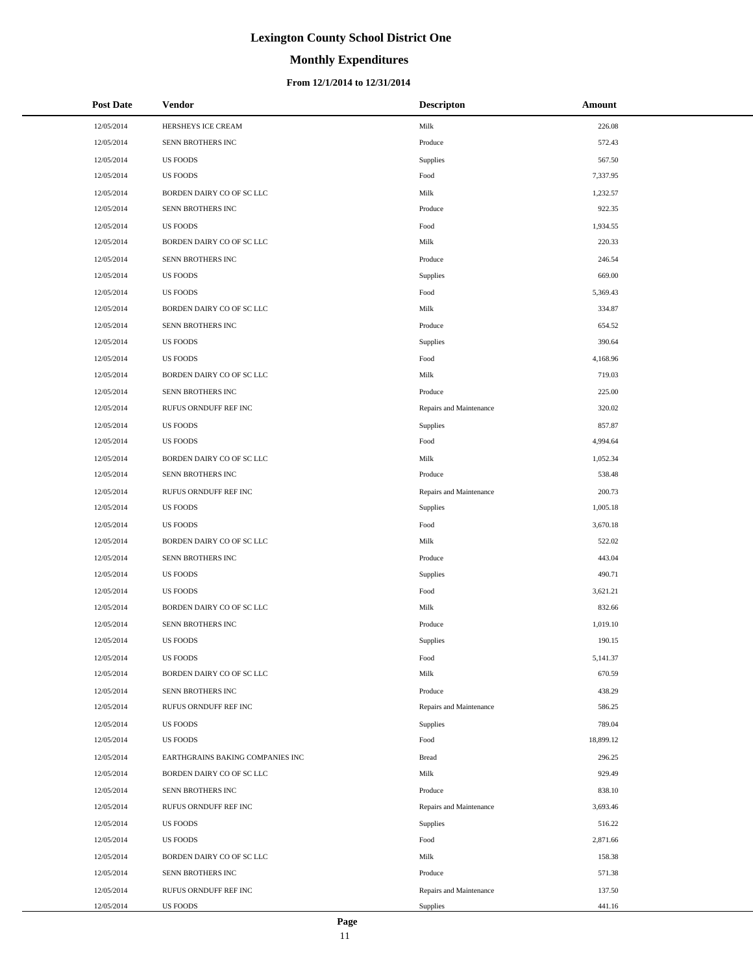# **Monthly Expenditures**

### **From 12/1/2014 to 12/31/2014**

| <b>Post Date</b> | Vendor                           | <b>Descripton</b>       | Amount    |
|------------------|----------------------------------|-------------------------|-----------|
| 12/05/2014       | HERSHEYS ICE CREAM               | Milk                    | 226.08    |
| 12/05/2014       | SENN BROTHERS INC                | Produce                 | 572.43    |
| 12/05/2014       | <b>US FOODS</b>                  | Supplies                | 567.50    |
| 12/05/2014       | <b>US FOODS</b>                  | Food                    | 7,337.95  |
| 12/05/2014       | BORDEN DAIRY CO OF SC LLC        | Milk                    | 1,232.57  |
| 12/05/2014       | SENN BROTHERS INC                | Produce                 | 922.35    |
| 12/05/2014       | <b>US FOODS</b>                  | Food                    | 1,934.55  |
| 12/05/2014       | BORDEN DAIRY CO OF SC LLC        | Milk                    | 220.33    |
| 12/05/2014       | SENN BROTHERS INC                | Produce                 | 246.54    |
| 12/05/2014       | <b>US FOODS</b>                  | Supplies                | 669.00    |
| 12/05/2014       | <b>US FOODS</b>                  | Food                    | 5,369.43  |
| 12/05/2014       | BORDEN DAIRY CO OF SC LLC        | Milk                    | 334.87    |
| 12/05/2014       | SENN BROTHERS INC                | Produce                 | 654.52    |
| 12/05/2014       | <b>US FOODS</b>                  | Supplies                | 390.64    |
| 12/05/2014       | <b>US FOODS</b>                  | Food                    | 4,168.96  |
| 12/05/2014       | BORDEN DAIRY CO OF SC LLC        | Milk                    | 719.03    |
| 12/05/2014       | SENN BROTHERS INC                | Produce                 | 225.00    |
| 12/05/2014       | RUFUS ORNDUFF REF INC            | Repairs and Maintenance | 320.02    |
| 12/05/2014       | <b>US FOODS</b>                  | Supplies                | 857.87    |
| 12/05/2014       | <b>US FOODS</b>                  | Food                    | 4,994.64  |
| 12/05/2014       | BORDEN DAIRY CO OF SC LLC        | Milk                    | 1,052.34  |
| 12/05/2014       | SENN BROTHERS INC                | Produce                 | 538.48    |
| 12/05/2014       | RUFUS ORNDUFF REF INC            | Repairs and Maintenance | 200.73    |
| 12/05/2014       | <b>US FOODS</b>                  | Supplies                | 1,005.18  |
| 12/05/2014       | <b>US FOODS</b>                  | Food                    | 3,670.18  |
| 12/05/2014       | BORDEN DAIRY CO OF SC LLC        | Milk                    | 522.02    |
| 12/05/2014       | SENN BROTHERS INC                | Produce                 | 443.04    |
| 12/05/2014       | <b>US FOODS</b>                  | Supplies                | 490.71    |
| 12/05/2014       | <b>US FOODS</b>                  | Food                    | 3,621.21  |
| 12/05/2014       | BORDEN DAIRY CO OF SC LLC        | Milk                    | 832.66    |
| 12/05/2014       | SENN BROTHERS INC                | Produce                 | 1,019.10  |
| 12/05/2014       | <b>US FOODS</b>                  | Supplies                | 190.15    |
| 12/05/2014       | <b>US FOODS</b>                  | Food                    | 5,141.37  |
| 12/05/2014       | BORDEN DAIRY CO OF SC LLC        | Milk                    | 670.59    |
| 12/05/2014       | SENN BROTHERS INC                | Produce                 | 438.29    |
| 12/05/2014       | RUFUS ORNDUFF REF INC            | Repairs and Maintenance | 586.25    |
| 12/05/2014       | <b>US FOODS</b>                  | Supplies                | 789.04    |
| 12/05/2014       | <b>US FOODS</b>                  | Food                    | 18,899.12 |
| 12/05/2014       | EARTHGRAINS BAKING COMPANIES INC | <b>Bread</b>            | 296.25    |
| 12/05/2014       | BORDEN DAIRY CO OF SC LLC        | Milk                    | 929.49    |
| 12/05/2014       | SENN BROTHERS INC                | Produce                 | 838.10    |
| 12/05/2014       | RUFUS ORNDUFF REF INC            | Repairs and Maintenance | 3,693.46  |
| 12/05/2014       | <b>US FOODS</b>                  | Supplies                | 516.22    |
| 12/05/2014       | <b>US FOODS</b>                  | Food                    | 2,871.66  |
| 12/05/2014       | BORDEN DAIRY CO OF SC LLC        | Milk                    | 158.38    |
| 12/05/2014       | SENN BROTHERS INC                | Produce                 | 571.38    |
| 12/05/2014       | RUFUS ORNDUFF REF INC            | Repairs and Maintenance | 137.50    |
| 12/05/2014       | US FOODS                         | Supplies                | 441.16    |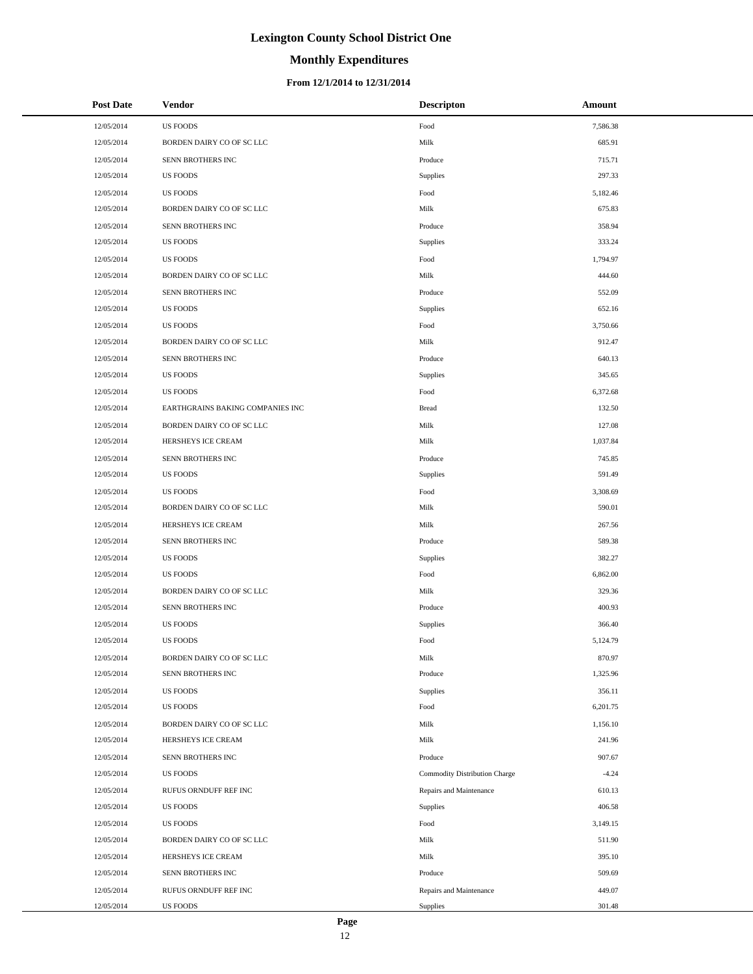# **Monthly Expenditures**

| <b>Post Date</b> | <b>Vendor</b>                    | <b>Descripton</b>             | Amount   |
|------------------|----------------------------------|-------------------------------|----------|
| 12/05/2014       | <b>US FOODS</b>                  | Food                          | 7,586.38 |
| 12/05/2014       | BORDEN DAIRY CO OF SC LLC        | Milk                          | 685.91   |
| 12/05/2014       | SENN BROTHERS INC                | Produce                       | 715.71   |
| 12/05/2014       | <b>US FOODS</b>                  | Supplies                      | 297.33   |
| 12/05/2014       | <b>US FOODS</b>                  | Food                          | 5,182.46 |
| 12/05/2014       | BORDEN DAIRY CO OF SC LLC        | Milk                          | 675.83   |
| 12/05/2014       | SENN BROTHERS INC                | Produce                       | 358.94   |
| 12/05/2014       | <b>US FOODS</b>                  | Supplies                      | 333.24   |
| 12/05/2014       | <b>US FOODS</b>                  | Food                          | 1,794.97 |
| 12/05/2014       | BORDEN DAIRY CO OF SC LLC        | Milk                          | 444.60   |
| 12/05/2014       | SENN BROTHERS INC                | Produce                       | 552.09   |
| 12/05/2014       | <b>US FOODS</b>                  | Supplies                      | 652.16   |
| 12/05/2014       | <b>US FOODS</b>                  | Food                          | 3,750.66 |
| 12/05/2014       | BORDEN DAIRY CO OF SC LLC        | Milk                          | 912.47   |
| 12/05/2014       | SENN BROTHERS INC                | Produce                       | 640.13   |
| 12/05/2014       | <b>US FOODS</b>                  | Supplies                      | 345.65   |
| 12/05/2014       | <b>US FOODS</b>                  | Food                          | 6,372.68 |
| 12/05/2014       | EARTHGRAINS BAKING COMPANIES INC | <b>Bread</b>                  | 132.50   |
| 12/05/2014       | BORDEN DAIRY CO OF SC LLC        | Milk                          | 127.08   |
| 12/05/2014       | HERSHEYS ICE CREAM               | Milk                          | 1,037.84 |
| 12/05/2014       | SENN BROTHERS INC                | Produce                       | 745.85   |
| 12/05/2014       | <b>US FOODS</b>                  | Supplies                      | 591.49   |
| 12/05/2014       | <b>US FOODS</b>                  | Food                          | 3,308.69 |
| 12/05/2014       | BORDEN DAIRY CO OF SC LLC        | Milk                          | 590.01   |
| 12/05/2014       | HERSHEYS ICE CREAM               | Milk                          | 267.56   |
| 12/05/2014       | SENN BROTHERS INC                | Produce                       | 589.38   |
| 12/05/2014       | US FOODS                         | Supplies                      | 382.27   |
| 12/05/2014       | <b>US FOODS</b>                  | Food                          | 6,862.00 |
| 12/05/2014       | BORDEN DAIRY CO OF SC LLC        | Milk                          | 329.36   |
| 12/05/2014       | SENN BROTHERS INC                | Produce                       | 400.93   |
| 12/05/2014       | US FOODS                         | Supplies                      | 366.40   |
| 12/05/2014       | <b>US FOODS</b>                  | Food                          | 5,124.79 |
| 12/05/2014       | BORDEN DAIRY CO OF SC LLC        | Milk                          | 870.97   |
| 12/05/2014       | SENN BROTHERS INC                | Produce                       | 1,325.96 |
| 12/05/2014       | <b>US FOODS</b>                  | Supplies                      | 356.11   |
| 12/05/2014       | <b>US FOODS</b>                  | Food                          | 6,201.75 |
| 12/05/2014       | BORDEN DAIRY CO OF SC LLC        | Milk                          | 1,156.10 |
| 12/05/2014       | HERSHEYS ICE CREAM               | Milk                          | 241.96   |
| 12/05/2014       | SENN BROTHERS INC                | Produce                       | 907.67   |
| 12/05/2014       | <b>US FOODS</b>                  | Commodity Distribution Charge | $-4.24$  |
| 12/05/2014       | RUFUS ORNDUFF REF INC            | Repairs and Maintenance       | 610.13   |
| 12/05/2014       | <b>US FOODS</b>                  | Supplies                      | 406.58   |
| 12/05/2014       | <b>US FOODS</b>                  | Food                          | 3,149.15 |
| 12/05/2014       | BORDEN DAIRY CO OF SC LLC        | Milk                          | 511.90   |
| 12/05/2014       | HERSHEYS ICE CREAM               | Milk                          | 395.10   |
| 12/05/2014       | SENN BROTHERS INC                | Produce                       | 509.69   |
| 12/05/2014       | RUFUS ORNDUFF REF INC            | Repairs and Maintenance       | 449.07   |
| 12/05/2014       | US FOODS                         | Supplies                      | 301.48   |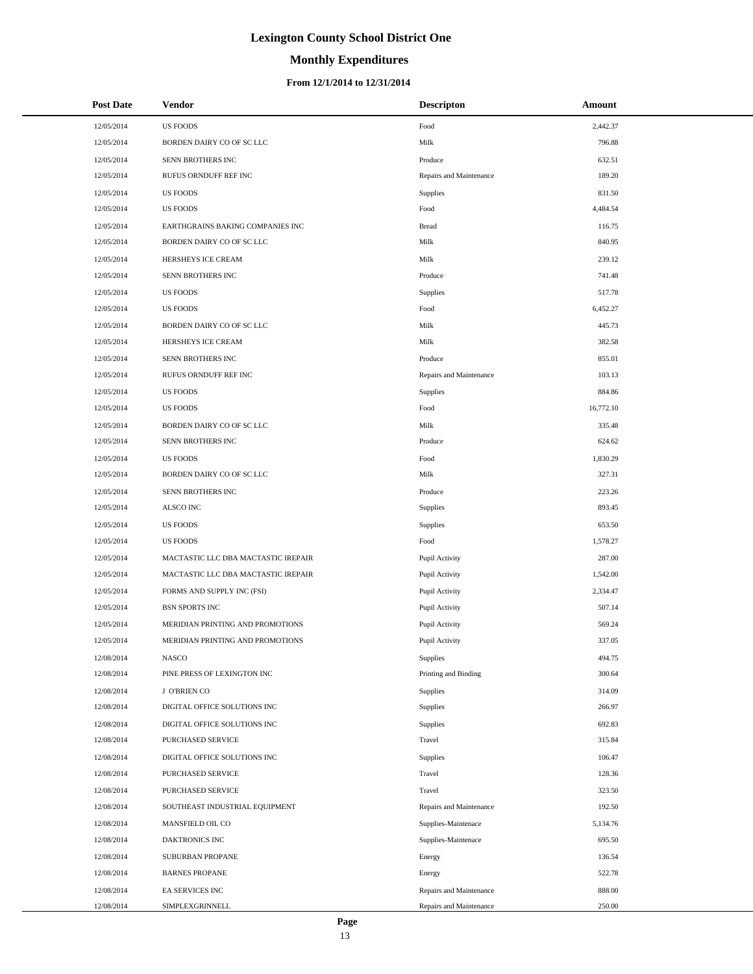# **Monthly Expenditures**

| <b>Post Date</b> | <b>Vendor</b>                       | <b>Descripton</b>       | Amount    |
|------------------|-------------------------------------|-------------------------|-----------|
| 12/05/2014       | <b>US FOODS</b>                     | Food                    | 2,442.37  |
| 12/05/2014       | BORDEN DAIRY CO OF SC LLC           | Milk                    | 796.88    |
| 12/05/2014       | SENN BROTHERS INC                   | Produce                 | 632.51    |
| 12/05/2014       | RUFUS ORNDUFF REF INC               | Repairs and Maintenance | 189.20    |
| 12/05/2014       | <b>US FOODS</b>                     | Supplies                | 831.50    |
| 12/05/2014       | <b>US FOODS</b>                     | Food                    | 4,484.54  |
| 12/05/2014       | EARTHGRAINS BAKING COMPANIES INC    | <b>Bread</b>            | 116.75    |
| 12/05/2014       | BORDEN DAIRY CO OF SC LLC           | Milk                    | 840.95    |
| 12/05/2014       | HERSHEYS ICE CREAM                  | Milk                    | 239.12    |
| 12/05/2014       | SENN BROTHERS INC                   | Produce                 | 741.48    |
| 12/05/2014       | <b>US FOODS</b>                     | Supplies                | 517.78    |
| 12/05/2014       | <b>US FOODS</b>                     | Food                    | 6,452.27  |
| 12/05/2014       | BORDEN DAIRY CO OF SC LLC           | Milk                    | 445.73    |
| 12/05/2014       | HERSHEYS ICE CREAM                  | Milk                    | 382.58    |
| 12/05/2014       | SENN BROTHERS INC                   | Produce                 | 855.01    |
| 12/05/2014       | RUFUS ORNDUFF REF INC               | Repairs and Maintenance | 103.13    |
| 12/05/2014       | <b>US FOODS</b>                     | Supplies                | 884.86    |
| 12/05/2014       | <b>US FOODS</b>                     | Food                    | 16,772.10 |
| 12/05/2014       | BORDEN DAIRY CO OF SC LLC           | Milk                    | 335.48    |
| 12/05/2014       | SENN BROTHERS INC                   | Produce                 | 624.62    |
| 12/05/2014       | <b>US FOODS</b>                     | Food                    | 1,830.29  |
| 12/05/2014       | BORDEN DAIRY CO OF SC LLC           | Milk                    | 327.31    |
| 12/05/2014       | SENN BROTHERS INC                   | Produce                 | 223.26    |
| 12/05/2014       | ALSCO INC                           | Supplies                | 893.45    |
| 12/05/2014       | <b>US FOODS</b>                     | Supplies                | 653.50    |
| 12/05/2014       | <b>US FOODS</b>                     | Food                    | 1,578.27  |
| 12/05/2014       | MACTASTIC LLC DBA MACTASTIC IREPAIR | Pupil Activity          | 287.00    |
| 12/05/2014       | MACTASTIC LLC DBA MACTASTIC IREPAIR | Pupil Activity          | 1,542.00  |
| 12/05/2014       | FORMS AND SUPPLY INC (FSI)          | Pupil Activity          | 2,334.47  |
| 12/05/2014       | <b>BSN SPORTS INC</b>               | Pupil Activity          | 507.14    |
| 12/05/2014       | MERIDIAN PRINTING AND PROMOTIONS    | Pupil Activity          | 569.24    |
| 12/05/2014       | MERIDIAN PRINTING AND PROMOTIONS    | Pupil Activity          | 337.05    |
| 12/08/2014       | <b>NASCO</b>                        | Supplies                | 494.75    |
| 12/08/2014       | PINE PRESS OF LEXINGTON INC         | Printing and Binding    | 300.64    |
| 12/08/2014       | J O'BRIEN CO                        | Supplies                | 314.09    |
| 12/08/2014       | DIGITAL OFFICE SOLUTIONS INC        | Supplies                | 266.97    |
| 12/08/2014       | DIGITAL OFFICE SOLUTIONS INC        | Supplies                | 692.83    |
| 12/08/2014       | PURCHASED SERVICE                   | Travel                  | 315.84    |
| 12/08/2014       | DIGITAL OFFICE SOLUTIONS INC        | Supplies                | 106.47    |
| 12/08/2014       | PURCHASED SERVICE                   | Travel                  | 128.36    |
| 12/08/2014       | PURCHASED SERVICE                   | Travel                  | 323.50    |
| 12/08/2014       | SOUTHEAST INDUSTRIAL EQUIPMENT      | Repairs and Maintenance | 192.50    |
| 12/08/2014       | MANSFIELD OIL CO                    | Supplies-Maintenace     | 5,134.76  |
| 12/08/2014       | DAKTRONICS INC                      | Supplies-Maintenace     | 695.50    |
| 12/08/2014       | SUBURBAN PROPANE                    | Energy                  | 136.54    |
| 12/08/2014       | <b>BARNES PROPANE</b>               | Energy                  | 522.78    |
| 12/08/2014       | EA SERVICES INC                     | Repairs and Maintenance | 888.00    |
| 12/08/2014       | SIMPLEXGRINNELL                     | Repairs and Maintenance | 250.00    |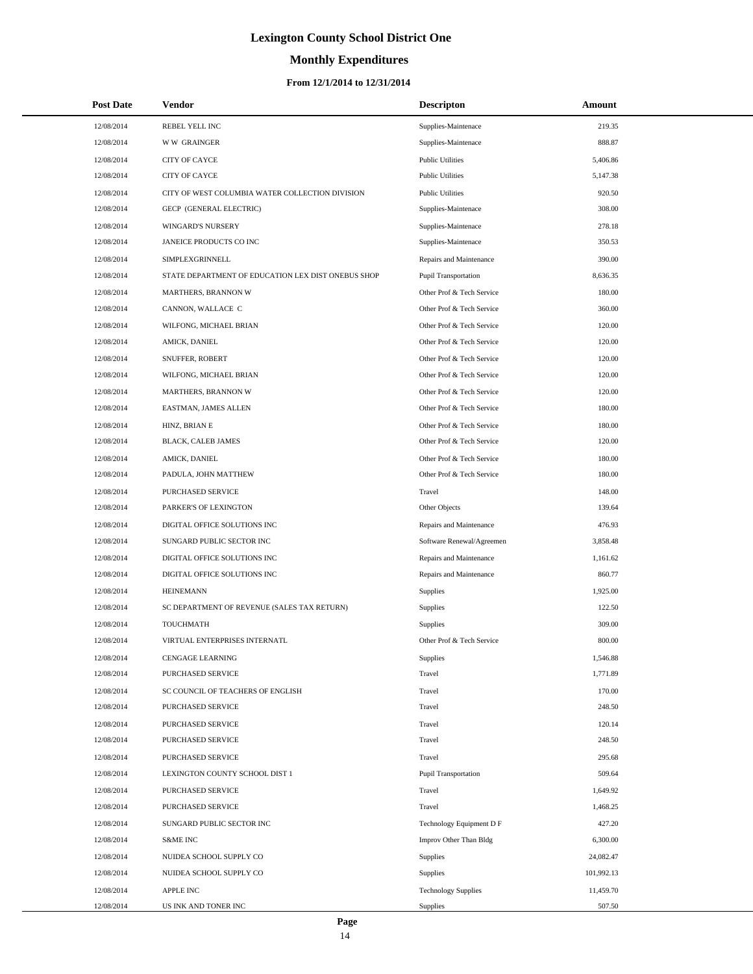# **Monthly Expenditures**

### **From 12/1/2014 to 12/31/2014**

| <b>Post Date</b> | Vendor                                             | <b>Descripton</b>          | Amount     |
|------------------|----------------------------------------------------|----------------------------|------------|
| 12/08/2014       | REBEL YELL INC                                     | Supplies-Maintenace        | 219.35     |
| 12/08/2014       | <b>WW GRAINGER</b>                                 | Supplies-Maintenace        | 888.87     |
| 12/08/2014       | CITY OF CAYCE                                      | <b>Public Utilities</b>    | 5,406.86   |
| 12/08/2014       | <b>CITY OF CAYCE</b>                               | <b>Public Utilities</b>    | 5,147.38   |
| 12/08/2014       | CITY OF WEST COLUMBIA WATER COLLECTION DIVISION    | <b>Public Utilities</b>    | 920.50     |
| 12/08/2014       | GECP (GENERAL ELECTRIC)                            | Supplies-Maintenace        | 308.00     |
| 12/08/2014       | WINGARD'S NURSERY                                  | Supplies-Maintenace        | 278.18     |
| 12/08/2014       | JANEICE PRODUCTS CO INC                            | Supplies-Maintenace        | 350.53     |
| 12/08/2014       | SIMPLEXGRINNELL                                    | Repairs and Maintenance    | 390.00     |
| 12/08/2014       | STATE DEPARTMENT OF EDUCATION LEX DIST ONEBUS SHOP | Pupil Transportation       | 8,636.35   |
| 12/08/2014       | MARTHERS, BRANNON W                                | Other Prof & Tech Service  | 180.00     |
| 12/08/2014       | CANNON, WALLACE C                                  | Other Prof & Tech Service  | 360.00     |
| 12/08/2014       | WILFONG, MICHAEL BRIAN                             | Other Prof & Tech Service  | 120.00     |
| 12/08/2014       | AMICK, DANIEL                                      | Other Prof & Tech Service  | 120.00     |
| 12/08/2014       | SNUFFER, ROBERT                                    | Other Prof & Tech Service  | 120.00     |
| 12/08/2014       | WILFONG, MICHAEL BRIAN                             | Other Prof & Tech Service  | 120.00     |
| 12/08/2014       | MARTHERS, BRANNON W                                | Other Prof & Tech Service  | 120.00     |
| 12/08/2014       | EASTMAN, JAMES ALLEN                               | Other Prof & Tech Service  | 180.00     |
| 12/08/2014       | HINZ, BRIAN E                                      | Other Prof & Tech Service  | 180.00     |
| 12/08/2014       | <b>BLACK, CALEB JAMES</b>                          | Other Prof & Tech Service  | 120.00     |
| 12/08/2014       | AMICK, DANIEL                                      | Other Prof & Tech Service  | 180.00     |
| 12/08/2014       | PADULA, JOHN MATTHEW                               | Other Prof & Tech Service  | 180.00     |
| 12/08/2014       | PURCHASED SERVICE                                  | Travel                     | 148.00     |
| 12/08/2014       | PARKER'S OF LEXINGTON                              | Other Objects              | 139.64     |
| 12/08/2014       | DIGITAL OFFICE SOLUTIONS INC                       | Repairs and Maintenance    | 476.93     |
| 12/08/2014       | SUNGARD PUBLIC SECTOR INC                          | Software Renewal/Agreemen  | 3,858.48   |
| 12/08/2014       | DIGITAL OFFICE SOLUTIONS INC                       | Repairs and Maintenance    | 1,161.62   |
| 12/08/2014       | DIGITAL OFFICE SOLUTIONS INC                       | Repairs and Maintenance    | 860.77     |
| 12/08/2014       | <b>HEINEMANN</b>                                   | <b>Supplies</b>            | 1,925.00   |
| 12/08/2014       | SC DEPARTMENT OF REVENUE (SALES TAX RETURN)        | Supplies                   | 122.50     |
| 12/08/2014       | TOUCHMATH                                          | Supplies                   | 309.00     |
| 12/08/2014       | VIRTUAL ENTERPRISES INTERNATL                      | Other Prof & Tech Service  | 800.00     |
| 12/08/2014       | <b>CENGAGE LEARNING</b>                            | Supplies                   | 1,546.88   |
| 12/08/2014       | PURCHASED SERVICE                                  | Travel                     | 1,771.89   |
| 12/08/2014       | SC COUNCIL OF TEACHERS OF ENGLISH                  | Travel                     | 170.00     |
| 12/08/2014       | PURCHASED SERVICE                                  | Travel                     | 248.50     |
| 12/08/2014       | PURCHASED SERVICE                                  | Travel                     | 120.14     |
| 12/08/2014       | PURCHASED SERVICE                                  | Travel                     | 248.50     |
| 12/08/2014       | PURCHASED SERVICE                                  | Travel                     | 295.68     |
| 12/08/2014       | LEXINGTON COUNTY SCHOOL DIST 1                     | Pupil Transportation       | 509.64     |
| 12/08/2014       | PURCHASED SERVICE                                  | Travel                     | 1,649.92   |
| 12/08/2014       | PURCHASED SERVICE                                  | Travel                     | 1,468.25   |
| 12/08/2014       | SUNGARD PUBLIC SECTOR INC                          | Technology Equipment D F   | 427.20     |
| 12/08/2014       | <b>S&amp;ME INC</b>                                | Improv Other Than Bldg     | 6,300.00   |
| 12/08/2014       | NUIDEA SCHOOL SUPPLY CO                            | Supplies                   | 24,082.47  |
| 12/08/2014       | NUIDEA SCHOOL SUPPLY CO                            | Supplies                   | 101,992.13 |
| 12/08/2014       | APPLE INC                                          | <b>Technology Supplies</b> | 11,459.70  |
| 12/08/2014       | US INK AND TONER INC                               | Supplies                   | 507.50     |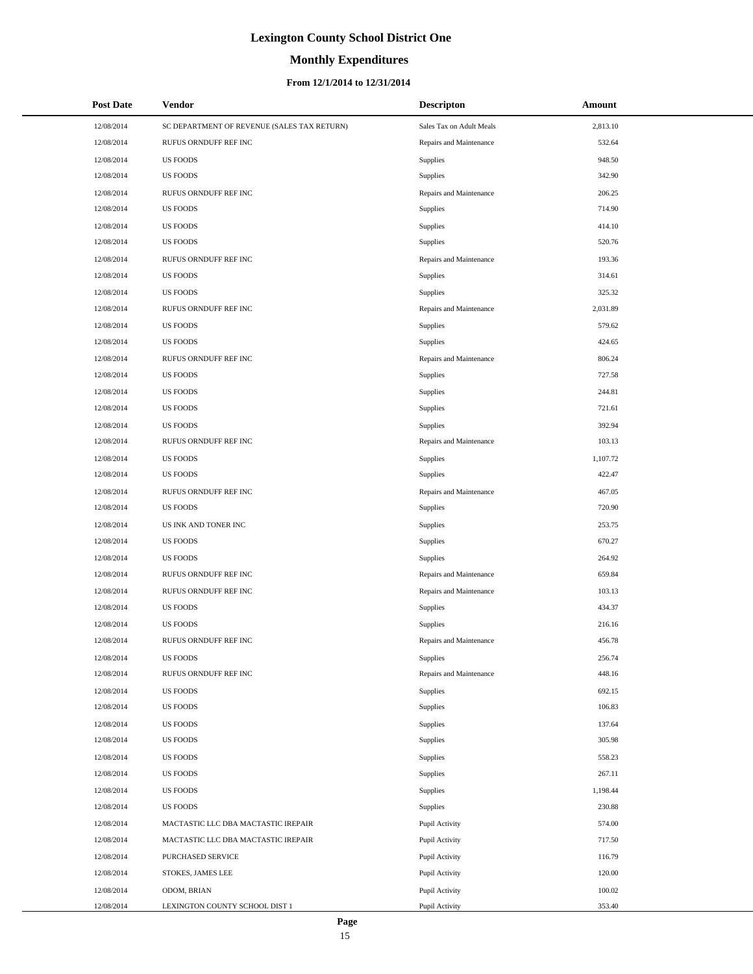# **Monthly Expenditures**

### **From 12/1/2014 to 12/31/2014**

| <b>Post Date</b> | <b>Vendor</b>                               | <b>Descripton</b>        | Amount   |
|------------------|---------------------------------------------|--------------------------|----------|
| 12/08/2014       | SC DEPARTMENT OF REVENUE (SALES TAX RETURN) | Sales Tax on Adult Meals | 2,813.10 |
| 12/08/2014       | RUFUS ORNDUFF REF INC                       | Repairs and Maintenance  | 532.64   |
| 12/08/2014       | <b>US FOODS</b>                             | <b>Supplies</b>          | 948.50   |
| 12/08/2014       | <b>US FOODS</b>                             | <b>Supplies</b>          | 342.90   |
| 12/08/2014       | RUFUS ORNDUFF REF INC                       | Repairs and Maintenance  | 206.25   |
| 12/08/2014       | <b>US FOODS</b>                             | Supplies                 | 714.90   |
| 12/08/2014       | <b>US FOODS</b>                             | <b>Supplies</b>          | 414.10   |
| 12/08/2014       | <b>US FOODS</b>                             | <b>Supplies</b>          | 520.76   |
| 12/08/2014       | RUFUS ORNDUFF REF INC                       | Repairs and Maintenance  | 193.36   |
| 12/08/2014       | <b>US FOODS</b>                             | Supplies                 | 314.61   |
| 12/08/2014       | <b>US FOODS</b>                             | <b>Supplies</b>          | 325.32   |
| 12/08/2014       | RUFUS ORNDUFF REF INC                       | Repairs and Maintenance  | 2,031.89 |
| 12/08/2014       | <b>US FOODS</b>                             | <b>Supplies</b>          | 579.62   |
| 12/08/2014       | <b>US FOODS</b>                             | Supplies                 | 424.65   |
| 12/08/2014       | RUFUS ORNDUFF REF INC                       | Repairs and Maintenance  | 806.24   |
| 12/08/2014       | <b>US FOODS</b>                             | Supplies                 | 727.58   |
| 12/08/2014       | <b>US FOODS</b>                             | <b>Supplies</b>          | 244.81   |
| 12/08/2014       | <b>US FOODS</b>                             | Supplies                 | 721.61   |
| 12/08/2014       | <b>US FOODS</b>                             | <b>Supplies</b>          | 392.94   |
| 12/08/2014       | RUFUS ORNDUFF REF INC                       | Repairs and Maintenance  | 103.13   |
| 12/08/2014       | <b>US FOODS</b>                             | <b>Supplies</b>          | 1,107.72 |
| 12/08/2014       | <b>US FOODS</b>                             | Supplies                 | 422.47   |
| 12/08/2014       | RUFUS ORNDUFF REF INC                       | Repairs and Maintenance  | 467.05   |
| 12/08/2014       | <b>US FOODS</b>                             | Supplies                 | 720.90   |
| 12/08/2014       | US INK AND TONER INC                        | <b>Supplies</b>          | 253.75   |
| 12/08/2014       | <b>US FOODS</b>                             | Supplies                 | 670.27   |
| 12/08/2014       | <b>US FOODS</b>                             | <b>Supplies</b>          | 264.92   |
| 12/08/2014       | RUFUS ORNDUFF REF INC                       | Repairs and Maintenance  | 659.84   |
| 12/08/2014       | RUFUS ORNDUFF REF INC                       | Repairs and Maintenance  | 103.13   |
| 12/08/2014       | <b>US FOODS</b>                             | Supplies                 | 434.37   |
| 12/08/2014       | <b>US FOODS</b>                             | <b>Supplies</b>          | 216.16   |
| 12/08/2014       | RUFUS ORNDUFF REF INC                       | Repairs and Maintenance  | 456.78   |
| 12/08/2014       | <b>US FOODS</b>                             | Supplies                 | 256.74   |
| 12/08/2014       | RUFUS ORNDUFF REF INC                       | Repairs and Maintenance  | 448.16   |
| 12/08/2014       | <b>US FOODS</b>                             | <b>Supplies</b>          | 692.15   |
| 12/08/2014       | <b>US FOODS</b>                             | <b>Supplies</b>          | 106.83   |
| 12/08/2014       | <b>US FOODS</b>                             | <b>Supplies</b>          | 137.64   |
| 12/08/2014       | <b>US FOODS</b>                             | <b>Supplies</b>          | 305.98   |
| 12/08/2014       | <b>US FOODS</b>                             | Supplies                 | 558.23   |
| 12/08/2014       | <b>US FOODS</b>                             | <b>Supplies</b>          | 267.11   |
| 12/08/2014       | <b>US FOODS</b>                             | Supplies                 | 1,198.44 |
| 12/08/2014       | <b>US FOODS</b>                             | Supplies                 | 230.88   |
| 12/08/2014       | MACTASTIC LLC DBA MACTASTIC IREPAIR         | Pupil Activity           | 574.00   |
| 12/08/2014       | MACTASTIC LLC DBA MACTASTIC IREPAIR         | Pupil Activity           | 717.50   |
| 12/08/2014       | PURCHASED SERVICE                           | Pupil Activity           | 116.79   |
| 12/08/2014       | STOKES, JAMES LEE                           | Pupil Activity           | 120.00   |
| 12/08/2014       | ODOM, BRIAN                                 | Pupil Activity           | 100.02   |
| 12/08/2014       | LEXINGTON COUNTY SCHOOL DIST 1              | Pupil Activity           | 353.40   |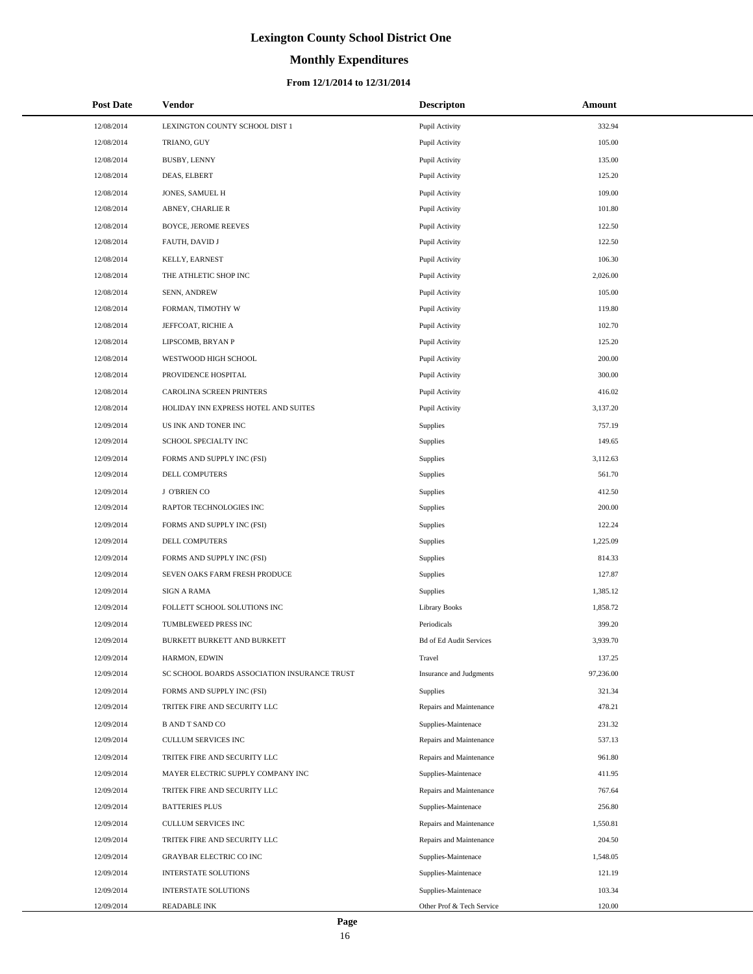# **Monthly Expenditures**

### **From 12/1/2014 to 12/31/2014**

| <b>Post Date</b> | Vendor                                       | <b>Descripton</b>              | Amount    |
|------------------|----------------------------------------------|--------------------------------|-----------|
| 12/08/2014       | LEXINGTON COUNTY SCHOOL DIST 1               | Pupil Activity                 | 332.94    |
| 12/08/2014       | TRIANO, GUY                                  | Pupil Activity                 | 105.00    |
| 12/08/2014       | <b>BUSBY, LENNY</b>                          | Pupil Activity                 | 135.00    |
| 12/08/2014       | DEAS, ELBERT                                 | Pupil Activity                 | 125.20    |
| 12/08/2014       | JONES, SAMUEL H                              | Pupil Activity                 | 109.00    |
| 12/08/2014       | ABNEY, CHARLIE R                             | Pupil Activity                 | 101.80    |
| 12/08/2014       | <b>BOYCE, JEROME REEVES</b>                  | Pupil Activity                 | 122.50    |
| 12/08/2014       | FAUTH, DAVID J                               | Pupil Activity                 | 122.50    |
| 12/08/2014       | KELLY, EARNEST                               | Pupil Activity                 | 106.30    |
| 12/08/2014       | THE ATHLETIC SHOP INC                        | Pupil Activity                 | 2,026.00  |
| 12/08/2014       | SENN, ANDREW                                 | Pupil Activity                 | 105.00    |
| 12/08/2014       | FORMAN, TIMOTHY W                            | Pupil Activity                 | 119.80    |
| 12/08/2014       | JEFFCOAT, RICHIE A                           | Pupil Activity                 | 102.70    |
| 12/08/2014       | LIPSCOMB, BRYAN P                            | Pupil Activity                 | 125.20    |
| 12/08/2014       | WESTWOOD HIGH SCHOOL                         | Pupil Activity                 | 200.00    |
| 12/08/2014       | PROVIDENCE HOSPITAL                          | Pupil Activity                 | 300.00    |
| 12/08/2014       | CAROLINA SCREEN PRINTERS                     | Pupil Activity                 | 416.02    |
| 12/08/2014       | HOLIDAY INN EXPRESS HOTEL AND SUITES         | Pupil Activity                 | 3,137.20  |
| 12/09/2014       | US INK AND TONER INC                         | Supplies                       | 757.19    |
| 12/09/2014       | SCHOOL SPECIALTY INC                         | Supplies                       | 149.65    |
| 12/09/2014       | FORMS AND SUPPLY INC (FSI)                   | Supplies                       | 3,112.63  |
| 12/09/2014       | DELL COMPUTERS                               | Supplies                       | 561.70    |
| 12/09/2014       | J O'BRIEN CO                                 | Supplies                       | 412.50    |
| 12/09/2014       | RAPTOR TECHNOLOGIES INC                      | Supplies                       | 200.00    |
| 12/09/2014       | FORMS AND SUPPLY INC (FSI)                   | Supplies                       | 122.24    |
| 12/09/2014       | DELL COMPUTERS                               | Supplies                       | 1,225.09  |
| 12/09/2014       | FORMS AND SUPPLY INC (FSI)                   | Supplies                       | 814.33    |
| 12/09/2014       | SEVEN OAKS FARM FRESH PRODUCE                | Supplies                       | 127.87    |
| 12/09/2014       | <b>SIGN A RAMA</b>                           | Supplies                       | 1,385.12  |
| 12/09/2014       | FOLLETT SCHOOL SOLUTIONS INC                 | <b>Library Books</b>           | 1,858.72  |
| 12/09/2014       | TUMBLEWEED PRESS INC                         | Periodicals                    | 399.20    |
| 12/09/2014       | BURKETT BURKETT AND BURKETT                  | <b>Bd of Ed Audit Services</b> | 3,939.70  |
| 12/09/2014       | HARMON, EDWIN                                | Travel                         | 137.25    |
| 12/09/2014       | SC SCHOOL BOARDS ASSOCIATION INSURANCE TRUST | Insurance and Judgments        | 97,236.00 |
| 12/09/2014       | FORMS AND SUPPLY INC (FSI)                   | Supplies                       | 321.34    |
| 12/09/2014       | TRITEK FIRE AND SECURITY LLC                 | Repairs and Maintenance        | 478.21    |
| 12/09/2014       | <b>B AND T SAND CO</b>                       | Supplies-Maintenace            | 231.32    |
| 12/09/2014       | <b>CULLUM SERVICES INC</b>                   | Repairs and Maintenance        | 537.13    |
| 12/09/2014       | TRITEK FIRE AND SECURITY LLC                 | Repairs and Maintenance        | 961.80    |
| 12/09/2014       | MAYER ELECTRIC SUPPLY COMPANY INC            | Supplies-Maintenace            | 411.95    |
| 12/09/2014       | TRITEK FIRE AND SECURITY LLC                 | Repairs and Maintenance        | 767.64    |
| 12/09/2014       | <b>BATTERIES PLUS</b>                        | Supplies-Maintenace            | 256.80    |
| 12/09/2014       | CULLUM SERVICES INC                          | Repairs and Maintenance        | 1,550.81  |
| 12/09/2014       | TRITEK FIRE AND SECURITY LLC                 | Repairs and Maintenance        | 204.50    |
| 12/09/2014       | <b>GRAYBAR ELECTRIC CO INC</b>               | Supplies-Maintenace            | 1,548.05  |
| 12/09/2014       | INTERSTATE SOLUTIONS                         | Supplies-Maintenace            | 121.19    |
| 12/09/2014       | <b>INTERSTATE SOLUTIONS</b>                  | Supplies-Maintenace            | 103.34    |
| 12/09/2014       | READABLE INK                                 | Other Prof & Tech Service      | 120.00    |

L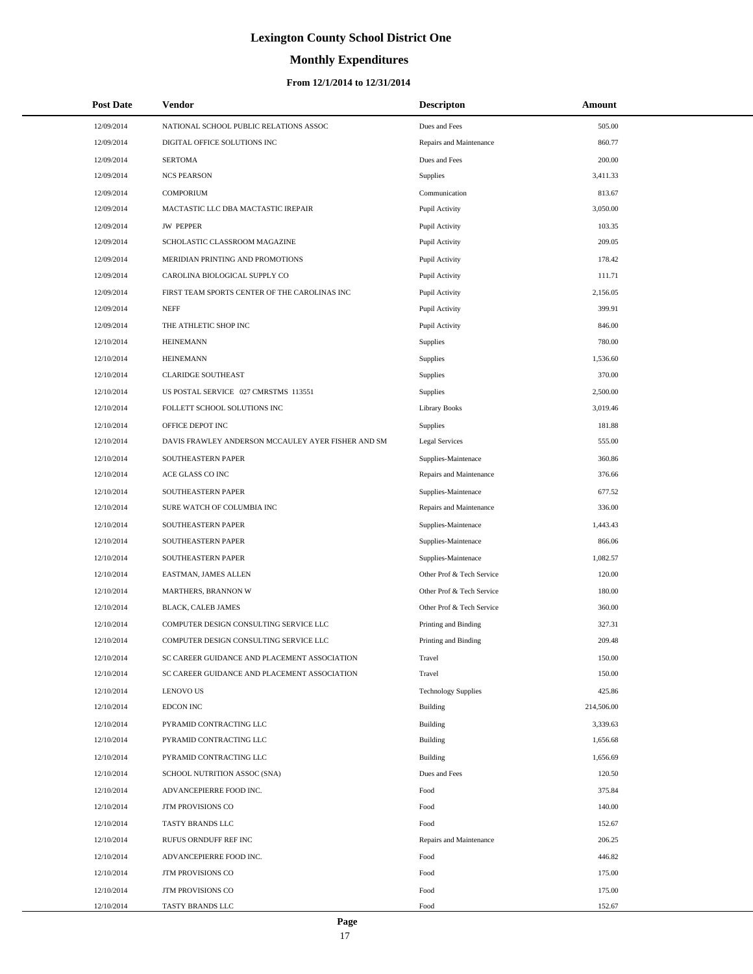# **Monthly Expenditures**

| <b>Post Date</b> | Vendor                                             | <b>Descripton</b>          | Amount     |  |
|------------------|----------------------------------------------------|----------------------------|------------|--|
| 12/09/2014       | NATIONAL SCHOOL PUBLIC RELATIONS ASSOC             | Dues and Fees              | 505.00     |  |
| 12/09/2014       | DIGITAL OFFICE SOLUTIONS INC                       | Repairs and Maintenance    | 860.77     |  |
| 12/09/2014       | <b>SERTOMA</b>                                     | Dues and Fees              | 200.00     |  |
| 12/09/2014       | <b>NCS PEARSON</b>                                 | Supplies                   | 3,411.33   |  |
| 12/09/2014       | <b>COMPORIUM</b>                                   | Communication              | 813.67     |  |
| 12/09/2014       | MACTASTIC LLC DBA MACTASTIC IREPAIR                | Pupil Activity             | 3,050.00   |  |
| 12/09/2014       | <b>JW PEPPER</b>                                   | Pupil Activity             | 103.35     |  |
| 12/09/2014       | SCHOLASTIC CLASSROOM MAGAZINE                      | Pupil Activity             | 209.05     |  |
| 12/09/2014       | MERIDIAN PRINTING AND PROMOTIONS                   | Pupil Activity             | 178.42     |  |
| 12/09/2014       | CAROLINA BIOLOGICAL SUPPLY CO                      | Pupil Activity             | 111.71     |  |
| 12/09/2014       | FIRST TEAM SPORTS CENTER OF THE CAROLINAS INC      | Pupil Activity             | 2,156.05   |  |
| 12/09/2014       | <b>NEFF</b>                                        | Pupil Activity             | 399.91     |  |
| 12/09/2014       | THE ATHLETIC SHOP INC                              | Pupil Activity             | 846.00     |  |
| 12/10/2014       | <b>HEINEMANN</b>                                   | Supplies                   | 780.00     |  |
| 12/10/2014       | <b>HEINEMANN</b>                                   | Supplies                   | 1,536.60   |  |
| 12/10/2014       | <b>CLARIDGE SOUTHEAST</b>                          | Supplies                   | 370.00     |  |
| 12/10/2014       | US POSTAL SERVICE 027 CMRSTMS 113551               | Supplies                   | 2,500.00   |  |
| 12/10/2014       | FOLLETT SCHOOL SOLUTIONS INC                       | <b>Library Books</b>       | 3,019.46   |  |
| 12/10/2014       | OFFICE DEPOT INC                                   | <b>Supplies</b>            | 181.88     |  |
| 12/10/2014       | DAVIS FRAWLEY ANDERSON MCCAULEY AYER FISHER AND SM | <b>Legal Services</b>      | 555.00     |  |
| 12/10/2014       | SOUTHEASTERN PAPER                                 | Supplies-Maintenace        | 360.86     |  |
| 12/10/2014       | ACE GLASS CO INC                                   | Repairs and Maintenance    | 376.66     |  |
| 12/10/2014       | SOUTHEASTERN PAPER                                 | Supplies-Maintenace        | 677.52     |  |
| 12/10/2014       | SURE WATCH OF COLUMBIA INC                         | Repairs and Maintenance    | 336.00     |  |
| 12/10/2014       | SOUTHEASTERN PAPER                                 | Supplies-Maintenace        | 1,443.43   |  |
| 12/10/2014       | SOUTHEASTERN PAPER                                 | Supplies-Maintenace        | 866.06     |  |
| 12/10/2014       | SOUTHEASTERN PAPER                                 | Supplies-Maintenace        | 1,082.57   |  |
| 12/10/2014       | EASTMAN, JAMES ALLEN                               | Other Prof & Tech Service  | 120.00     |  |
| 12/10/2014       | MARTHERS, BRANNON W                                | Other Prof & Tech Service  | 180.00     |  |
| 12/10/2014       | BLACK, CALEB JAMES                                 | Other Prof & Tech Service  | 360.00     |  |
| 12/10/2014       | COMPUTER DESIGN CONSULTING SERVICE LLC             | Printing and Binding       | 327.31     |  |
| 12/10/2014       | COMPUTER DESIGN CONSULTING SERVICE LLC             | Printing and Binding       | 209.48     |  |
| 12/10/2014       | SC CAREER GUIDANCE AND PLACEMENT ASSOCIATION       | Travel                     | 150.00     |  |
| 12/10/2014       | SC CAREER GUIDANCE AND PLACEMENT ASSOCIATION       | Travel                     | 150.00     |  |
| 12/10/2014       | <b>LENOVO US</b>                                   | <b>Technology Supplies</b> | 425.86     |  |
| 12/10/2014       | <b>EDCON INC</b>                                   | Building                   | 214,506.00 |  |
| 12/10/2014       | PYRAMID CONTRACTING LLC                            | <b>Building</b>            | 3,339.63   |  |
| 12/10/2014       | PYRAMID CONTRACTING LLC                            | Building                   | 1,656.68   |  |
| 12/10/2014       | PYRAMID CONTRACTING LLC                            | <b>Building</b>            | 1,656.69   |  |
| 12/10/2014       | SCHOOL NUTRITION ASSOC (SNA)                       | Dues and Fees              | 120.50     |  |
| 12/10/2014       | ADVANCEPIERRE FOOD INC.                            | Food                       | 375.84     |  |
| 12/10/2014       | JTM PROVISIONS CO                                  | Food                       | 140.00     |  |
| 12/10/2014       | TASTY BRANDS LLC                                   | Food                       | 152.67     |  |
| 12/10/2014       | RUFUS ORNDUFF REF INC                              | Repairs and Maintenance    | 206.25     |  |
| 12/10/2014       | ADVANCEPIERRE FOOD INC.                            | Food                       | 446.82     |  |
| 12/10/2014       | JTM PROVISIONS CO                                  | Food                       | 175.00     |  |
| 12/10/2014       | JTM PROVISIONS CO                                  | Food                       | 175.00     |  |
| 12/10/2014       | TASTY BRANDS LLC                                   | Food                       | 152.67     |  |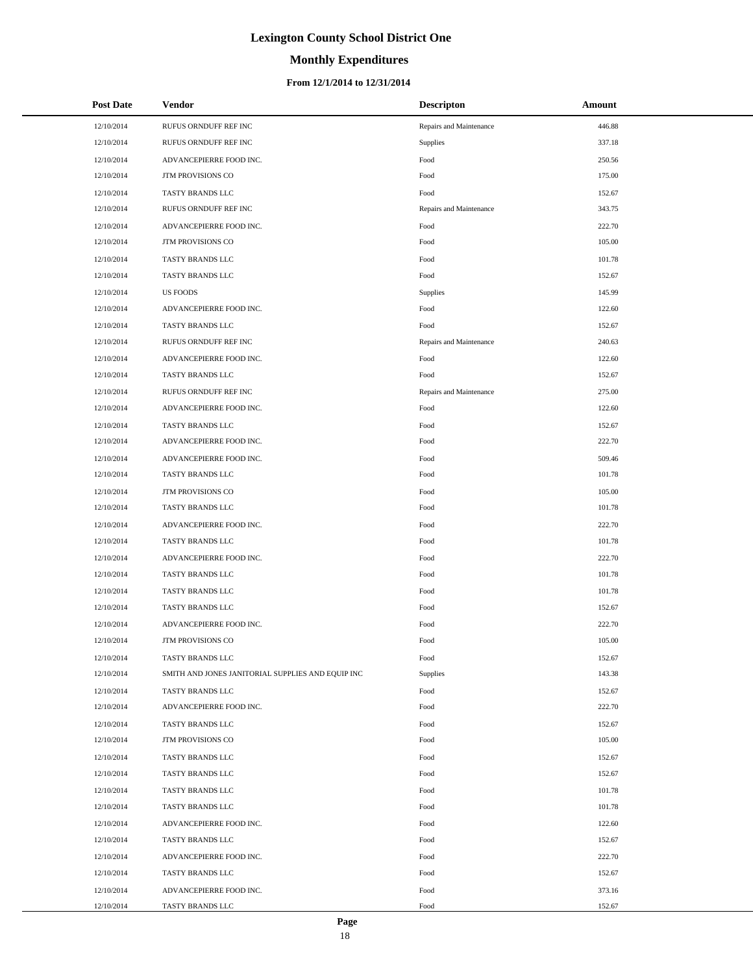# **Monthly Expenditures**

### **From 12/1/2014 to 12/31/2014**

| <b>Post Date</b> | <b>Vendor</b>                                     | <b>Descripton</b>       | Amount |
|------------------|---------------------------------------------------|-------------------------|--------|
| 12/10/2014       | RUFUS ORNDUFF REF INC                             | Repairs and Maintenance | 446.88 |
| 12/10/2014       | RUFUS ORNDUFF REF INC                             | Supplies                | 337.18 |
| 12/10/2014       | ADVANCEPIERRE FOOD INC.                           | Food                    | 250.56 |
| 12/10/2014       | JTM PROVISIONS CO                                 | Food                    | 175.00 |
| 12/10/2014       | TASTY BRANDS LLC                                  | Food                    | 152.67 |
| 12/10/2014       | RUFUS ORNDUFF REF INC                             | Repairs and Maintenance | 343.75 |
| 12/10/2014       | ADVANCEPIERRE FOOD INC.                           | Food                    | 222.70 |
| 12/10/2014       | <b>JTM PROVISIONS CO</b>                          | Food                    | 105.00 |
| 12/10/2014       | TASTY BRANDS LLC                                  | Food                    | 101.78 |
| 12/10/2014       | TASTY BRANDS LLC                                  | Food                    | 152.67 |
| 12/10/2014       | <b>US FOODS</b>                                   | Supplies                | 145.99 |
| 12/10/2014       | ADVANCEPIERRE FOOD INC.                           | Food                    | 122.60 |
| 12/10/2014       | TASTY BRANDS LLC                                  | Food                    | 152.67 |
| 12/10/2014       | RUFUS ORNDUFF REF INC                             | Repairs and Maintenance | 240.63 |
| 12/10/2014       | ADVANCEPIERRE FOOD INC.                           | Food                    | 122.60 |
| 12/10/2014       | TASTY BRANDS LLC                                  | Food                    | 152.67 |
| 12/10/2014       | RUFUS ORNDUFF REF INC                             | Repairs and Maintenance | 275.00 |
| 12/10/2014       | ADVANCEPIERRE FOOD INC.                           | Food                    | 122.60 |
| 12/10/2014       | TASTY BRANDS LLC                                  | Food                    | 152.67 |
| 12/10/2014       | ADVANCEPIERRE FOOD INC.                           | Food                    | 222.70 |
| 12/10/2014       | ADVANCEPIERRE FOOD INC.                           | Food                    | 509.46 |
| 12/10/2014       | TASTY BRANDS LLC                                  | Food                    | 101.78 |
| 12/10/2014       | JTM PROVISIONS CO                                 | Food                    | 105.00 |
| 12/10/2014       | TASTY BRANDS LLC                                  | Food                    | 101.78 |
| 12/10/2014       | ADVANCEPIERRE FOOD INC.                           | Food                    | 222.70 |
| 12/10/2014       | TASTY BRANDS LLC                                  | Food                    | 101.78 |
| 12/10/2014       | ADVANCEPIERRE FOOD INC.                           | Food                    | 222.70 |
| 12/10/2014       | TASTY BRANDS LLC                                  | Food                    | 101.78 |
| 12/10/2014       | TASTY BRANDS LLC                                  | Food                    | 101.78 |
| 12/10/2014       | TASTY BRANDS LLC                                  | Food                    | 152.67 |
| 12/10/2014       | ADVANCEPIERRE FOOD INC.                           | Food                    | 222.70 |
| 12/10/2014       | JTM PROVISIONS CO                                 | Food                    | 105.00 |
| 12/10/2014       | TASTY BRANDS LLC                                  | Food                    | 152.67 |
| 12/10/2014       | SMITH AND JONES JANITORIAL SUPPLIES AND EQUIP INC | Supplies                | 143.38 |
| 12/10/2014       | TASTY BRANDS LLC                                  | Food                    | 152.67 |
| 12/10/2014       | ADVANCEPIERRE FOOD INC.                           | Food                    | 222.70 |
| 12/10/2014       | TASTY BRANDS LLC                                  | Food                    | 152.67 |
| 12/10/2014       | JTM PROVISIONS CO                                 | Food                    | 105.00 |
| 12/10/2014       | TASTY BRANDS LLC                                  | Food                    | 152.67 |
| 12/10/2014       | TASTY BRANDS LLC                                  | Food                    | 152.67 |
| 12/10/2014       | TASTY BRANDS LLC                                  | Food                    | 101.78 |
| 12/10/2014       | TASTY BRANDS LLC                                  | Food                    | 101.78 |
| 12/10/2014       | ADVANCEPIERRE FOOD INC.                           | Food                    | 122.60 |
| 12/10/2014       | TASTY BRANDS LLC                                  | Food                    | 152.67 |
| 12/10/2014       | ADVANCEPIERRE FOOD INC.                           | Food                    | 222.70 |
| 12/10/2014       | TASTY BRANDS LLC                                  | Food                    | 152.67 |
| 12/10/2014       | ADVANCEPIERRE FOOD INC.                           | Food                    | 373.16 |
| 12/10/2014       | TASTY BRANDS LLC                                  | Food                    | 152.67 |

÷.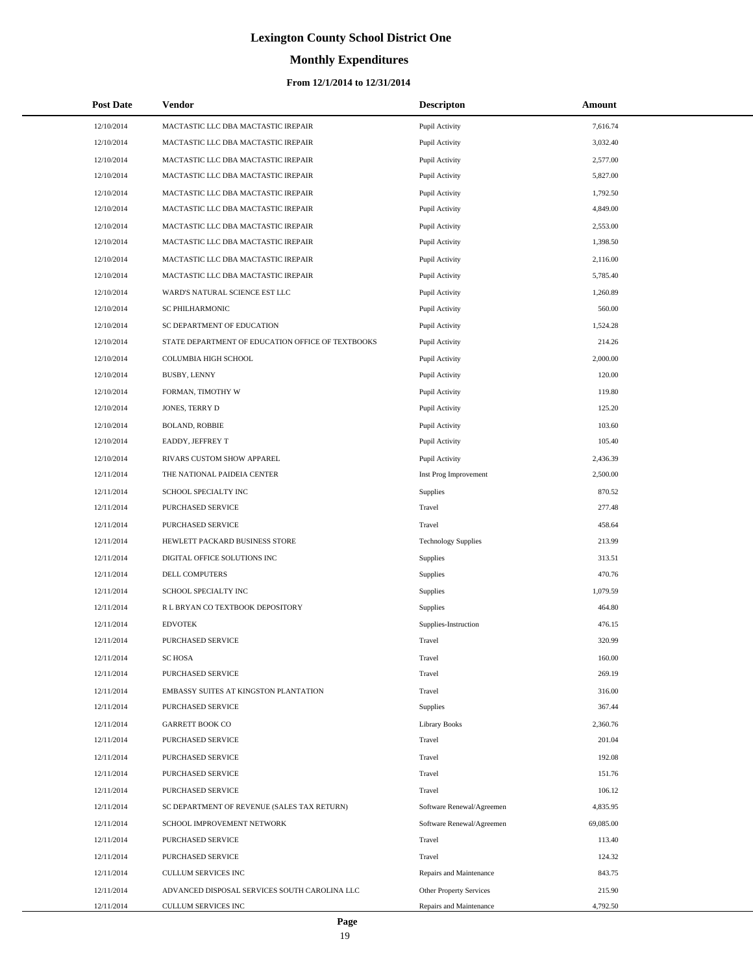# **Monthly Expenditures**

### **From 12/1/2014 to 12/31/2014**

| <b>Post Date</b> | Vendor                                            | <b>Descripton</b>          | Amount    |
|------------------|---------------------------------------------------|----------------------------|-----------|
| 12/10/2014       | MACTASTIC LLC DBA MACTASTIC IREPAIR               | Pupil Activity             | 7,616.74  |
| 12/10/2014       | MACTASTIC LLC DBA MACTASTIC IREPAIR               | Pupil Activity             | 3,032.40  |
| 12/10/2014       | MACTASTIC LLC DBA MACTASTIC IREPAIR               | Pupil Activity             | 2,577.00  |
| 12/10/2014       | MACTASTIC LLC DBA MACTASTIC IREPAIR               | Pupil Activity             | 5,827.00  |
| 12/10/2014       | MACTASTIC LLC DBA MACTASTIC IREPAIR               | Pupil Activity             | 1,792.50  |
| 12/10/2014       | MACTASTIC LLC DBA MACTASTIC IREPAIR               | Pupil Activity             | 4,849.00  |
| 12/10/2014       | MACTASTIC LLC DBA MACTASTIC IREPAIR               | Pupil Activity             | 2,553.00  |
| 12/10/2014       | MACTASTIC LLC DBA MACTASTIC IREPAIR               | Pupil Activity             | 1,398.50  |
| 12/10/2014       | MACTASTIC LLC DBA MACTASTIC IREPAIR               | Pupil Activity             | 2,116.00  |
| 12/10/2014       | MACTASTIC LLC DBA MACTASTIC IREPAIR               | Pupil Activity             | 5,785.40  |
| 12/10/2014       | WARD'S NATURAL SCIENCE EST LLC                    | Pupil Activity             | 1,260.89  |
| 12/10/2014       | SC PHILHARMONIC                                   | Pupil Activity             | 560.00    |
| 12/10/2014       | SC DEPARTMENT OF EDUCATION                        | Pupil Activity             | 1,524.28  |
| 12/10/2014       | STATE DEPARTMENT OF EDUCATION OFFICE OF TEXTBOOKS | Pupil Activity             | 214.26    |
| 12/10/2014       | COLUMBIA HIGH SCHOOL                              | Pupil Activity             | 2,000.00  |
| 12/10/2014       | BUSBY, LENNY                                      | Pupil Activity             | 120.00    |
| 12/10/2014       | FORMAN, TIMOTHY W                                 | Pupil Activity             | 119.80    |
| 12/10/2014       | JONES, TERRY D                                    | Pupil Activity             | 125.20    |
| 12/10/2014       | <b>BOLAND, ROBBIE</b>                             | Pupil Activity             | 103.60    |
| 12/10/2014       | EADDY, JEFFREY T                                  | Pupil Activity             | 105.40    |
| 12/10/2014       | RIVARS CUSTOM SHOW APPAREL                        | Pupil Activity             | 2,436.39  |
| 12/11/2014       | THE NATIONAL PAIDEIA CENTER                       | Inst Prog Improvement      | 2,500.00  |
| 12/11/2014       | SCHOOL SPECIALTY INC                              | Supplies                   | 870.52    |
| 12/11/2014       | PURCHASED SERVICE                                 | Travel                     | 277.48    |
| 12/11/2014       | PURCHASED SERVICE                                 | Travel                     | 458.64    |
| 12/11/2014       | HEWLETT PACKARD BUSINESS STORE                    | <b>Technology Supplies</b> | 213.99    |
| 12/11/2014       | DIGITAL OFFICE SOLUTIONS INC                      | Supplies                   | 313.51    |
| 12/11/2014       | DELL COMPUTERS                                    | <b>Supplies</b>            | 470.76    |
| 12/11/2014       | SCHOOL SPECIALTY INC                              | <b>Supplies</b>            | 1,079.59  |
| 12/11/2014       | R L BRYAN CO TEXTBOOK DEPOSITORY                  | <b>Supplies</b>            | 464.80    |
| 12/11/2014       | <b>EDVOTEK</b>                                    | Supplies-Instruction       | 476.15    |
| 12/11/2014       | PURCHASED SERVICE                                 | Travel                     | 320.99    |
| 12/11/2014       | <b>SCHOSA</b>                                     | Travel                     | 160.00    |
| 12/11/2014       | PURCHASED SERVICE                                 | Travel                     | 269.19    |
| 12/11/2014       | EMBASSY SUITES AT KINGSTON PLANTATION             | Travel                     | 316.00    |
| 12/11/2014       | PURCHASED SERVICE                                 | <b>Supplies</b>            | 367.44    |
| 12/11/2014       | <b>GARRETT BOOK CO</b>                            | <b>Library Books</b>       | 2,360.76  |
| 12/11/2014       | PURCHASED SERVICE                                 | Travel                     | 201.04    |
| 12/11/2014       | PURCHASED SERVICE                                 | Travel                     | 192.08    |
| 12/11/2014       | PURCHASED SERVICE                                 | Travel                     | 151.76    |
| 12/11/2014       | PURCHASED SERVICE                                 | Travel                     | 106.12    |
| 12/11/2014       | SC DEPARTMENT OF REVENUE (SALES TAX RETURN)       | Software Renewal/Agreemen  | 4,835.95  |
| 12/11/2014       | SCHOOL IMPROVEMENT NETWORK                        | Software Renewal/Agreemen  | 69,085.00 |
| 12/11/2014       | PURCHASED SERVICE                                 | Travel                     | 113.40    |
| 12/11/2014       | PURCHASED SERVICE                                 | Travel                     | 124.32    |
| 12/11/2014       | <b>CULLUM SERVICES INC</b>                        | Repairs and Maintenance    | 843.75    |
| 12/11/2014       | ADVANCED DISPOSAL SERVICES SOUTH CAROLINA LLC     | Other Property Services    | 215.90    |
| 12/11/2014       | CULLUM SERVICES INC                               | Repairs and Maintenance    | 4,792.50  |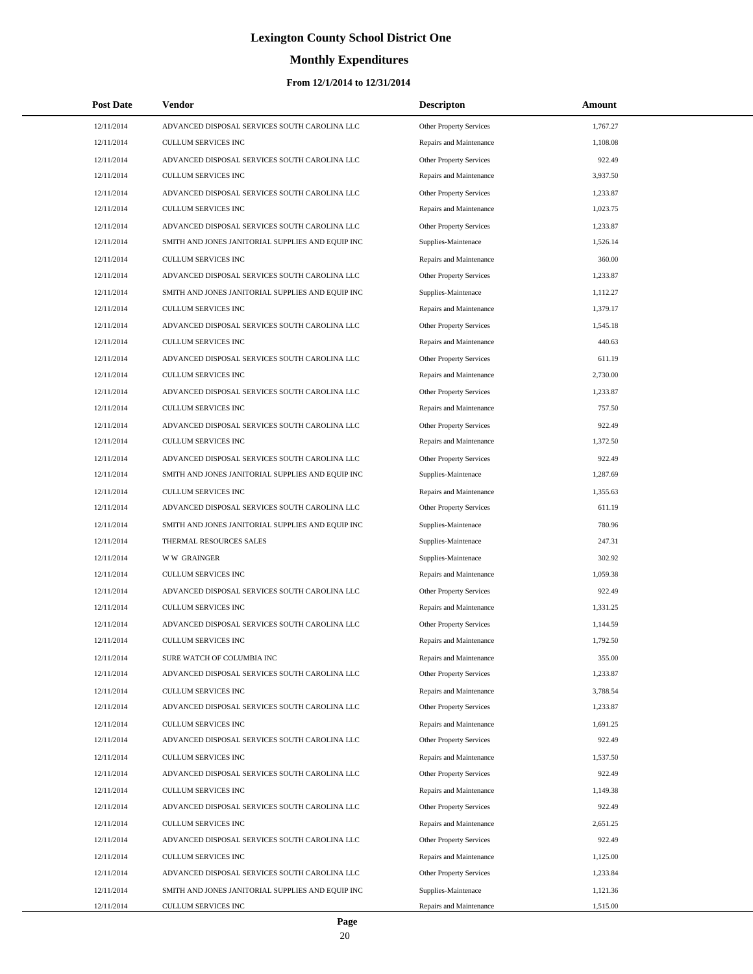# **Monthly Expenditures**

| <b>Post Date</b> | Vendor                                            | <b>Descripton</b>              | Amount   |
|------------------|---------------------------------------------------|--------------------------------|----------|
| 12/11/2014       | ADVANCED DISPOSAL SERVICES SOUTH CAROLINA LLC     | Other Property Services        | 1,767.27 |
| 12/11/2014       | CULLUM SERVICES INC                               | Repairs and Maintenance        | 1,108.08 |
| 12/11/2014       | ADVANCED DISPOSAL SERVICES SOUTH CAROLINA LLC     | Other Property Services        | 922.49   |
| 12/11/2014       | <b>CULLUM SERVICES INC</b>                        | Repairs and Maintenance        | 3,937.50 |
| 12/11/2014       | ADVANCED DISPOSAL SERVICES SOUTH CAROLINA LLC     | Other Property Services        | 1,233.87 |
| 12/11/2014       | CULLUM SERVICES INC                               | Repairs and Maintenance        | 1,023.75 |
| 12/11/2014       | ADVANCED DISPOSAL SERVICES SOUTH CAROLINA LLC     | Other Property Services        | 1,233.87 |
| 12/11/2014       | SMITH AND JONES JANITORIAL SUPPLIES AND EQUIP INC | Supplies-Maintenace            | 1.526.14 |
| 12/11/2014       | CULLUM SERVICES INC                               | Repairs and Maintenance        | 360.00   |
| 12/11/2014       | ADVANCED DISPOSAL SERVICES SOUTH CAROLINA LLC     | Other Property Services        | 1,233.87 |
| 12/11/2014       | SMITH AND JONES JANITORIAL SUPPLIES AND EQUIP INC | Supplies-Maintenace            | 1,112.27 |
| 12/11/2014       | <b>CULLUM SERVICES INC</b>                        | Repairs and Maintenance        | 1,379.17 |
| 12/11/2014       | ADVANCED DISPOSAL SERVICES SOUTH CAROLINA LLC     | Other Property Services        | 1,545.18 |
| 12/11/2014       | CULLUM SERVICES INC                               | Repairs and Maintenance        | 440.63   |
| 12/11/2014       | ADVANCED DISPOSAL SERVICES SOUTH CAROLINA LLC     | Other Property Services        | 611.19   |
| 12/11/2014       | CULLUM SERVICES INC                               | Repairs and Maintenance        | 2,730.00 |
| 12/11/2014       | ADVANCED DISPOSAL SERVICES SOUTH CAROLINA LLC     | Other Property Services        | 1,233.87 |
| 12/11/2014       | CULLUM SERVICES INC                               | Repairs and Maintenance        | 757.50   |
| 12/11/2014       | ADVANCED DISPOSAL SERVICES SOUTH CAROLINA LLC     | Other Property Services        | 922.49   |
| 12/11/2014       | <b>CULLUM SERVICES INC</b>                        | Repairs and Maintenance        | 1,372.50 |
| 12/11/2014       | ADVANCED DISPOSAL SERVICES SOUTH CAROLINA LLC     | Other Property Services        | 922.49   |
| 12/11/2014       | SMITH AND JONES JANITORIAL SUPPLIES AND EQUIP INC | Supplies-Maintenace            | 1,287.69 |
| 12/11/2014       | CULLUM SERVICES INC                               | Repairs and Maintenance        | 1,355.63 |
| 12/11/2014       | ADVANCED DISPOSAL SERVICES SOUTH CAROLINA LLC     | Other Property Services        | 611.19   |
| 12/11/2014       | SMITH AND JONES JANITORIAL SUPPLIES AND EQUIP INC | Supplies-Maintenace            | 780.96   |
| 12/11/2014       | THERMAL RESOURCES SALES                           | Supplies-Maintenace            | 247.31   |
| 12/11/2014       | <b>WW GRAINGER</b>                                | Supplies-Maintenace            | 302.92   |
| 12/11/2014       | <b>CULLUM SERVICES INC</b>                        | Repairs and Maintenance        | 1,059.38 |
| 12/11/2014       | ADVANCED DISPOSAL SERVICES SOUTH CAROLINA LLC     | Other Property Services        | 922.49   |
| 12/11/2014       | CULLUM SERVICES INC                               | Repairs and Maintenance        | 1,331.25 |
| 12/11/2014       | ADVANCED DISPOSAL SERVICES SOUTH CAROLINA LLC     | <b>Other Property Services</b> | 1,144.59 |
| 12/11/2014       | <b>CULLUM SERVICES INC</b>                        | Repairs and Maintenance        | 1,792.50 |
| 12/11/2014       | SURE WATCH OF COLUMBIA INC                        | Repairs and Maintenance        | 355.00   |
| 12/11/2014       | ADVANCED DISPOSAL SERVICES SOUTH CAROLINA LLC     | Other Property Services        | 1,233.87 |
| 12/11/2014       | CULLUM SERVICES INC                               | Repairs and Maintenance        | 3,788.54 |
| 12/11/2014       | ADVANCED DISPOSAL SERVICES SOUTH CAROLINA LLC     | Other Property Services        | 1,233.87 |
| 12/11/2014       | CULLUM SERVICES INC                               | Repairs and Maintenance        | 1,691.25 |
| 12/11/2014       | ADVANCED DISPOSAL SERVICES SOUTH CAROLINA LLC     | Other Property Services        | 922.49   |
| 12/11/2014       | <b>CULLUM SERVICES INC</b>                        | Repairs and Maintenance        | 1,537.50 |
| 12/11/2014       | ADVANCED DISPOSAL SERVICES SOUTH CAROLINA LLC     | Other Property Services        | 922.49   |
| 12/11/2014       | CULLUM SERVICES INC                               | Repairs and Maintenance        | 1,149.38 |
| 12/11/2014       | ADVANCED DISPOSAL SERVICES SOUTH CAROLINA LLC     | Other Property Services        | 922.49   |
| 12/11/2014       | CULLUM SERVICES INC                               | Repairs and Maintenance        | 2,651.25 |
| 12/11/2014       | ADVANCED DISPOSAL SERVICES SOUTH CAROLINA LLC     | Other Property Services        | 922.49   |
| 12/11/2014       | CULLUM SERVICES INC                               | Repairs and Maintenance        | 1,125.00 |
| 12/11/2014       | ADVANCED DISPOSAL SERVICES SOUTH CAROLINA LLC     | Other Property Services        | 1,233.84 |
| 12/11/2014       | SMITH AND JONES JANITORIAL SUPPLIES AND EQUIP INC | Supplies-Maintenace            | 1,121.36 |
| 12/11/2014       | CULLUM SERVICES INC                               | Repairs and Maintenance        | 1,515.00 |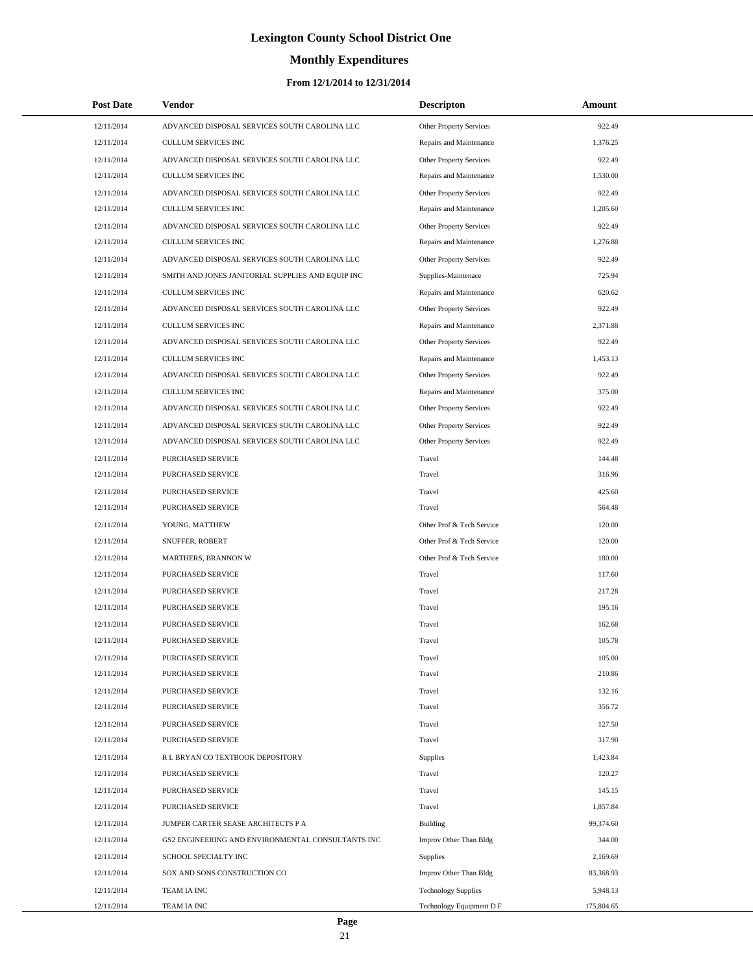# **Monthly Expenditures**

| <b>Post Date</b> | Vendor                                            | <b>Descripton</b>              | Amount     |
|------------------|---------------------------------------------------|--------------------------------|------------|
| 12/11/2014       | ADVANCED DISPOSAL SERVICES SOUTH CAROLINA LLC     | Other Property Services        | 922.49     |
| 12/11/2014       | <b>CULLUM SERVICES INC</b>                        | Repairs and Maintenance        | 1,376.25   |
| 12/11/2014       | ADVANCED DISPOSAL SERVICES SOUTH CAROLINA LLC     | Other Property Services        | 922.49     |
| 12/11/2014       | <b>CULLUM SERVICES INC</b>                        | Repairs and Maintenance        | 1,530.00   |
| 12/11/2014       | ADVANCED DISPOSAL SERVICES SOUTH CAROLINA LLC     | Other Property Services        | 922.49     |
| 12/11/2014       | <b>CULLUM SERVICES INC</b>                        | Repairs and Maintenance        | 1,205.60   |
| 12/11/2014       | ADVANCED DISPOSAL SERVICES SOUTH CAROLINA LLC     | Other Property Services        | 922.49     |
| 12/11/2014       | <b>CULLUM SERVICES INC</b>                        | Repairs and Maintenance        | 1,276.88   |
| 12/11/2014       | ADVANCED DISPOSAL SERVICES SOUTH CAROLINA LLC     | <b>Other Property Services</b> | 922.49     |
| 12/11/2014       | SMITH AND JONES JANITORIAL SUPPLIES AND EQUIP INC | Supplies-Maintenace            | 725.94     |
| 12/11/2014       | <b>CULLUM SERVICES INC</b>                        | Repairs and Maintenance        | 620.62     |
| 12/11/2014       | ADVANCED DISPOSAL SERVICES SOUTH CAROLINA LLC     | Other Property Services        | 922.49     |
| 12/11/2014       | <b>CULLUM SERVICES INC</b>                        | Repairs and Maintenance        | 2,371.88   |
| 12/11/2014       | ADVANCED DISPOSAL SERVICES SOUTH CAROLINA LLC     | Other Property Services        | 922.49     |
| 12/11/2014       | <b>CULLUM SERVICES INC</b>                        | Repairs and Maintenance        | 1,453.13   |
| 12/11/2014       | ADVANCED DISPOSAL SERVICES SOUTH CAROLINA LLC     | Other Property Services        | 922.49     |
| 12/11/2014       | <b>CULLUM SERVICES INC</b>                        | Repairs and Maintenance        | 375.00     |
| 12/11/2014       | ADVANCED DISPOSAL SERVICES SOUTH CAROLINA LLC     | Other Property Services        | 922.49     |
| 12/11/2014       | ADVANCED DISPOSAL SERVICES SOUTH CAROLINA LLC     | <b>Other Property Services</b> | 922.49     |
| 12/11/2014       | ADVANCED DISPOSAL SERVICES SOUTH CAROLINA LLC     | Other Property Services        | 922.49     |
| 12/11/2014       | PURCHASED SERVICE                                 | Travel                         | 144.48     |
| 12/11/2014       | PURCHASED SERVICE                                 | Travel                         | 316.96     |
| 12/11/2014       | PURCHASED SERVICE                                 | Travel                         | 425.60     |
| 12/11/2014       | PURCHASED SERVICE                                 | Travel                         | 564.48     |
| 12/11/2014       | YOUNG, MATTHEW                                    | Other Prof & Tech Service      | 120.00     |
| 12/11/2014       | SNUFFER, ROBERT                                   | Other Prof & Tech Service      | 120.00     |
| 12/11/2014       | MARTHERS, BRANNON W                               | Other Prof & Tech Service      | 180.00     |
| 12/11/2014       | PURCHASED SERVICE                                 | Travel                         | 117.60     |
| 12/11/2014       | PURCHASED SERVICE                                 | Travel                         | 217.28     |
| 12/11/2014       | PURCHASED SERVICE                                 | Travel                         | 195.16     |
| 12/11/2014       | PURCHASED SERVICE                                 | Travel                         | 162.68     |
| 12/11/2014       | PURCHASED SERVICE                                 | Travel                         | 105.78     |
| 12/11/2014       | PURCHASED SERVICE                                 | Travel                         | 105.00     |
| 12/11/2014       | PURCHASED SERVICE                                 | Travel                         | 210.86     |
| 12/11/2014       | PURCHASED SERVICE                                 | Travel                         | 132.16     |
| 12/11/2014       | PURCHASED SERVICE                                 | Travel                         | 356.72     |
| 12/11/2014       | PURCHASED SERVICE                                 | Travel                         | 127.50     |
| 12/11/2014       | PURCHASED SERVICE                                 | Travel                         | 317.90     |
| 12/11/2014       | R L BRYAN CO TEXTBOOK DEPOSITORY                  | Supplies                       | 1,423.84   |
| 12/11/2014       | PURCHASED SERVICE                                 | Travel                         | 120.27     |
| 12/11/2014       | PURCHASED SERVICE                                 | Travel                         | 145.15     |
| 12/11/2014       | PURCHASED SERVICE                                 | Travel                         | 1,857.84   |
| 12/11/2014       | JUMPER CARTER SEASE ARCHITECTS P A                | Building                       | 99,374.60  |
| 12/11/2014       | GS2 ENGINEERING AND ENVIRONMENTAL CONSULTANTS INC | Improv Other Than Bldg         | 344.00     |
| 12/11/2014       | SCHOOL SPECIALTY INC                              | <b>Supplies</b>                | 2,169.69   |
| 12/11/2014       | SOX AND SONS CONSTRUCTION CO                      | Improv Other Than Bldg         | 83,368.93  |
| 12/11/2014       | TEAM IA INC                                       | <b>Technology Supplies</b>     | 5,948.13   |
| 12/11/2014       | TEAM IA INC                                       | Technology Equipment D F       | 175,804.65 |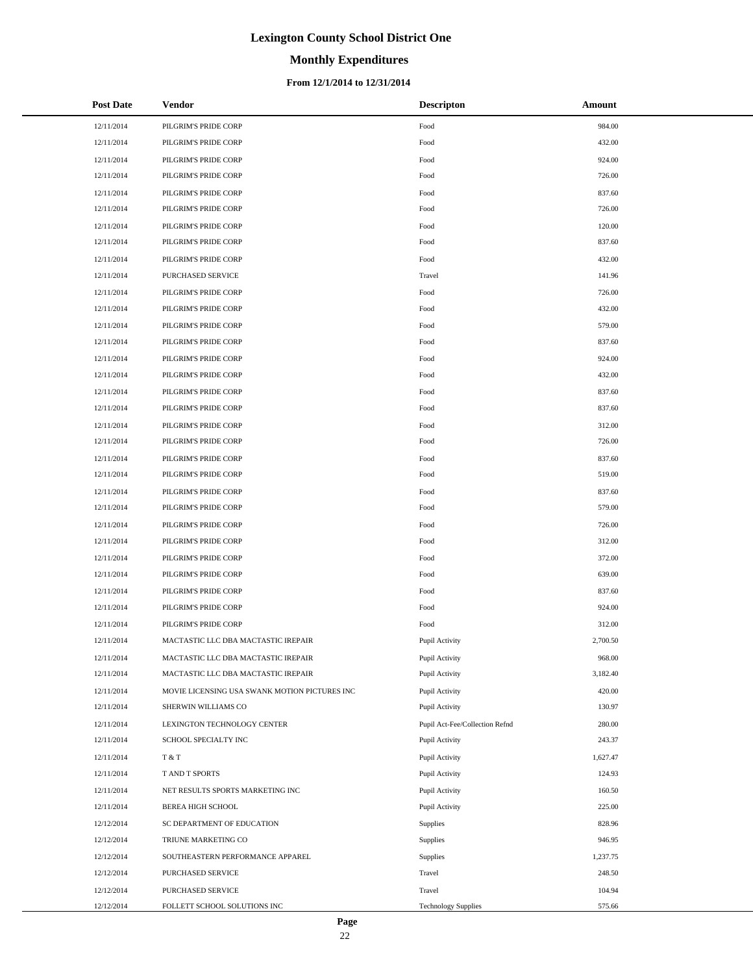# **Monthly Expenditures**

### **From 12/1/2014 to 12/31/2014**

| <b>Post Date</b> | Vendor                                        | <b>Descripton</b>              | Amount   |
|------------------|-----------------------------------------------|--------------------------------|----------|
| 12/11/2014       | PILGRIM'S PRIDE CORP                          | Food                           | 984.00   |
| 12/11/2014       | PILGRIM'S PRIDE CORP                          | Food                           | 432.00   |
| 12/11/2014       | PILGRIM'S PRIDE CORP                          | Food                           | 924.00   |
| 12/11/2014       | PILGRIM'S PRIDE CORP                          | Food                           | 726.00   |
| 12/11/2014       | PILGRIM'S PRIDE CORP                          | Food                           | 837.60   |
| 12/11/2014       | PILGRIM'S PRIDE CORP                          | Food                           | 726.00   |
| 12/11/2014       | PILGRIM'S PRIDE CORP                          | Food                           | 120.00   |
| 12/11/2014       | PILGRIM'S PRIDE CORP                          | Food                           | 837.60   |
| 12/11/2014       | PILGRIM'S PRIDE CORP                          | Food                           | 432.00   |
| 12/11/2014       | PURCHASED SERVICE                             | Travel                         | 141.96   |
| 12/11/2014       | PILGRIM'S PRIDE CORP                          | Food                           | 726.00   |
| 12/11/2014       | PILGRIM'S PRIDE CORP                          | Food                           | 432.00   |
| 12/11/2014       | PILGRIM'S PRIDE CORP                          | Food                           | 579.00   |
| 12/11/2014       | PILGRIM'S PRIDE CORP                          | Food                           | 837.60   |
| 12/11/2014       | PILGRIM'S PRIDE CORP                          | Food                           | 924.00   |
| 12/11/2014       | PILGRIM'S PRIDE CORP                          | Food                           | 432.00   |
| 12/11/2014       | PILGRIM'S PRIDE CORP                          | Food                           | 837.60   |
| 12/11/2014       | PILGRIM'S PRIDE CORP                          | Food                           | 837.60   |
| 12/11/2014       | PILGRIM'S PRIDE CORP                          | Food                           | 312.00   |
| 12/11/2014       | PILGRIM'S PRIDE CORP                          | Food                           | 726.00   |
| 12/11/2014       | PILGRIM'S PRIDE CORP                          | Food                           | 837.60   |
| 12/11/2014       | PILGRIM'S PRIDE CORP                          | Food                           | 519.00   |
| 12/11/2014       | PILGRIM'S PRIDE CORP                          | Food                           | 837.60   |
| 12/11/2014       | PILGRIM'S PRIDE CORP                          | Food                           | 579.00   |
| 12/11/2014       | PILGRIM'S PRIDE CORP                          | Food                           | 726.00   |
| 12/11/2014       | PILGRIM'S PRIDE CORP                          | Food                           | 312.00   |
| 12/11/2014       | PILGRIM'S PRIDE CORP                          | Food                           | 372.00   |
| 12/11/2014       | PILGRIM'S PRIDE CORP                          | Food                           | 639.00   |
| 12/11/2014       | PILGRIM'S PRIDE CORP                          | Food                           | 837.60   |
| 12/11/2014       | PILGRIM'S PRIDE CORP                          | Food                           | 924.00   |
| 12/11/2014       | PILGRIM'S PRIDE CORP                          | Food                           | 312.00   |
| 12/11/2014       | MACTASTIC LLC DBA MACTASTIC IREPAIR           | Pupil Activity                 | 2,700.50 |
| 12/11/2014       | MACTASTIC LLC DBA MACTASTIC IREPAIR           | Pupil Activity                 | 968.00   |
| 12/11/2014       | MACTASTIC LLC DBA MACTASTIC IREPAIR           | Pupil Activity                 | 3,182.40 |
| 12/11/2014       | MOVIE LICENSING USA SWANK MOTION PICTURES INC | Pupil Activity                 | 420.00   |
| 12/11/2014       | SHERWIN WILLIAMS CO                           | Pupil Activity                 | 130.97   |
| 12/11/2014       | LEXINGTON TECHNOLOGY CENTER                   | Pupil Act-Fee/Collection Refnd | 280.00   |
| 12/11/2014       | SCHOOL SPECIALTY INC                          | Pupil Activity                 | 243.37   |
| 12/11/2014       | T & T                                         | Pupil Activity                 | 1,627.47 |
| 12/11/2014       | <b>TAND T SPORTS</b>                          | Pupil Activity                 | 124.93   |
| 12/11/2014       | NET RESULTS SPORTS MARKETING INC              | Pupil Activity                 | 160.50   |
| 12/11/2014       | BEREA HIGH SCHOOL                             | Pupil Activity                 | 225.00   |
| 12/12/2014       | SC DEPARTMENT OF EDUCATION                    | Supplies                       | 828.96   |
| 12/12/2014       | TRIUNE MARKETING CO                           | Supplies                       | 946.95   |
| 12/12/2014       | SOUTHEASTERN PERFORMANCE APPAREL              | <b>Supplies</b>                | 1,237.75 |
| 12/12/2014       | PURCHASED SERVICE                             | Travel                         | 248.50   |
| 12/12/2014       | PURCHASED SERVICE                             | Travel                         | 104.94   |
| 12/12/2014       | FOLLETT SCHOOL SOLUTIONS INC                  | <b>Technology Supplies</b>     | 575.66   |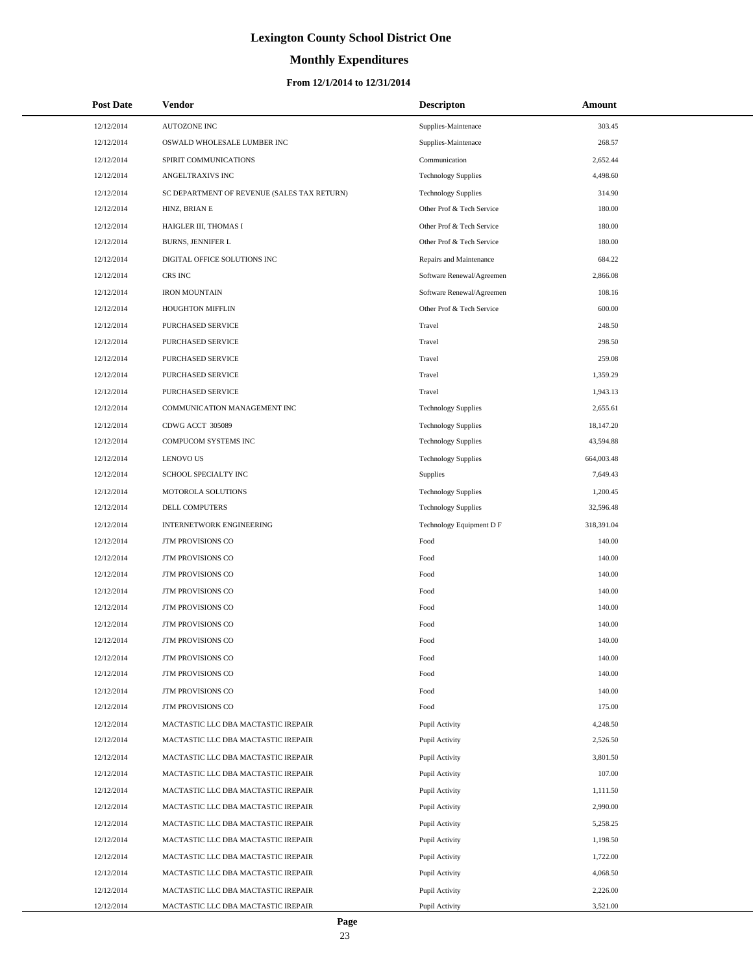# **Monthly Expenditures**

### **From 12/1/2014 to 12/31/2014**

| <b>Post Date</b> | Vendor                                      | <b>Descripton</b>          | Amount     |
|------------------|---------------------------------------------|----------------------------|------------|
| 12/12/2014       | <b>AUTOZONE INC</b>                         | Supplies-Maintenace        | 303.45     |
| 12/12/2014       | OSWALD WHOLESALE LUMBER INC                 | Supplies-Maintenace        | 268.57     |
| 12/12/2014       | SPIRIT COMMUNICATIONS                       | Communication              | 2,652.44   |
| 12/12/2014       | ANGELTRAXIVS INC                            | <b>Technology Supplies</b> | 4,498.60   |
| 12/12/2014       | SC DEPARTMENT OF REVENUE (SALES TAX RETURN) | <b>Technology Supplies</b> | 314.90     |
| 12/12/2014       | HINZ, BRIAN E                               | Other Prof & Tech Service  | 180.00     |
| 12/12/2014       | HAIGLER III, THOMAS I                       | Other Prof & Tech Service  | 180.00     |
| 12/12/2014       | <b>BURNS, JENNIFER L</b>                    | Other Prof & Tech Service  | 180.00     |
| 12/12/2014       | DIGITAL OFFICE SOLUTIONS INC                | Repairs and Maintenance    | 684.22     |
| 12/12/2014       | CRS INC                                     | Software Renewal/Agreemen  | 2,866.08   |
| 12/12/2014       | <b>IRON MOUNTAIN</b>                        | Software Renewal/Agreemen  | 108.16     |
| 12/12/2014       | HOUGHTON MIFFLIN                            | Other Prof & Tech Service  | 600.00     |
| 12/12/2014       | PURCHASED SERVICE                           | Travel                     | 248.50     |
| 12/12/2014       | PURCHASED SERVICE                           | Travel                     | 298.50     |
| 12/12/2014       | PURCHASED SERVICE                           | Travel                     | 259.08     |
| 12/12/2014       | PURCHASED SERVICE                           | Travel                     | 1,359.29   |
| 12/12/2014       | PURCHASED SERVICE                           | Travel                     | 1,943.13   |
| 12/12/2014       | COMMUNICATION MANAGEMENT INC                | <b>Technology Supplies</b> | 2,655.61   |
| 12/12/2014       | CDWG ACCT 305089                            | <b>Technology Supplies</b> | 18,147.20  |
| 12/12/2014       | COMPUCOM SYSTEMS INC                        | <b>Technology Supplies</b> | 43,594.88  |
| 12/12/2014       | <b>LENOVO US</b>                            | <b>Technology Supplies</b> | 664,003.48 |
| 12/12/2014       | SCHOOL SPECIALTY INC                        | Supplies                   | 7,649.43   |
| 12/12/2014       | MOTOROLA SOLUTIONS                          | <b>Technology Supplies</b> | 1,200.45   |
| 12/12/2014       | DELL COMPUTERS                              | <b>Technology Supplies</b> | 32,596.48  |
| 12/12/2014       | <b>INTERNETWORK ENGINEERING</b>             | Technology Equipment D F   | 318,391.04 |
| 12/12/2014       | JTM PROVISIONS CO                           | Food                       | 140.00     |
| 12/12/2014       | <b>JTM PROVISIONS CO</b>                    | Food                       | 140.00     |
| 12/12/2014       | JTM PROVISIONS CO                           | Food                       | 140.00     |
| 12/12/2014       | JTM PROVISIONS CO                           | Food                       | 140.00     |
| 12/12/2014       | <b>JTM PROVISIONS CO</b>                    | Food                       | 140.00     |
| 12/12/2014       | <b>JTM PROVISIONS CO</b>                    | Food                       | 140.00     |
| 12/12/2014       | JTM PROVISIONS CO                           | Food                       | 140.00     |
| 12/12/2014       | JTM PROVISIONS CO                           | Food                       | 140.00     |
| 12/12/2014       | JTM PROVISIONS CO                           | Food                       | 140.00     |
| 12/12/2014       | JTM PROVISIONS CO                           | Food                       | 140.00     |
| 12/12/2014       | JTM PROVISIONS CO                           | Food                       | 175.00     |
| 12/12/2014       | MACTASTIC LLC DBA MACTASTIC IREPAIR         | Pupil Activity             | 4,248.50   |
| 12/12/2014       | MACTASTIC LLC DBA MACTASTIC IREPAIR         | Pupil Activity             | 2,526.50   |
| 12/12/2014       | MACTASTIC LLC DBA MACTASTIC IREPAIR         | Pupil Activity             | 3,801.50   |
| 12/12/2014       | MACTASTIC LLC DBA MACTASTIC IREPAIR         | Pupil Activity             | 107.00     |
| 12/12/2014       | MACTASTIC LLC DBA MACTASTIC IREPAIR         | Pupil Activity             | 1,111.50   |
| 12/12/2014       | MACTASTIC LLC DBA MACTASTIC IREPAIR         | Pupil Activity             | 2,990.00   |
| 12/12/2014       | MACTASTIC LLC DBA MACTASTIC IREPAIR         | Pupil Activity             | 5,258.25   |
| 12/12/2014       | MACTASTIC LLC DBA MACTASTIC IREPAIR         | Pupil Activity             | 1,198.50   |
| 12/12/2014       | MACTASTIC LLC DBA MACTASTIC IREPAIR         | Pupil Activity             | 1,722.00   |
| 12/12/2014       | MACTASTIC LLC DBA MACTASTIC IREPAIR         | Pupil Activity             | 4,068.50   |
| 12/12/2014       | MACTASTIC LLC DBA MACTASTIC IREPAIR         | Pupil Activity             | 2,226.00   |
| 12/12/2014       | MACTASTIC LLC DBA MACTASTIC IREPAIR         | Pupil Activity             | 3,521.00   |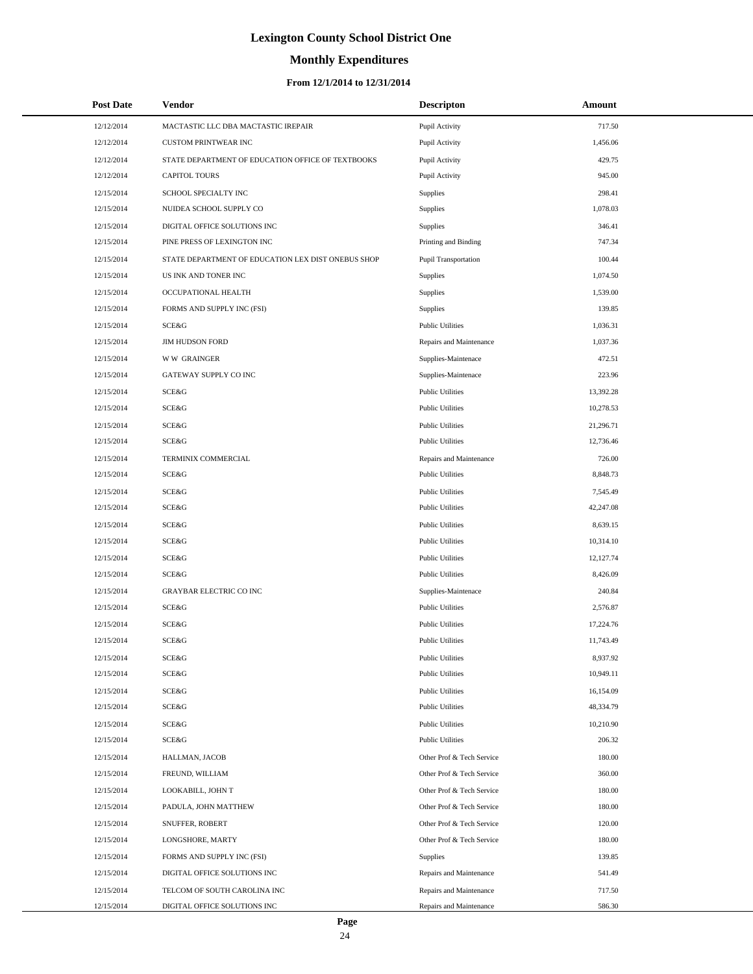# **Monthly Expenditures**

### **From 12/1/2014 to 12/31/2014**

| <b>Post Date</b> | Vendor                                             | <b>Descripton</b>           | Amount    |  |
|------------------|----------------------------------------------------|-----------------------------|-----------|--|
| 12/12/2014       | MACTASTIC LLC DBA MACTASTIC IREPAIR                | Pupil Activity              | 717.50    |  |
| 12/12/2014       | <b>CUSTOM PRINTWEAR INC</b>                        | Pupil Activity              | 1,456.06  |  |
| 12/12/2014       | STATE DEPARTMENT OF EDUCATION OFFICE OF TEXTBOOKS  | Pupil Activity              | 429.75    |  |
| 12/12/2014       | <b>CAPITOL TOURS</b>                               | Pupil Activity              | 945.00    |  |
| 12/15/2014       | SCHOOL SPECIALTY INC                               | <b>Supplies</b>             | 298.41    |  |
| 12/15/2014       | NUIDEA SCHOOL SUPPLY CO                            | <b>Supplies</b>             | 1,078.03  |  |
| 12/15/2014       | DIGITAL OFFICE SOLUTIONS INC                       | <b>Supplies</b>             | 346.41    |  |
| 12/15/2014       | PINE PRESS OF LEXINGTON INC                        | Printing and Binding        | 747.34    |  |
| 12/15/2014       | STATE DEPARTMENT OF EDUCATION LEX DIST ONEBUS SHOP | <b>Pupil Transportation</b> | 100.44    |  |
| 12/15/2014       | US INK AND TONER INC                               | <b>Supplies</b>             | 1,074.50  |  |
| 12/15/2014       | OCCUPATIONAL HEALTH                                | Supplies                    | 1,539.00  |  |
| 12/15/2014       | FORMS AND SUPPLY INC (FSI)                         | <b>Supplies</b>             | 139.85    |  |
| 12/15/2014       | <b>SCE&amp;G</b>                                   | <b>Public Utilities</b>     | 1,036.31  |  |
| 12/15/2014       | <b>JIM HUDSON FORD</b>                             | Repairs and Maintenance     | 1,037.36  |  |
| 12/15/2014       | <b>WW GRAINGER</b>                                 | Supplies-Maintenace         | 472.51    |  |
| 12/15/2014       | GATEWAY SUPPLY CO INC                              | Supplies-Maintenace         | 223.96    |  |
| 12/15/2014       | SCE&G                                              | <b>Public Utilities</b>     | 13,392.28 |  |
| 12/15/2014       | <b>SCE&amp;G</b>                                   | <b>Public Utilities</b>     | 10,278.53 |  |
| 12/15/2014       | <b>SCE&amp;G</b>                                   | <b>Public Utilities</b>     | 21,296.71 |  |
| 12/15/2014       | <b>SCE&amp;G</b>                                   | <b>Public Utilities</b>     | 12,736.46 |  |
| 12/15/2014       | TERMINIX COMMERCIAL                                | Repairs and Maintenance     | 726.00    |  |
| 12/15/2014       | SCE&G                                              | <b>Public Utilities</b>     | 8,848.73  |  |
| 12/15/2014       | <b>SCE&amp;G</b>                                   | <b>Public Utilities</b>     | 7,545.49  |  |
| 12/15/2014       | SCE&G                                              | <b>Public Utilities</b>     | 42,247.08 |  |
| 12/15/2014       | <b>SCE&amp;G</b>                                   | <b>Public Utilities</b>     | 8,639.15  |  |
| 12/15/2014       | SCE&G                                              | <b>Public Utilities</b>     | 10,314.10 |  |
| 12/15/2014       | <b>SCE&amp;G</b>                                   | <b>Public Utilities</b>     | 12,127.74 |  |
| 12/15/2014       | <b>SCE&amp;G</b>                                   | <b>Public Utilities</b>     | 8,426.09  |  |
| 12/15/2014       | <b>GRAYBAR ELECTRIC CO INC</b>                     | Supplies-Maintenace         | 240.84    |  |
| 12/15/2014       | <b>SCE&amp;G</b>                                   | <b>Public Utilities</b>     | 2,576.87  |  |
| 12/15/2014       | <b>SCE&amp;G</b>                                   | <b>Public Utilities</b>     | 17,224.76 |  |
| 12/15/2014       | SCE&G                                              | <b>Public Utilities</b>     | 11,743.49 |  |
| 12/15/2014       | SCE&G                                              | <b>Public Utilities</b>     | 8,937.92  |  |
| 12/15/2014       | SCE&G                                              | <b>Public Utilities</b>     | 10,949.11 |  |
| 12/15/2014       | SCE&G                                              | <b>Public Utilities</b>     | 16,154.09 |  |
| 12/15/2014       | SCE&G                                              | <b>Public Utilities</b>     | 48,334.79 |  |
| 12/15/2014       | SCE&G                                              | <b>Public Utilities</b>     | 10,210.90 |  |
| 12/15/2014       | SCE&G                                              | <b>Public Utilities</b>     | 206.32    |  |
| 12/15/2014       | HALLMAN, JACOB                                     | Other Prof & Tech Service   | 180.00    |  |
| 12/15/2014       | FREUND, WILLIAM                                    | Other Prof & Tech Service   | 360.00    |  |
| 12/15/2014       | LOOKABILL, JOHN T                                  | Other Prof & Tech Service   | 180.00    |  |
| 12/15/2014       | PADULA, JOHN MATTHEW                               | Other Prof & Tech Service   | 180.00    |  |
| 12/15/2014       | SNUFFER, ROBERT                                    | Other Prof & Tech Service   | 120.00    |  |
| 12/15/2014       | LONGSHORE, MARTY                                   | Other Prof & Tech Service   | 180.00    |  |
| 12/15/2014       | FORMS AND SUPPLY INC (FSI)                         | Supplies                    | 139.85    |  |
| 12/15/2014       | DIGITAL OFFICE SOLUTIONS INC                       | Repairs and Maintenance     | 541.49    |  |
| 12/15/2014       | TELCOM OF SOUTH CAROLINA INC                       | Repairs and Maintenance     | 717.50    |  |
| 12/15/2014       | DIGITAL OFFICE SOLUTIONS INC                       | Repairs and Maintenance     | 586.30    |  |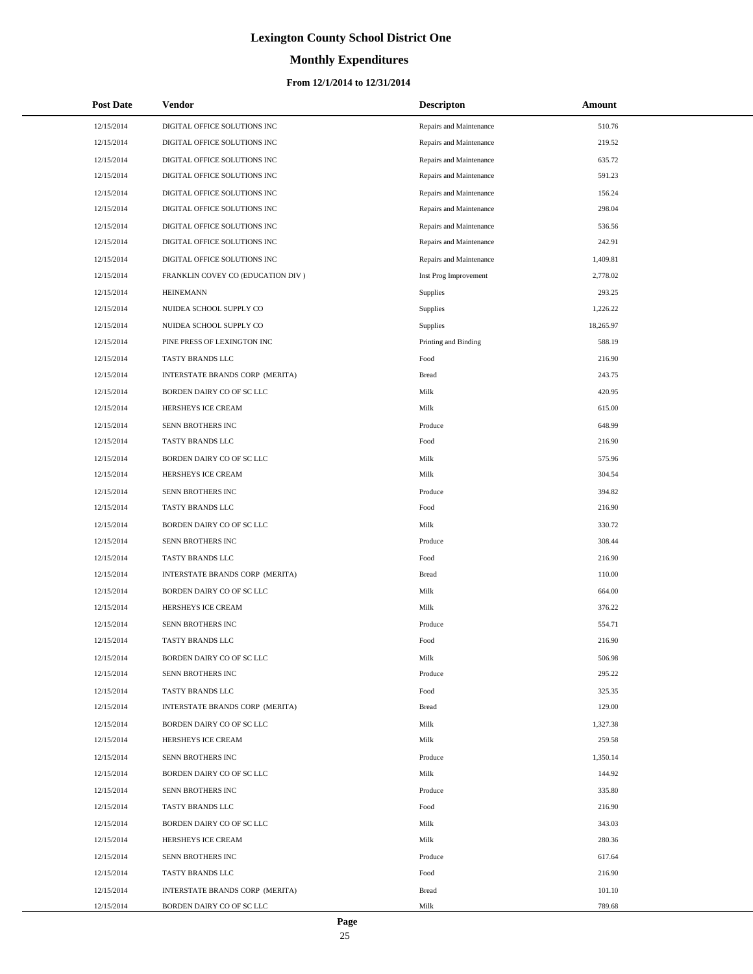# **Monthly Expenditures**

### **From 12/1/2014 to 12/31/2014**

| <b>Post Date</b> | Vendor                             | <b>Descripton</b>       | Amount    |
|------------------|------------------------------------|-------------------------|-----------|
| 12/15/2014       | DIGITAL OFFICE SOLUTIONS INC       | Repairs and Maintenance | 510.76    |
| 12/15/2014       | DIGITAL OFFICE SOLUTIONS INC       | Repairs and Maintenance | 219.52    |
| 12/15/2014       | DIGITAL OFFICE SOLUTIONS INC       | Repairs and Maintenance | 635.72    |
| 12/15/2014       | DIGITAL OFFICE SOLUTIONS INC       | Repairs and Maintenance | 591.23    |
| 12/15/2014       | DIGITAL OFFICE SOLUTIONS INC       | Repairs and Maintenance | 156.24    |
| 12/15/2014       | DIGITAL OFFICE SOLUTIONS INC       | Repairs and Maintenance | 298.04    |
| 12/15/2014       | DIGITAL OFFICE SOLUTIONS INC       | Repairs and Maintenance | 536.56    |
| 12/15/2014       | DIGITAL OFFICE SOLUTIONS INC       | Repairs and Maintenance | 242.91    |
| 12/15/2014       | DIGITAL OFFICE SOLUTIONS INC       | Repairs and Maintenance | 1,409.81  |
| 12/15/2014       | FRANKLIN COVEY CO (EDUCATION DIV ) | Inst Prog Improvement   | 2,778.02  |
| 12/15/2014       | <b>HEINEMANN</b>                   | Supplies                | 293.25    |
| 12/15/2014       | NUIDEA SCHOOL SUPPLY CO            | Supplies                | 1,226.22  |
| 12/15/2014       | NUIDEA SCHOOL SUPPLY CO            | <b>Supplies</b>         | 18,265.97 |
| 12/15/2014       | PINE PRESS OF LEXINGTON INC        | Printing and Binding    | 588.19    |
| 12/15/2014       | TASTY BRANDS LLC                   | Food                    | 216.90    |
| 12/15/2014       | INTERSTATE BRANDS CORP (MERITA)    | <b>Bread</b>            | 243.75    |
| 12/15/2014       | BORDEN DAIRY CO OF SC LLC          | Milk                    | 420.95    |
| 12/15/2014       | HERSHEYS ICE CREAM                 | Milk                    | 615.00    |
| 12/15/2014       | SENN BROTHERS INC                  | Produce                 | 648.99    |
| 12/15/2014       | TASTY BRANDS LLC                   | Food                    | 216.90    |
| 12/15/2014       | BORDEN DAIRY CO OF SC LLC          | Milk                    | 575.96    |
| 12/15/2014       | HERSHEYS ICE CREAM                 | Milk                    | 304.54    |
| 12/15/2014       | SENN BROTHERS INC                  | Produce                 | 394.82    |
| 12/15/2014       | TASTY BRANDS LLC                   | Food                    | 216.90    |
| 12/15/2014       | BORDEN DAIRY CO OF SC LLC          | Milk                    | 330.72    |
| 12/15/2014       | SENN BROTHERS INC                  | Produce                 | 308.44    |
| 12/15/2014       | TASTY BRANDS LLC                   | Food                    | 216.90    |
| 12/15/2014       | INTERSTATE BRANDS CORP (MERITA)    | <b>Bread</b>            | 110.00    |
| 12/15/2014       | BORDEN DAIRY CO OF SC LLC          | Milk                    | 664.00    |
| 12/15/2014       | HERSHEYS ICE CREAM                 | Milk                    | 376.22    |
| 12/15/2014       | SENN BROTHERS INC                  | Produce                 | 554.71    |
| 12/15/2014       | TASTY BRANDS LLC                   | Food                    | 216.90    |
| 12/15/2014       | BORDEN DAIRY CO OF SC LLC          | Milk                    | 506.98    |
| 12/15/2014       | SENN BROTHERS INC                  | Produce                 | 295.22    |
| 12/15/2014       | TASTY BRANDS LLC                   | Food                    | 325.35    |
| 12/15/2014       | INTERSTATE BRANDS CORP (MERITA)    | <b>Bread</b>            | 129.00    |
| 12/15/2014       | BORDEN DAIRY CO OF SC LLC          | Milk                    | 1,327.38  |
| 12/15/2014       | HERSHEYS ICE CREAM                 | Milk                    | 259.58    |
| 12/15/2014       | SENN BROTHERS INC                  | Produce                 | 1,350.14  |
| 12/15/2014       | BORDEN DAIRY CO OF SC LLC          | Milk                    | 144.92    |
| 12/15/2014       | SENN BROTHERS INC                  | Produce                 | 335.80    |
| 12/15/2014       | TASTY BRANDS LLC                   | Food                    | 216.90    |
| 12/15/2014       | BORDEN DAIRY CO OF SC LLC          | Milk                    | 343.03    |
| 12/15/2014       | HERSHEYS ICE CREAM                 | Milk                    | 280.36    |
| 12/15/2014       | SENN BROTHERS INC                  | Produce                 | 617.64    |
| 12/15/2014       | TASTY BRANDS LLC                   | Food                    | 216.90    |
| 12/15/2014       | INTERSTATE BRANDS CORP (MERITA)    | <b>Bread</b>            | 101.10    |
| 12/15/2014       | BORDEN DAIRY CO OF SC LLC          | Milk                    | 789.68    |

÷.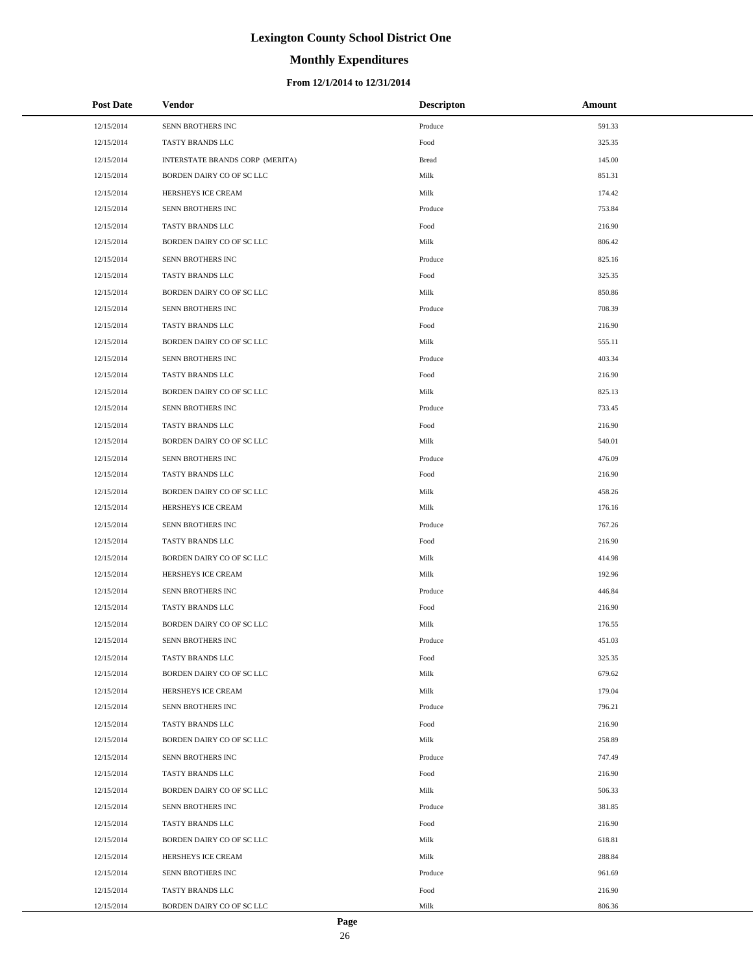# **Monthly Expenditures**

### **From 12/1/2014 to 12/31/2014**

| <b>Post Date</b> | Vendor                          | <b>Descripton</b> | Amount |
|------------------|---------------------------------|-------------------|--------|
| 12/15/2014       | SENN BROTHERS INC               | Produce           | 591.33 |
| 12/15/2014       | TASTY BRANDS LLC                | Food              | 325.35 |
| 12/15/2014       | INTERSTATE BRANDS CORP (MERITA) | <b>Bread</b>      | 145.00 |
| 12/15/2014       | BORDEN DAIRY CO OF SC LLC       | Milk              | 851.31 |
| 12/15/2014       | HERSHEYS ICE CREAM              | Milk              | 174.42 |
| 12/15/2014       | SENN BROTHERS INC               | Produce           | 753.84 |
| 12/15/2014       | TASTY BRANDS LLC                | Food              | 216.90 |
| 12/15/2014       | BORDEN DAIRY CO OF SC LLC       | Milk              | 806.42 |
| 12/15/2014       | SENN BROTHERS INC               | Produce           | 825.16 |
| 12/15/2014       | TASTY BRANDS LLC                | Food              | 325.35 |
| 12/15/2014       | BORDEN DAIRY CO OF SC LLC       | Milk              | 850.86 |
| 12/15/2014       | SENN BROTHERS INC               | Produce           | 708.39 |
| 12/15/2014       | TASTY BRANDS LLC                | Food              | 216.90 |
| 12/15/2014       | BORDEN DAIRY CO OF SC LLC       | Milk              | 555.11 |
| 12/15/2014       | SENN BROTHERS INC               | Produce           | 403.34 |
| 12/15/2014       | TASTY BRANDS LLC                | Food              | 216.90 |
| 12/15/2014       | BORDEN DAIRY CO OF SC LLC       | Milk              | 825.13 |
| 12/15/2014       | SENN BROTHERS INC               | Produce           | 733.45 |
| 12/15/2014       | TASTY BRANDS LLC                | Food              | 216.90 |
| 12/15/2014       | BORDEN DAIRY CO OF SC LLC       | Milk              | 540.01 |
| 12/15/2014       | SENN BROTHERS INC               | Produce           | 476.09 |
| 12/15/2014       | TASTY BRANDS LLC                | Food              | 216.90 |
| 12/15/2014       | BORDEN DAIRY CO OF SC LLC       | Milk              | 458.26 |
| 12/15/2014       | HERSHEYS ICE CREAM              | Milk              | 176.16 |
| 12/15/2014       | SENN BROTHERS INC               | Produce           | 767.26 |
| 12/15/2014       | TASTY BRANDS LLC                | Food              | 216.90 |
| 12/15/2014       | BORDEN DAIRY CO OF SC LLC       | Milk              | 414.98 |
| 12/15/2014       | HERSHEYS ICE CREAM              | Milk              | 192.96 |
| 12/15/2014       | SENN BROTHERS INC               | Produce           | 446.84 |
| 12/15/2014       | TASTY BRANDS LLC                | Food              | 216.90 |
| 12/15/2014       | BORDEN DAIRY CO OF SC LLC       | Milk              | 176.55 |
| 12/15/2014       | SENN BROTHERS INC               | Produce           | 451.03 |
| 12/15/2014       | TASTY BRANDS LLC                | Food              | 325.35 |
| 12/15/2014       | BORDEN DAIRY CO OF SC LLC       | Milk              | 679.62 |
| 12/15/2014       | HERSHEYS ICE CREAM              | Milk              | 179.04 |
| 12/15/2014       | SENN BROTHERS INC               | Produce           | 796.21 |
| 12/15/2014       | TASTY BRANDS LLC                | Food              | 216.90 |
| 12/15/2014       | BORDEN DAIRY CO OF SC LLC       | Milk              | 258.89 |
| 12/15/2014       | SENN BROTHERS INC               | Produce           | 747.49 |
| 12/15/2014       | TASTY BRANDS LLC                | Food              | 216.90 |
| 12/15/2014       | BORDEN DAIRY CO OF SC LLC       | Milk              | 506.33 |
| 12/15/2014       | SENN BROTHERS INC               | Produce           | 381.85 |
| 12/15/2014       | TASTY BRANDS LLC                | Food              | 216.90 |
| 12/15/2014       | BORDEN DAIRY CO OF SC LLC       | Milk              | 618.81 |
| 12/15/2014       | HERSHEYS ICE CREAM              | Milk              | 288.84 |
| 12/15/2014       | SENN BROTHERS INC               | Produce           | 961.69 |
| 12/15/2014       | TASTY BRANDS LLC                | Food              | 216.90 |
| 12/15/2014       | BORDEN DAIRY CO OF SC LLC       | Milk              | 806.36 |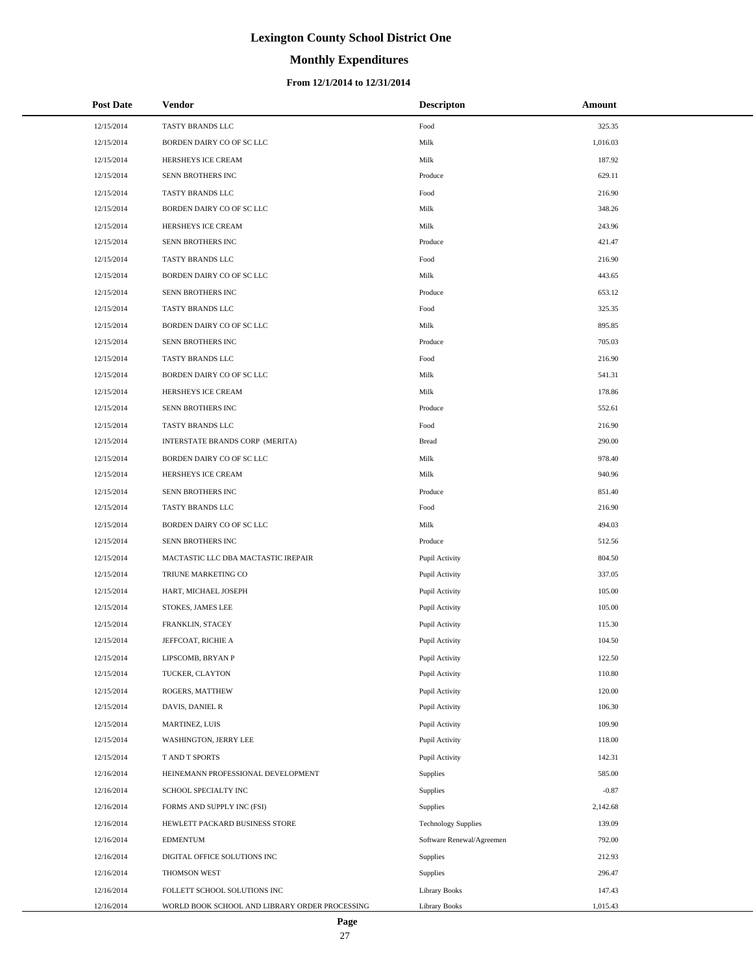# **Monthly Expenditures**

### **From 12/1/2014 to 12/31/2014**

| <b>Post Date</b> | Vendor                                         | <b>Descripton</b>          | Amount   |
|------------------|------------------------------------------------|----------------------------|----------|
| 12/15/2014       | TASTY BRANDS LLC                               | Food                       | 325.35   |
| 12/15/2014       | BORDEN DAIRY CO OF SC LLC                      | Milk                       | 1,016.03 |
| 12/15/2014       | HERSHEYS ICE CREAM                             | Milk                       | 187.92   |
| 12/15/2014       | SENN BROTHERS INC                              | Produce                    | 629.11   |
| 12/15/2014       | TASTY BRANDS LLC                               | Food                       | 216.90   |
| 12/15/2014       | BORDEN DAIRY CO OF SC LLC                      | Milk                       | 348.26   |
| 12/15/2014       | HERSHEYS ICE CREAM                             | Milk                       | 243.96   |
| 12/15/2014       | SENN BROTHERS INC                              | Produce                    | 421.47   |
| 12/15/2014       | TASTY BRANDS LLC                               | Food                       | 216.90   |
| 12/15/2014       | BORDEN DAIRY CO OF SC LLC                      | Milk                       | 443.65   |
| 12/15/2014       | SENN BROTHERS INC                              | Produce                    | 653.12   |
| 12/15/2014       | TASTY BRANDS LLC                               | Food                       | 325.35   |
| 12/15/2014       | BORDEN DAIRY CO OF SC LLC                      | Milk                       | 895.85   |
| 12/15/2014       | SENN BROTHERS INC                              | Produce                    | 705.03   |
| 12/15/2014       | TASTY BRANDS LLC                               | Food                       | 216.90   |
| 12/15/2014       | BORDEN DAIRY CO OF SC LLC                      | Milk                       | 541.31   |
| 12/15/2014       | HERSHEYS ICE CREAM                             | Milk                       | 178.86   |
| 12/15/2014       | SENN BROTHERS INC                              | Produce                    | 552.61   |
| 12/15/2014       | TASTY BRANDS LLC                               | Food                       | 216.90   |
| 12/15/2014       | INTERSTATE BRANDS CORP (MERITA)                | <b>Bread</b>               | 290.00   |
| 12/15/2014       | BORDEN DAIRY CO OF SC LLC                      | Milk                       | 978.40   |
| 12/15/2014       | HERSHEYS ICE CREAM                             | Milk                       | 940.96   |
| 12/15/2014       | SENN BROTHERS INC                              | Produce                    | 851.40   |
| 12/15/2014       | TASTY BRANDS LLC                               | Food                       | 216.90   |
| 12/15/2014       | BORDEN DAIRY CO OF SC LLC                      | Milk                       | 494.03   |
| 12/15/2014       | SENN BROTHERS INC                              | Produce                    | 512.56   |
| 12/15/2014       | MACTASTIC LLC DBA MACTASTIC IREPAIR            | Pupil Activity             | 804.50   |
| 12/15/2014       | TRIUNE MARKETING CO                            | Pupil Activity             | 337.05   |
| 12/15/2014       | HART, MICHAEL JOSEPH                           | Pupil Activity             | 105.00   |
| 12/15/2014       | STOKES, JAMES LEE                              | Pupil Activity             | 105.00   |
| 12/15/2014       | FRANKLIN, STACEY                               | Pupil Activity             | 115.30   |
| 12/15/2014       | JEFFCOAT, RICHIE A                             | Pupil Activity             | 104.50   |
| 12/15/2014       | LIPSCOMB, BRYAN P                              | Pupil Activity             | 122.50   |
| 12/15/2014       | TUCKER, CLAYTON                                | Pupil Activity             | 110.80   |
| 12/15/2014       | ROGERS, MATTHEW                                | Pupil Activity             | 120.00   |
| 12/15/2014       | DAVIS, DANIEL R                                | Pupil Activity             | 106.30   |
| 12/15/2014       | MARTINEZ, LUIS                                 | Pupil Activity             | 109.90   |
| 12/15/2014       | WASHINGTON, JERRY LEE                          | Pupil Activity             | 118.00   |
| 12/15/2014       | T AND T SPORTS                                 | Pupil Activity             | 142.31   |
| 12/16/2014       | HEINEMANN PROFESSIONAL DEVELOPMENT             | Supplies                   | 585.00   |
| 12/16/2014       | SCHOOL SPECIALTY INC                           | Supplies                   | $-0.87$  |
| 12/16/2014       | FORMS AND SUPPLY INC (FSI)                     | Supplies                   | 2,142.68 |
| 12/16/2014       | HEWLETT PACKARD BUSINESS STORE                 | <b>Technology Supplies</b> | 139.09   |
| 12/16/2014       | <b>EDMENTUM</b>                                | Software Renewal/Agreemen  | 792.00   |
| 12/16/2014       | DIGITAL OFFICE SOLUTIONS INC                   | Supplies                   | 212.93   |
| 12/16/2014       | THOMSON WEST                                   | Supplies                   | 296.47   |
| 12/16/2014       | FOLLETT SCHOOL SOLUTIONS INC                   | <b>Library Books</b>       | 147.43   |
| 12/16/2014       | WORLD BOOK SCHOOL AND LIBRARY ORDER PROCESSING | <b>Library Books</b>       | 1,015.43 |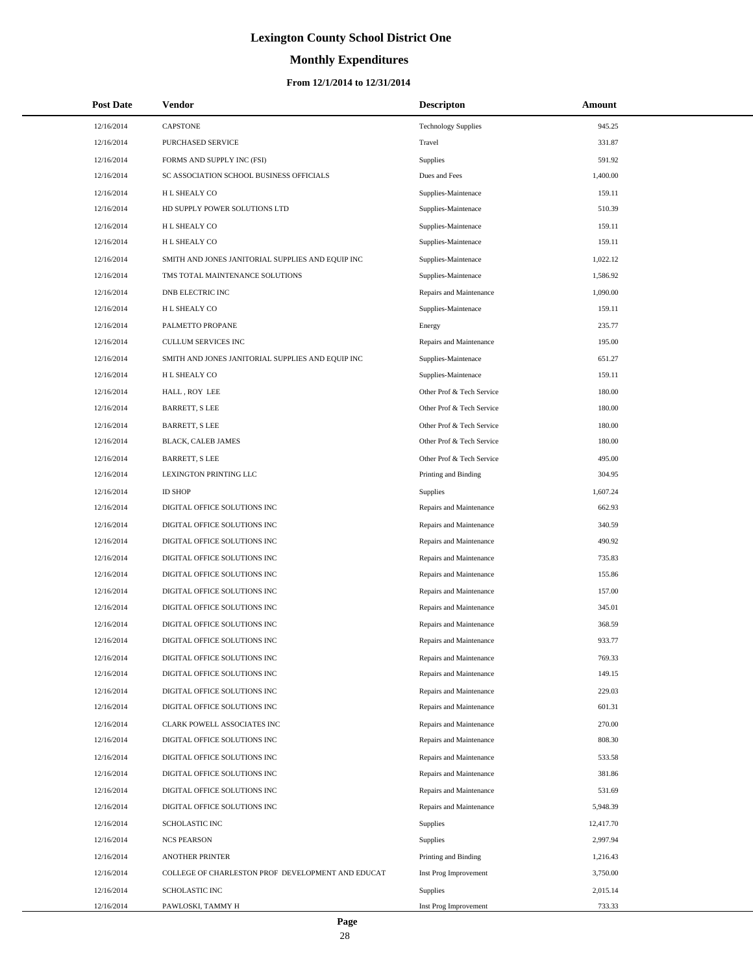# **Monthly Expenditures**

### **From 12/1/2014 to 12/31/2014**

| <b>Post Date</b> | <b>Vendor</b>                                     | <b>Descripton</b>          | Amount    |
|------------------|---------------------------------------------------|----------------------------|-----------|
| 12/16/2014       | <b>CAPSTONE</b>                                   | <b>Technology Supplies</b> | 945.25    |
| 12/16/2014       | PURCHASED SERVICE                                 | Travel                     | 331.87    |
| 12/16/2014       | FORMS AND SUPPLY INC (FSI)                        | Supplies                   | 591.92    |
| 12/16/2014       | SC ASSOCIATION SCHOOL BUSINESS OFFICIALS          | Dues and Fees              | 1,400.00  |
| 12/16/2014       | H L SHEALY CO                                     | Supplies-Maintenace        | 159.11    |
| 12/16/2014       | HD SUPPLY POWER SOLUTIONS LTD                     | Supplies-Maintenace        | 510.39    |
| 12/16/2014       | H L SHEALY CO                                     | Supplies-Maintenace        | 159.11    |
| 12/16/2014       | H L SHEALY CO                                     | Supplies-Maintenace        | 159.11    |
| 12/16/2014       | SMITH AND JONES JANITORIAL SUPPLIES AND EQUIP INC | Supplies-Maintenace        | 1,022.12  |
| 12/16/2014       | TMS TOTAL MAINTENANCE SOLUTIONS                   | Supplies-Maintenace        | 1,586.92  |
| 12/16/2014       | DNB ELECTRIC INC                                  | Repairs and Maintenance    | 1,090.00  |
| 12/16/2014       | H L SHEALY CO                                     | Supplies-Maintenace        | 159.11    |
| 12/16/2014       | PALMETTO PROPANE                                  | Energy                     | 235.77    |
| 12/16/2014       | <b>CULLUM SERVICES INC</b>                        | Repairs and Maintenance    | 195.00    |
| 12/16/2014       | SMITH AND JONES JANITORIAL SUPPLIES AND EQUIP INC | Supplies-Maintenace        | 651.27    |
| 12/16/2014       | H L SHEALY CO                                     | Supplies-Maintenace        | 159.11    |
| 12/16/2014       | HALL, ROY LEE                                     | Other Prof & Tech Service  | 180.00    |
| 12/16/2014       | <b>BARRETT, S LEE</b>                             | Other Prof & Tech Service  | 180.00    |
| 12/16/2014       | <b>BARRETT, S LEE</b>                             | Other Prof & Tech Service  | 180.00    |
| 12/16/2014       | BLACK, CALEB JAMES                                | Other Prof & Tech Service  | 180.00    |
| 12/16/2014       | <b>BARRETT, S LEE</b>                             | Other Prof & Tech Service  | 495.00    |
| 12/16/2014       | LEXINGTON PRINTING LLC                            | Printing and Binding       | 304.95    |
| 12/16/2014       | <b>ID SHOP</b>                                    | Supplies                   | 1,607.24  |
| 12/16/2014       | DIGITAL OFFICE SOLUTIONS INC                      | Repairs and Maintenance    | 662.93    |
| 12/16/2014       | DIGITAL OFFICE SOLUTIONS INC                      | Repairs and Maintenance    | 340.59    |
| 12/16/2014       | DIGITAL OFFICE SOLUTIONS INC                      | Repairs and Maintenance    | 490.92    |
| 12/16/2014       | DIGITAL OFFICE SOLUTIONS INC                      | Repairs and Maintenance    | 735.83    |
| 12/16/2014       | DIGITAL OFFICE SOLUTIONS INC                      | Repairs and Maintenance    | 155.86    |
| 12/16/2014       | DIGITAL OFFICE SOLUTIONS INC                      | Repairs and Maintenance    | 157.00    |
| 12/16/2014       | DIGITAL OFFICE SOLUTIONS INC                      | Repairs and Maintenance    | 345.01    |
| 12/16/2014       | DIGITAL OFFICE SOLUTIONS INC                      | Repairs and Maintenance    | 368.59    |
| 12/16/2014       | DIGITAL OFFICE SOLUTIONS INC                      | Repairs and Maintenance    | 933.77    |
| 12/16/2014       | DIGITAL OFFICE SOLUTIONS INC                      | Repairs and Maintenance    | 769.33    |
| 12/16/2014       | DIGITAL OFFICE SOLUTIONS INC                      | Repairs and Maintenance    | 149.15    |
| 12/16/2014       | DIGITAL OFFICE SOLUTIONS INC                      | Repairs and Maintenance    | 229.03    |
| 12/16/2014       | DIGITAL OFFICE SOLUTIONS INC                      | Repairs and Maintenance    | 601.31    |
| 12/16/2014       | CLARK POWELL ASSOCIATES INC                       | Repairs and Maintenance    | 270.00    |
| 12/16/2014       | DIGITAL OFFICE SOLUTIONS INC                      | Repairs and Maintenance    | 808.30    |
| 12/16/2014       | DIGITAL OFFICE SOLUTIONS INC                      | Repairs and Maintenance    | 533.58    |
| 12/16/2014       | DIGITAL OFFICE SOLUTIONS INC                      | Repairs and Maintenance    | 381.86    |
| 12/16/2014       | DIGITAL OFFICE SOLUTIONS INC                      | Repairs and Maintenance    | 531.69    |
| 12/16/2014       | DIGITAL OFFICE SOLUTIONS INC                      | Repairs and Maintenance    | 5,948.39  |
| 12/16/2014       | SCHOLASTIC INC                                    | Supplies                   | 12,417.70 |
| 12/16/2014       | <b>NCS PEARSON</b>                                | Supplies                   | 2,997.94  |
| 12/16/2014       | <b>ANOTHER PRINTER</b>                            | Printing and Binding       | 1,216.43  |
| 12/16/2014       | COLLEGE OF CHARLESTON PROF DEVELOPMENT AND EDUCAT | Inst Prog Improvement      | 3,750.00  |
| 12/16/2014       | <b>SCHOLASTIC INC</b>                             | Supplies                   | 2,015.14  |
| 12/16/2014       | PAWLOSKI, TAMMY H                                 | Inst Prog Improvement      | 733.33    |

L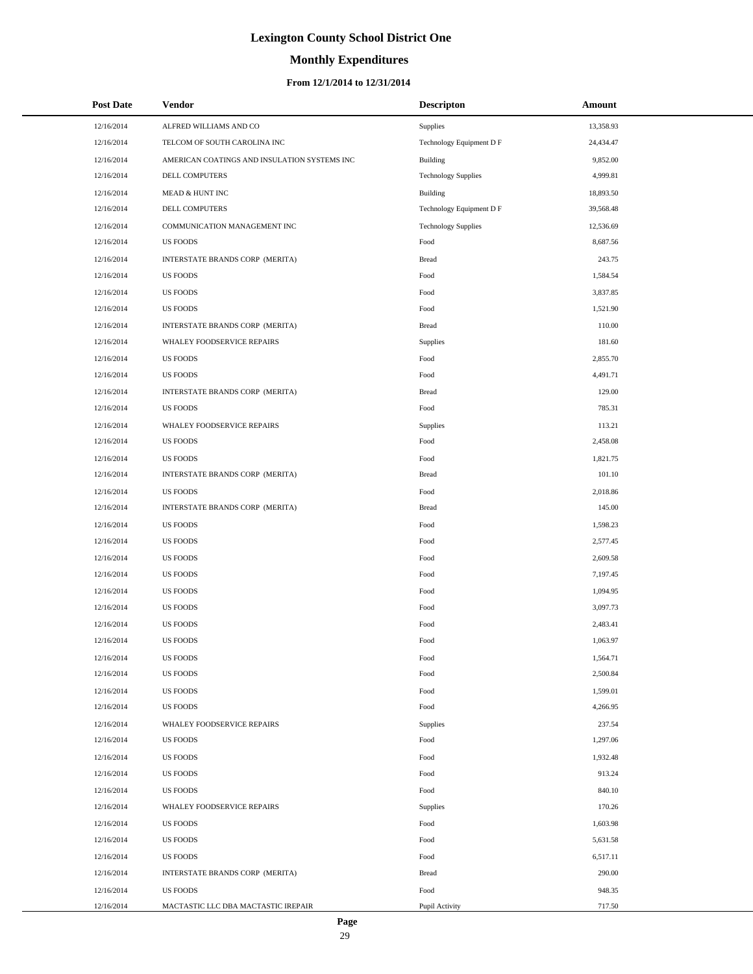# **Monthly Expenditures**

| <b>Post Date</b> | Vendor                                       | <b>Descripton</b>          | Amount    |
|------------------|----------------------------------------------|----------------------------|-----------|
| 12/16/2014       | ALFRED WILLIAMS AND CO                       | Supplies                   | 13,358.93 |
| 12/16/2014       | TELCOM OF SOUTH CAROLINA INC                 | Technology Equipment D F   | 24,434.47 |
| 12/16/2014       | AMERICAN COATINGS AND INSULATION SYSTEMS INC | Building                   | 9,852.00  |
| 12/16/2014       | DELL COMPUTERS                               | <b>Technology Supplies</b> | 4,999.81  |
| 12/16/2014       | MEAD & HUNT INC                              | Building                   | 18,893.50 |
| 12/16/2014       | DELL COMPUTERS                               | Technology Equipment D F   | 39,568.48 |
| 12/16/2014       | COMMUNICATION MANAGEMENT INC                 | <b>Technology Supplies</b> | 12,536.69 |
| 12/16/2014       | <b>US FOODS</b>                              | Food                       | 8,687.56  |
| 12/16/2014       | INTERSTATE BRANDS CORP (MERITA)              | <b>Bread</b>               | 243.75    |
| 12/16/2014       | <b>US FOODS</b>                              | Food                       | 1,584.54  |
| 12/16/2014       | <b>US FOODS</b>                              | Food                       | 3,837.85  |
| 12/16/2014       | <b>US FOODS</b>                              | Food                       | 1,521.90  |
| 12/16/2014       | INTERSTATE BRANDS CORP (MERITA)              | <b>Bread</b>               | 110.00    |
| 12/16/2014       | WHALEY FOODSERVICE REPAIRS                   | Supplies                   | 181.60    |
| 12/16/2014       | <b>US FOODS</b>                              | Food                       | 2,855.70  |
| 12/16/2014       | <b>US FOODS</b>                              | Food                       | 4,491.71  |
| 12/16/2014       | INTERSTATE BRANDS CORP (MERITA)              | <b>Bread</b>               | 129.00    |
| 12/16/2014       | <b>US FOODS</b>                              | Food                       | 785.31    |
| 12/16/2014       | WHALEY FOODSERVICE REPAIRS                   | Supplies                   | 113.21    |
| 12/16/2014       | <b>US FOODS</b>                              | Food                       | 2,458.08  |
| 12/16/2014       | <b>US FOODS</b>                              | Food                       | 1,821.75  |
| 12/16/2014       | INTERSTATE BRANDS CORP (MERITA)              | <b>Bread</b>               | 101.10    |
| 12/16/2014       | <b>US FOODS</b>                              | Food                       | 2,018.86  |
| 12/16/2014       | INTERSTATE BRANDS CORP (MERITA)              | <b>Bread</b>               | 145.00    |
| 12/16/2014       | <b>US FOODS</b>                              | Food                       | 1,598.23  |
| 12/16/2014       | <b>US FOODS</b>                              | Food                       | 2,577.45  |
| 12/16/2014       | <b>US FOODS</b>                              | Food                       | 2,609.58  |
| 12/16/2014       | <b>US FOODS</b>                              | Food                       | 7,197.45  |
| 12/16/2014       | <b>US FOODS</b>                              | Food                       | 1,094.95  |
| 12/16/2014       | US FOODS                                     | Food                       | 3,097.73  |
| 12/16/2014       | <b>US FOODS</b>                              | Food                       | 2,483.41  |
| 12/16/2014       | <b>US FOODS</b>                              | Food                       | 1,063.97  |
| 12/16/2014       | US FOODS                                     | Food                       | 1,564.71  |
| 12/16/2014       | <b>US FOODS</b>                              | Food                       | 2,500.84  |
| 12/16/2014       | <b>US FOODS</b>                              | Food                       | 1,599.01  |
| 12/16/2014       | <b>US FOODS</b>                              | Food                       | 4,266.95  |
| 12/16/2014       | WHALEY FOODSERVICE REPAIRS                   | Supplies                   | 237.54    |
| 12/16/2014       | <b>US FOODS</b>                              | Food                       | 1,297.06  |
| 12/16/2014       | <b>US FOODS</b>                              | Food                       | 1,932.48  |
| 12/16/2014       | <b>US FOODS</b>                              | Food                       | 913.24    |
| 12/16/2014       | <b>US FOODS</b>                              | Food                       | 840.10    |
| 12/16/2014       | WHALEY FOODSERVICE REPAIRS                   | Supplies                   | 170.26    |
| 12/16/2014       | <b>US FOODS</b>                              | Food                       | 1,603.98  |
| 12/16/2014       | <b>US FOODS</b>                              | Food                       | 5,631.58  |
| 12/16/2014       | <b>US FOODS</b>                              | Food                       | 6,517.11  |
| 12/16/2014       | INTERSTATE BRANDS CORP (MERITA)              | <b>Bread</b>               | 290.00    |
| 12/16/2014       | <b>US FOODS</b>                              | Food                       | 948.35    |
| 12/16/2014       | MACTASTIC LLC DBA MACTASTIC IREPAIR          | Pupil Activity             | 717.50    |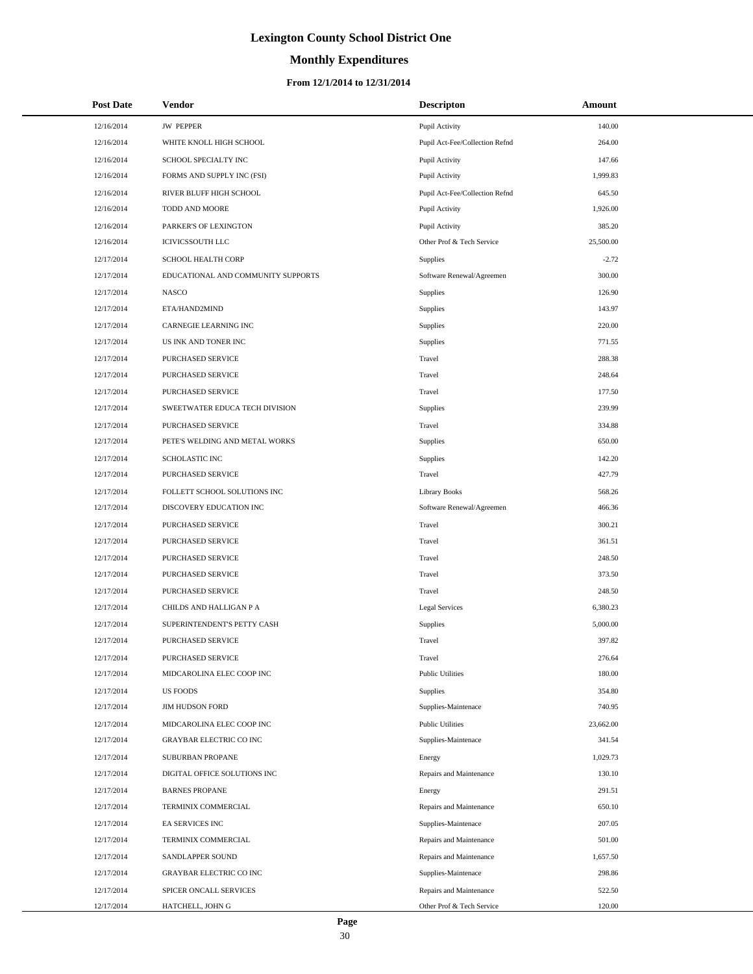# **Monthly Expenditures**

### **From 12/1/2014 to 12/31/2014**

| <b>Post Date</b> | Vendor                             | <b>Descripton</b>              | Amount    |
|------------------|------------------------------------|--------------------------------|-----------|
| 12/16/2014       | <b>JW PEPPER</b>                   | Pupil Activity                 | 140.00    |
| 12/16/2014       | WHITE KNOLL HIGH SCHOOL            | Pupil Act-Fee/Collection Refnd | 264.00    |
| 12/16/2014       | SCHOOL SPECIALTY INC               | Pupil Activity                 | 147.66    |
| 12/16/2014       | FORMS AND SUPPLY INC (FSI)         | Pupil Activity                 | 1,999.83  |
| 12/16/2014       | RIVER BLUFF HIGH SCHOOL            | Pupil Act-Fee/Collection Refnd | 645.50    |
| 12/16/2014       | TODD AND MOORE                     | Pupil Activity                 | 1,926.00  |
| 12/16/2014       | PARKER'S OF LEXINGTON              | Pupil Activity                 | 385.20    |
| 12/16/2014       | <b>ICIVICSSOUTH LLC</b>            | Other Prof & Tech Service      | 25,500.00 |
| 12/17/2014       | <b>SCHOOL HEALTH CORP</b>          | Supplies                       | $-2.72$   |
| 12/17/2014       | EDUCATIONAL AND COMMUNITY SUPPORTS | Software Renewal/Agreemen      | 300.00    |
| 12/17/2014       | <b>NASCO</b>                       | Supplies                       | 126.90    |
| 12/17/2014       | ETA/HAND2MIND                      | Supplies                       | 143.97    |
| 12/17/2014       | CARNEGIE LEARNING INC              | Supplies                       | 220.00    |
| 12/17/2014       | US INK AND TONER INC               | Supplies                       | 771.55    |
| 12/17/2014       | PURCHASED SERVICE                  | Travel                         | 288.38    |
| 12/17/2014       | PURCHASED SERVICE                  | Travel                         | 248.64    |
| 12/17/2014       | PURCHASED SERVICE                  | Travel                         | 177.50    |
| 12/17/2014       | SWEETWATER EDUCA TECH DIVISION     | Supplies                       | 239.99    |
| 12/17/2014       | PURCHASED SERVICE                  | Travel                         | 334.88    |
| 12/17/2014       | PETE'S WELDING AND METAL WORKS     | Supplies                       | 650.00    |
| 12/17/2014       | <b>SCHOLASTIC INC</b>              | Supplies                       | 142.20    |
| 12/17/2014       | PURCHASED SERVICE                  | Travel                         | 427.79    |
| 12/17/2014       | FOLLETT SCHOOL SOLUTIONS INC       | <b>Library Books</b>           | 568.26    |
| 12/17/2014       | DISCOVERY EDUCATION INC            | Software Renewal/Agreemen      | 466.36    |
| 12/17/2014       | PURCHASED SERVICE                  | Travel                         | 300.21    |
| 12/17/2014       | PURCHASED SERVICE                  | Travel                         | 361.51    |
| 12/17/2014       | PURCHASED SERVICE                  | Travel                         | 248.50    |
| 12/17/2014       | <b>PURCHASED SERVICE</b>           | Travel                         | 373.50    |
| 12/17/2014       | PURCHASED SERVICE                  | Travel                         | 248.50    |
| 12/17/2014       | CHILDS AND HALLIGAN P A            | <b>Legal Services</b>          | 6,380.23  |
| 12/17/2014       | SUPERINTENDENT'S PETTY CASH        | Supplies                       | 5,000.00  |
| 12/17/2014       | PURCHASED SERVICE                  | Travel                         | 397.82    |
| 12/17/2014       | PURCHASED SERVICE                  | Travel                         | 276.64    |
| 12/17/2014       | MIDCAROLINA ELEC COOP INC          | <b>Public Utilities</b>        | 180.00    |
| 12/17/2014       | <b>US FOODS</b>                    | Supplies                       | 354.80    |
| 12/17/2014       | <b>JIM HUDSON FORD</b>             | Supplies-Maintenace            | 740.95    |
| 12/17/2014       | MIDCAROLINA ELEC COOP INC          | <b>Public Utilities</b>        | 23,662.00 |
| 12/17/2014       | GRAYBAR ELECTRIC CO INC            | Supplies-Maintenace            | 341.54    |
| 12/17/2014       | SUBURBAN PROPANE                   | Energy                         | 1,029.73  |
| 12/17/2014       | DIGITAL OFFICE SOLUTIONS INC       | Repairs and Maintenance        | 130.10    |
| 12/17/2014       | <b>BARNES PROPANE</b>              | Energy                         | 291.51    |
| 12/17/2014       | TERMINIX COMMERCIAL                | Repairs and Maintenance        | 650.10    |
| 12/17/2014       | EA SERVICES INC                    | Supplies-Maintenace            | 207.05    |
| 12/17/2014       | TERMINIX COMMERCIAL                | Repairs and Maintenance        | 501.00    |
| 12/17/2014       | SANDLAPPER SOUND                   | Repairs and Maintenance        | 1,657.50  |
| 12/17/2014       | GRAYBAR ELECTRIC CO INC            | Supplies-Maintenace            | 298.86    |
| 12/17/2014       | SPICER ONCALL SERVICES             | Repairs and Maintenance        | 522.50    |
| 12/17/2014       | HATCHELL, JOHN G                   | Other Prof & Tech Service      | 120.00    |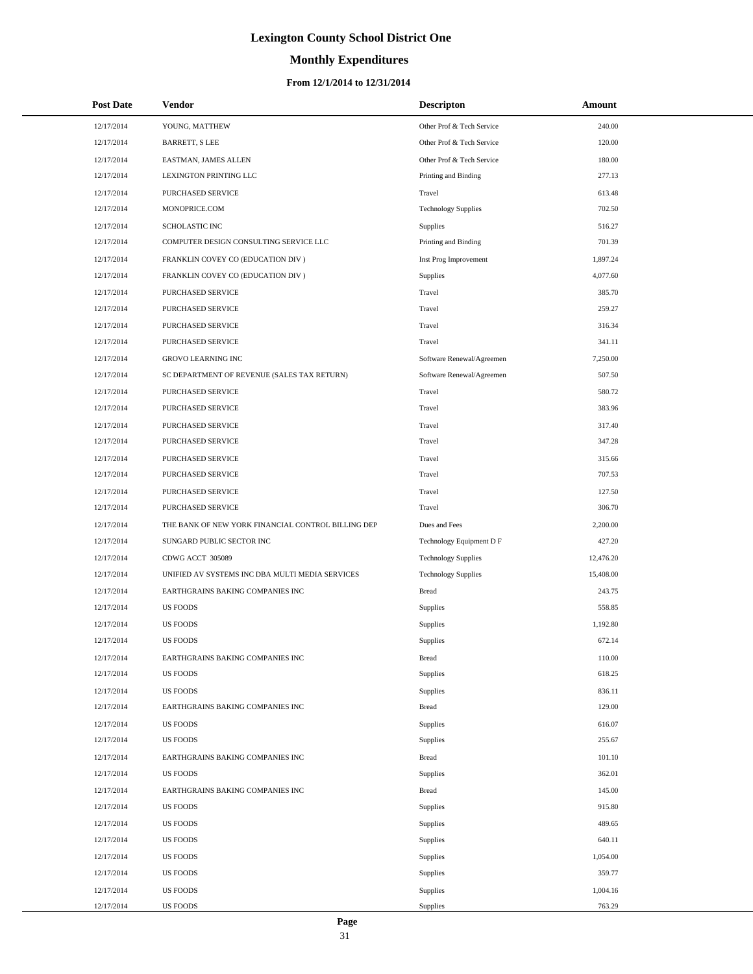# **Monthly Expenditures**

### **From 12/1/2014 to 12/31/2014**

| <b>Post Date</b> | Vendor                                             | <b>Descripton</b>          | Amount    |
|------------------|----------------------------------------------------|----------------------------|-----------|
| 12/17/2014       | YOUNG, MATTHEW                                     | Other Prof & Tech Service  | 240.00    |
| 12/17/2014       | <b>BARRETT, S LEE</b>                              | Other Prof & Tech Service  | 120.00    |
| 12/17/2014       | EASTMAN, JAMES ALLEN                               | Other Prof & Tech Service  | 180.00    |
| 12/17/2014       | LEXINGTON PRINTING LLC                             | Printing and Binding       | 277.13    |
| 12/17/2014       | PURCHASED SERVICE                                  | Travel                     | 613.48    |
| 12/17/2014       | MONOPRICE.COM                                      | <b>Technology Supplies</b> | 702.50    |
| 12/17/2014       | <b>SCHOLASTIC INC</b>                              | <b>Supplies</b>            | 516.27    |
| 12/17/2014       | COMPUTER DESIGN CONSULTING SERVICE LLC             | Printing and Binding       | 701.39    |
| 12/17/2014       | FRANKLIN COVEY CO (EDUCATION DIV)                  | Inst Prog Improvement      | 1,897.24  |
| 12/17/2014       | FRANKLIN COVEY CO (EDUCATION DIV)                  | Supplies                   | 4,077.60  |
| 12/17/2014       | PURCHASED SERVICE                                  | Travel                     | 385.70    |
| 12/17/2014       | PURCHASED SERVICE                                  | Travel                     | 259.27    |
| 12/17/2014       | PURCHASED SERVICE                                  | Travel                     | 316.34    |
| 12/17/2014       | <b>PURCHASED SERVICE</b>                           | Travel                     | 341.11    |
| 12/17/2014       | <b>GROVO LEARNING INC</b>                          | Software Renewal/Agreemen  | 7,250.00  |
| 12/17/2014       | SC DEPARTMENT OF REVENUE (SALES TAX RETURN)        | Software Renewal/Agreemen  | 507.50    |
| 12/17/2014       | PURCHASED SERVICE                                  | Travel                     | 580.72    |
| 12/17/2014       | PURCHASED SERVICE                                  | Travel                     | 383.96    |
| 12/17/2014       | PURCHASED SERVICE                                  | Travel                     | 317.40    |
| 12/17/2014       | PURCHASED SERVICE                                  | Travel                     | 347.28    |
| 12/17/2014       | PURCHASED SERVICE                                  | Travel                     | 315.66    |
| 12/17/2014       | PURCHASED SERVICE                                  | Travel                     | 707.53    |
| 12/17/2014       | PURCHASED SERVICE                                  | Travel                     | 127.50    |
| 12/17/2014       | PURCHASED SERVICE                                  | Travel                     | 306.70    |
| 12/17/2014       | THE BANK OF NEW YORK FINANCIAL CONTROL BILLING DEP | Dues and Fees              | 2,200.00  |
| 12/17/2014       | SUNGARD PUBLIC SECTOR INC                          | Technology Equipment D F   | 427.20    |
| 12/17/2014       | CDWG ACCT 305089                                   | <b>Technology Supplies</b> | 12,476.20 |
| 12/17/2014       | UNIFIED AV SYSTEMS INC DBA MULTI MEDIA SERVICES    | <b>Technology Supplies</b> | 15,408.00 |
| 12/17/2014       | EARTHGRAINS BAKING COMPANIES INC                   | <b>Bread</b>               | 243.75    |
| 12/17/2014       | <b>US FOODS</b>                                    | Supplies                   | 558.85    |
| 12/17/2014       | <b>US FOODS</b>                                    | Supplies                   | 1,192.80  |
| 12/17/2014       | <b>US FOODS</b>                                    | Supplies                   | 672.14    |
| 12/17/2014       | EARTHGRAINS BAKING COMPANIES INC                   | <b>Bread</b>               | 110.00    |
| 12/17/2014       | <b>US FOODS</b>                                    | Supplies                   | 618.25    |
| 12/17/2014       | <b>US FOODS</b>                                    | Supplies                   | 836.11    |
| 12/17/2014       | EARTHGRAINS BAKING COMPANIES INC                   | <b>Bread</b>               | 129.00    |
| 12/17/2014       | <b>US FOODS</b>                                    | Supplies                   | 616.07    |
| 12/17/2014       | <b>US FOODS</b>                                    | Supplies                   | 255.67    |
| 12/17/2014       | EARTHGRAINS BAKING COMPANIES INC                   | <b>Bread</b>               | 101.10    |
| 12/17/2014       | <b>US FOODS</b>                                    | Supplies                   | 362.01    |
| 12/17/2014       | EARTHGRAINS BAKING COMPANIES INC                   | <b>Bread</b>               | 145.00    |
| 12/17/2014       | <b>US FOODS</b>                                    | Supplies                   | 915.80    |
| 12/17/2014       | <b>US FOODS</b>                                    | Supplies                   | 489.65    |
| 12/17/2014       | <b>US FOODS</b>                                    | Supplies                   | 640.11    |
| 12/17/2014       | <b>US FOODS</b>                                    | Supplies                   | 1,054.00  |
| 12/17/2014       | <b>US FOODS</b>                                    | Supplies                   | 359.77    |
| 12/17/2014       | <b>US FOODS</b>                                    | Supplies                   | 1,004.16  |
| 12/17/2014       | <b>US FOODS</b>                                    | Supplies                   | 763.29    |

L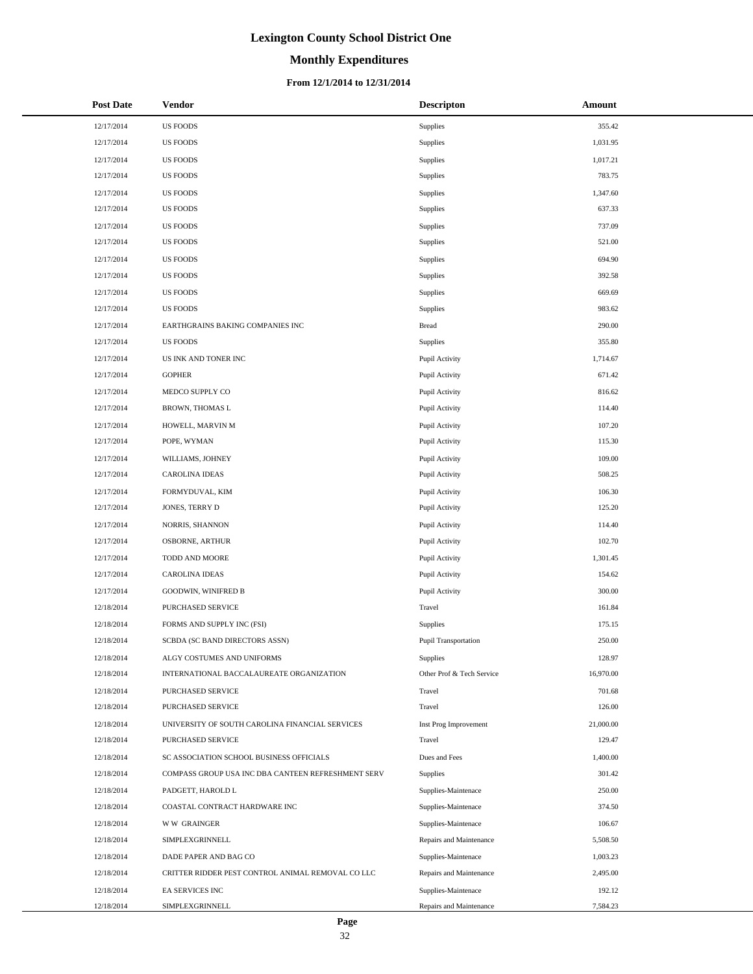# **Monthly Expenditures**

### **From 12/1/2014 to 12/31/2014**

| <b>Post Date</b> | <b>Vendor</b>                                      | <b>Descripton</b>         | Amount    |
|------------------|----------------------------------------------------|---------------------------|-----------|
| 12/17/2014       | <b>US FOODS</b>                                    | Supplies                  | 355.42    |
| 12/17/2014       | <b>US FOODS</b>                                    | Supplies                  | 1,031.95  |
| 12/17/2014       | US FOODS                                           | Supplies                  | 1,017.21  |
| 12/17/2014       | <b>US FOODS</b>                                    | Supplies                  | 783.75    |
| 12/17/2014       | <b>US FOODS</b>                                    | Supplies                  | 1,347.60  |
| 12/17/2014       | <b>US FOODS</b>                                    | Supplies                  | 637.33    |
| 12/17/2014       | <b>US FOODS</b>                                    | Supplies                  | 737.09    |
| 12/17/2014       | <b>US FOODS</b>                                    | Supplies                  | 521.00    |
| 12/17/2014       | <b>US FOODS</b>                                    | Supplies                  | 694.90    |
| 12/17/2014       | <b>US FOODS</b>                                    | Supplies                  | 392.58    |
| 12/17/2014       | <b>US FOODS</b>                                    | Supplies                  | 669.69    |
| 12/17/2014       | <b>US FOODS</b>                                    | <b>Supplies</b>           | 983.62    |
| 12/17/2014       | EARTHGRAINS BAKING COMPANIES INC                   | <b>Bread</b>              | 290.00    |
| 12/17/2014       | <b>US FOODS</b>                                    | Supplies                  | 355.80    |
| 12/17/2014       | US INK AND TONER INC                               | Pupil Activity            | 1,714.67  |
| 12/17/2014       | <b>GOPHER</b>                                      | Pupil Activity            | 671.42    |
| 12/17/2014       | MEDCO SUPPLY CO                                    | Pupil Activity            | 816.62    |
| 12/17/2014       | BROWN, THOMAS L                                    | Pupil Activity            | 114.40    |
| 12/17/2014       | HOWELL, MARVIN M                                   | Pupil Activity            | 107.20    |
| 12/17/2014       | POPE, WYMAN                                        | Pupil Activity            | 115.30    |
| 12/17/2014       | WILLIAMS, JOHNEY                                   | Pupil Activity            | 109.00    |
| 12/17/2014       | <b>CAROLINA IDEAS</b>                              | Pupil Activity            | 508.25    |
| 12/17/2014       | FORMYDUVAL, KIM                                    | Pupil Activity            | 106.30    |
| 12/17/2014       | JONES, TERRY D                                     | Pupil Activity            | 125.20    |
| 12/17/2014       | NORRIS, SHANNON                                    | Pupil Activity            | 114.40    |
| 12/17/2014       | OSBORNE, ARTHUR                                    | Pupil Activity            | 102.70    |
| 12/17/2014       | TODD AND MOORE                                     | Pupil Activity            | 1,301.45  |
| 12/17/2014       | <b>CAROLINA IDEAS</b>                              | Pupil Activity            | 154.62    |
| 12/17/2014       | <b>GOODWIN, WINIFRED B</b>                         | Pupil Activity            | 300.00    |
| 12/18/2014       | PURCHASED SERVICE                                  | Travel                    | 161.84    |
| 12/18/2014       | FORMS AND SUPPLY INC (FSI)                         | Supplies                  | 175.15    |
| 12/18/2014       | SCBDA (SC BAND DIRECTORS ASSN)                     | Pupil Transportation      | 250.00    |
| 12/18/2014       | ALGY COSTUMES AND UNIFORMS                         | Supplies                  | 128.97    |
| 12/18/2014       | INTERNATIONAL BACCALAUREATE ORGANIZATION           | Other Prof & Tech Service | 16,970.00 |
| 12/18/2014       | <b>PURCHASED SERVICE</b>                           | Travel                    | 701.68    |
| 12/18/2014       | PURCHASED SERVICE                                  | Travel                    | 126.00    |
| 12/18/2014       | UNIVERSITY OF SOUTH CAROLINA FINANCIAL SERVICES    | Inst Prog Improvement     | 21,000.00 |
| 12/18/2014       | PURCHASED SERVICE                                  | Travel                    | 129.47    |
| 12/18/2014       | SC ASSOCIATION SCHOOL BUSINESS OFFICIALS           | Dues and Fees             | 1,400.00  |
| 12/18/2014       | COMPASS GROUP USA INC DBA CANTEEN REFRESHMENT SERV | <b>Supplies</b>           | 301.42    |
| 12/18/2014       | PADGETT, HAROLD L                                  | Supplies-Maintenace       | 250.00    |
| 12/18/2014       | COASTAL CONTRACT HARDWARE INC                      | Supplies-Maintenace       | 374.50    |
| 12/18/2014       | <b>WW GRAINGER</b>                                 | Supplies-Maintenace       | 106.67    |
| 12/18/2014       | SIMPLEXGRINNELL                                    | Repairs and Maintenance   | 5,508.50  |
| 12/18/2014       | DADE PAPER AND BAG CO                              | Supplies-Maintenace       | 1,003.23  |
| 12/18/2014       | CRITTER RIDDER PEST CONTROL ANIMAL REMOVAL CO LLC  | Repairs and Maintenance   | 2,495.00  |
| 12/18/2014       | EA SERVICES INC                                    | Supplies-Maintenace       | 192.12    |
| 12/18/2014       | SIMPLEXGRINNELL                                    | Repairs and Maintenance   | 7,584.23  |

 $\overline{a}$  $\overline{\phantom{0}}$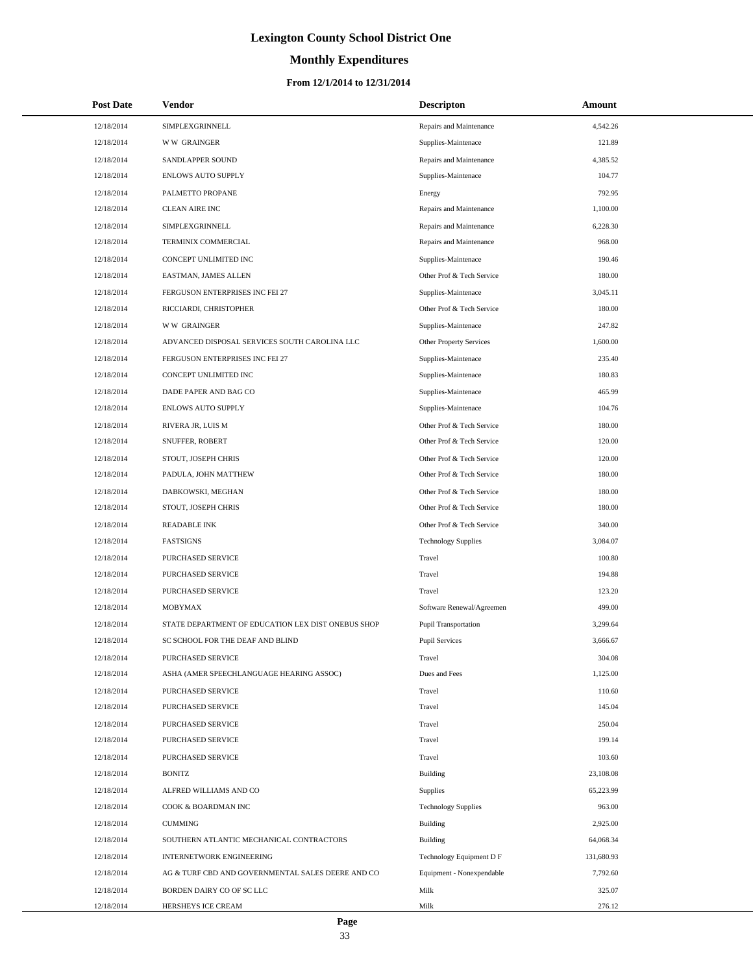# **Monthly Expenditures**

### **From 12/1/2014 to 12/31/2014**

| <b>Post Date</b> | <b>Vendor</b>                                      | <b>Descripton</b>           | Amount     |
|------------------|----------------------------------------------------|-----------------------------|------------|
| 12/18/2014       | SIMPLEXGRINNELL                                    | Repairs and Maintenance     | 4,542.26   |
| 12/18/2014       | <b>WW GRAINGER</b>                                 | Supplies-Maintenace         | 121.89     |
| 12/18/2014       | SANDLAPPER SOUND                                   | Repairs and Maintenance     | 4,385.52   |
| 12/18/2014       | <b>ENLOWS AUTO SUPPLY</b>                          | Supplies-Maintenace         | 104.77     |
| 12/18/2014       | PALMETTO PROPANE                                   | Energy                      | 792.95     |
| 12/18/2014       | <b>CLEAN AIRE INC</b>                              | Repairs and Maintenance     | 1,100.00   |
| 12/18/2014       | SIMPLEXGRINNELL                                    | Repairs and Maintenance     | 6,228.30   |
| 12/18/2014       | TERMINIX COMMERCIAL                                | Repairs and Maintenance     | 968.00     |
| 12/18/2014       | CONCEPT UNLIMITED INC                              | Supplies-Maintenace         | 190.46     |
| 12/18/2014       | EASTMAN, JAMES ALLEN                               | Other Prof & Tech Service   | 180.00     |
| 12/18/2014       | FERGUSON ENTERPRISES INC FEI 27                    | Supplies-Maintenace         | 3,045.11   |
| 12/18/2014       | RICCIARDI, CHRISTOPHER                             | Other Prof & Tech Service   | 180.00     |
| 12/18/2014       | <b>WW GRAINGER</b>                                 | Supplies-Maintenace         | 247.82     |
| 12/18/2014       | ADVANCED DISPOSAL SERVICES SOUTH CAROLINA LLC      | Other Property Services     | 1,600.00   |
| 12/18/2014       | FERGUSON ENTERPRISES INC FEI 27                    | Supplies-Maintenace         | 235.40     |
| 12/18/2014       | CONCEPT UNLIMITED INC                              | Supplies-Maintenace         | 180.83     |
| 12/18/2014       | DADE PAPER AND BAG CO                              | Supplies-Maintenace         | 465.99     |
| 12/18/2014       | ENLOWS AUTO SUPPLY                                 | Supplies-Maintenace         | 104.76     |
| 12/18/2014       | RIVERA JR, LUIS M                                  | Other Prof & Tech Service   | 180.00     |
| 12/18/2014       | SNUFFER, ROBERT                                    | Other Prof & Tech Service   | 120.00     |
| 12/18/2014       | STOUT, JOSEPH CHRIS                                | Other Prof & Tech Service   | 120.00     |
| 12/18/2014       | PADULA, JOHN MATTHEW                               | Other Prof & Tech Service   | 180.00     |
| 12/18/2014       | DABKOWSKI, MEGHAN                                  | Other Prof & Tech Service   | 180.00     |
| 12/18/2014       | STOUT, JOSEPH CHRIS                                | Other Prof & Tech Service   | 180.00     |
| 12/18/2014       | <b>READABLE INK</b>                                | Other Prof & Tech Service   | 340.00     |
| 12/18/2014       | <b>FASTSIGNS</b>                                   | <b>Technology Supplies</b>  | 3,084.07   |
| 12/18/2014       | PURCHASED SERVICE                                  | Travel                      | 100.80     |
| 12/18/2014       | PURCHASED SERVICE                                  | Travel                      | 194.88     |
| 12/18/2014       | PURCHASED SERVICE                                  | Travel                      | 123.20     |
| 12/18/2014       | MOBYMAX                                            | Software Renewal/Agreemen   | 499.00     |
| 12/18/2014       | STATE DEPARTMENT OF EDUCATION LEX DIST ONEBUS SHOP | <b>Pupil Transportation</b> | 3,299.64   |
| 12/18/2014       | SC SCHOOL FOR THE DEAF AND BLIND                   | <b>Pupil Services</b>       | 3,666.67   |
| 12/18/2014       | PURCHASED SERVICE                                  | Travel                      | 304.08     |
| 12/18/2014       | ASHA (AMER SPEECHLANGUAGE HEARING ASSOC)           | Dues and Fees               | 1,125.00   |
| 12/18/2014       | PURCHASED SERVICE                                  | Travel                      | 110.60     |
| 12/18/2014       | PURCHASED SERVICE                                  | Travel                      | 145.04     |
| 12/18/2014       | PURCHASED SERVICE                                  | Travel                      | 250.04     |
| 12/18/2014       | PURCHASED SERVICE                                  | Travel                      | 199.14     |
| 12/18/2014       | PURCHASED SERVICE                                  | Travel                      | 103.60     |
| 12/18/2014       | <b>BONITZ</b>                                      | <b>Building</b>             | 23,108.08  |
| 12/18/2014       | ALFRED WILLIAMS AND CO                             | <b>Supplies</b>             | 65,223.99  |
| 12/18/2014       | COOK & BOARDMAN INC                                | <b>Technology Supplies</b>  | 963.00     |
| 12/18/2014       | <b>CUMMING</b>                                     | Building                    | 2,925.00   |
| 12/18/2014       | SOUTHERN ATLANTIC MECHANICAL CONTRACTORS           | Building                    | 64,068.34  |
| 12/18/2014       | <b>INTERNETWORK ENGINEERING</b>                    | Technology Equipment D F    | 131,680.93 |
| 12/18/2014       | AG & TURF CBD AND GOVERNMENTAL SALES DEERE AND CO  | Equipment - Nonexpendable   | 7,792.60   |
| 12/18/2014       | BORDEN DAIRY CO OF SC LLC                          | Milk                        | 325.07     |
| 12/18/2014       | HERSHEYS ICE CREAM                                 | Milk                        | 276.12     |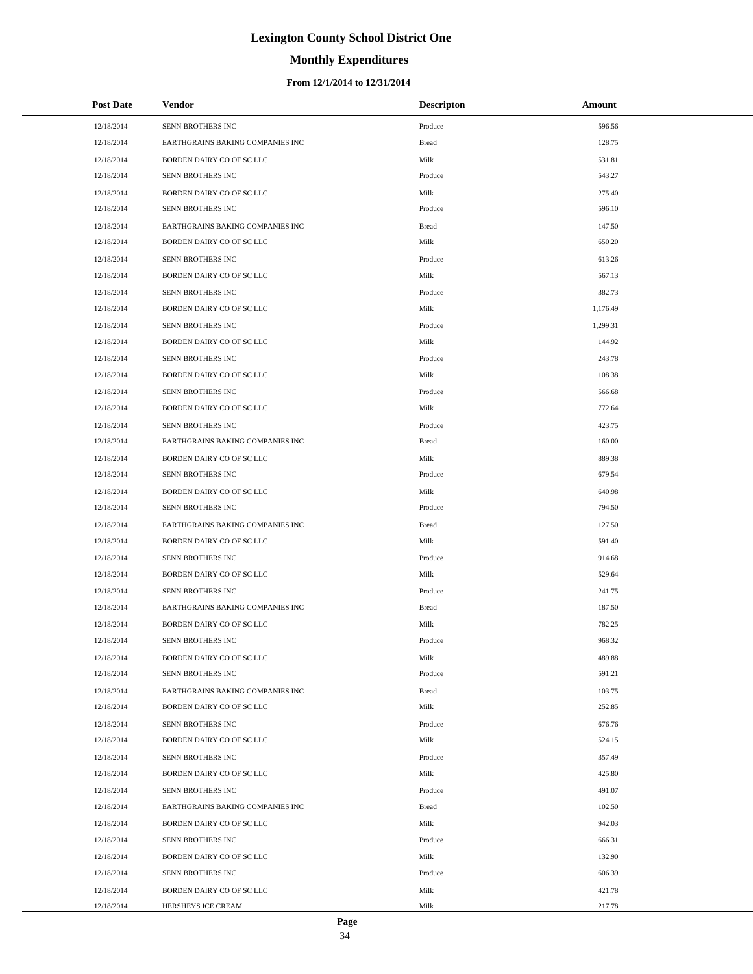# **Monthly Expenditures**

### **From 12/1/2014 to 12/31/2014**

| <b>Post Date</b> | <b>Vendor</b>                    | <b>Descripton</b> | Amount   |
|------------------|----------------------------------|-------------------|----------|
| 12/18/2014       | SENN BROTHERS INC                | Produce           | 596.56   |
| 12/18/2014       | EARTHGRAINS BAKING COMPANIES INC | <b>Bread</b>      | 128.75   |
| 12/18/2014       | BORDEN DAIRY CO OF SC LLC        | Milk              | 531.81   |
| 12/18/2014       | SENN BROTHERS INC                | Produce           | 543.27   |
| 12/18/2014       | BORDEN DAIRY CO OF SC LLC        | Milk              | 275.40   |
| 12/18/2014       | SENN BROTHERS INC                | Produce           | 596.10   |
| 12/18/2014       | EARTHGRAINS BAKING COMPANIES INC | <b>Bread</b>      | 147.50   |
| 12/18/2014       | BORDEN DAIRY CO OF SC LLC        | Milk              | 650.20   |
| 12/18/2014       | SENN BROTHERS INC                | Produce           | 613.26   |
| 12/18/2014       | BORDEN DAIRY CO OF SC LLC        | Milk              | 567.13   |
| 12/18/2014       | SENN BROTHERS INC                | Produce           | 382.73   |
| 12/18/2014       | BORDEN DAIRY CO OF SC LLC        | Milk              | 1,176.49 |
| 12/18/2014       | SENN BROTHERS INC                | Produce           | 1,299.31 |
| 12/18/2014       | BORDEN DAIRY CO OF SC LLC        | Milk              | 144.92   |
| 12/18/2014       | <b>SENN BROTHERS INC</b>         | Produce           | 243.78   |
| 12/18/2014       | BORDEN DAIRY CO OF SC LLC        | Milk              | 108.38   |
| 12/18/2014       | SENN BROTHERS INC                | Produce           | 566.68   |
| 12/18/2014       | BORDEN DAIRY CO OF SC LLC        | Milk              | 772.64   |
| 12/18/2014       | <b>SENN BROTHERS INC</b>         | Produce           | 423.75   |
| 12/18/2014       | EARTHGRAINS BAKING COMPANIES INC | <b>Bread</b>      | 160.00   |
| 12/18/2014       | BORDEN DAIRY CO OF SC LLC        | Milk              | 889.38   |
| 12/18/2014       | SENN BROTHERS INC                | Produce           | 679.54   |
| 12/18/2014       | BORDEN DAIRY CO OF SC LLC        | Milk              | 640.98   |
| 12/18/2014       | SENN BROTHERS INC                | Produce           | 794.50   |
| 12/18/2014       | EARTHGRAINS BAKING COMPANIES INC | <b>Bread</b>      | 127.50   |
| 12/18/2014       | BORDEN DAIRY CO OF SC LLC        | Milk              | 591.40   |
| 12/18/2014       | SENN BROTHERS INC                | Produce           | 914.68   |
| 12/18/2014       | BORDEN DAIRY CO OF SC LLC        | Milk              | 529.64   |
| 12/18/2014       | SENN BROTHERS INC                | Produce           | 241.75   |
| 12/18/2014       | EARTHGRAINS BAKING COMPANIES INC | Bread             | 187.50   |
| 12/18/2014       | BORDEN DAIRY CO OF SC LLC        | Milk              | 782.25   |
| 12/18/2014       | SENN BROTHERS INC                | Produce           | 968.32   |
| 12/18/2014       | BORDEN DAIRY CO OF SC LLC        | Milk              | 489.88   |
| 12/18/2014       | SENN BROTHERS INC                | Produce           | 591.21   |
| 12/18/2014       | EARTHGRAINS BAKING COMPANIES INC | <b>Bread</b>      | 103.75   |
| 12/18/2014       | BORDEN DAIRY CO OF SC LLC        | Milk              | 252.85   |
| 12/18/2014       | SENN BROTHERS INC                | Produce           | 676.76   |
| 12/18/2014       | BORDEN DAIRY CO OF SC LLC        | Milk              | 524.15   |
| 12/18/2014       | SENN BROTHERS INC                | Produce           | 357.49   |
| 12/18/2014       | BORDEN DAIRY CO OF SC LLC        | Milk              | 425.80   |
| 12/18/2014       | SENN BROTHERS INC                | Produce           | 491.07   |
| 12/18/2014       | EARTHGRAINS BAKING COMPANIES INC | Bread             | 102.50   |
| 12/18/2014       | BORDEN DAIRY CO OF SC LLC        | Milk              | 942.03   |
| 12/18/2014       | SENN BROTHERS INC                | Produce           | 666.31   |
| 12/18/2014       | BORDEN DAIRY CO OF SC LLC        | Milk              | 132.90   |
| 12/18/2014       | SENN BROTHERS INC                | Produce           | 606.39   |
| 12/18/2014       | BORDEN DAIRY CO OF SC LLC        | Milk              | 421.78   |
| 12/18/2014       | HERSHEYS ICE CREAM               | Milk              | 217.78   |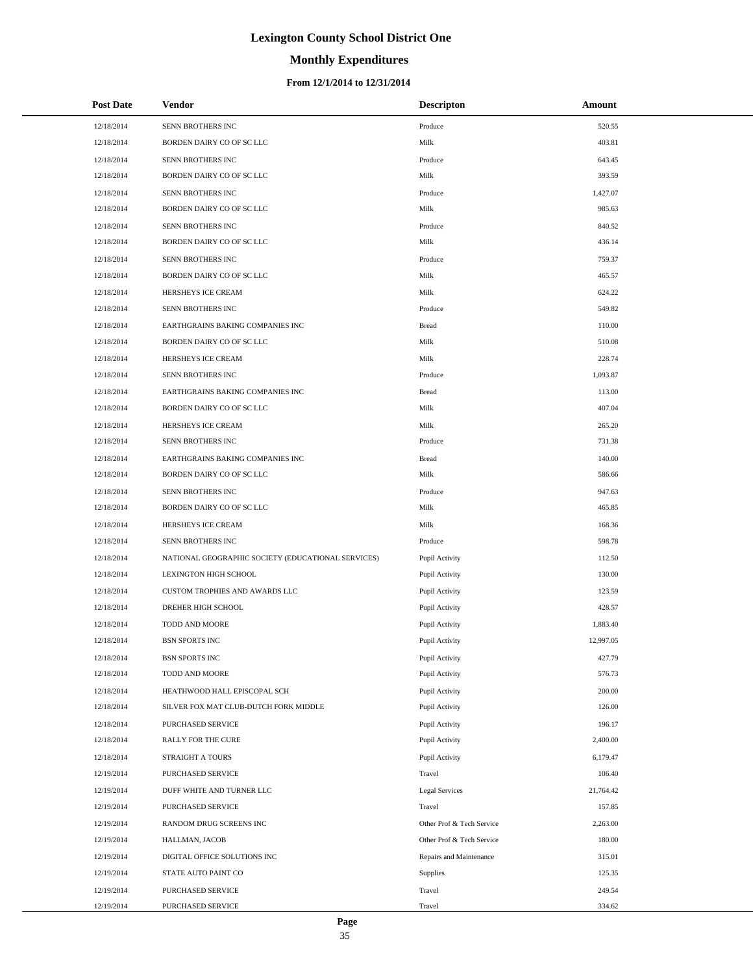# **Monthly Expenditures**

### **From 12/1/2014 to 12/31/2014**

| <b>Post Date</b> | Vendor                                             | <b>Descripton</b>         | Amount    |
|------------------|----------------------------------------------------|---------------------------|-----------|
| 12/18/2014       | SENN BROTHERS INC                                  | Produce                   | 520.55    |
| 12/18/2014       | BORDEN DAIRY CO OF SC LLC                          | Milk                      | 403.81    |
| 12/18/2014       | SENN BROTHERS INC                                  | Produce                   | 643.45    |
| 12/18/2014       | BORDEN DAIRY CO OF SC LLC                          | Milk                      | 393.59    |
| 12/18/2014       | SENN BROTHERS INC                                  | Produce                   | 1,427.07  |
| 12/18/2014       | BORDEN DAIRY CO OF SC LLC                          | Milk                      | 985.63    |
| 12/18/2014       | SENN BROTHERS INC                                  | Produce                   | 840.52    |
| 12/18/2014       | BORDEN DAIRY CO OF SC LLC                          | Milk                      | 436.14    |
| 12/18/2014       | SENN BROTHERS INC                                  | Produce                   | 759.37    |
| 12/18/2014       | BORDEN DAIRY CO OF SC LLC                          | Milk                      | 465.57    |
| 12/18/2014       | HERSHEYS ICE CREAM                                 | Milk                      | 624.22    |
| 12/18/2014       | SENN BROTHERS INC                                  | Produce                   | 549.82    |
| 12/18/2014       | EARTHGRAINS BAKING COMPANIES INC                   | <b>Bread</b>              | 110.00    |
| 12/18/2014       | BORDEN DAIRY CO OF SC LLC                          | Milk                      | 510.08    |
| 12/18/2014       | HERSHEYS ICE CREAM                                 | Milk                      | 228.74    |
| 12/18/2014       | SENN BROTHERS INC                                  | Produce                   | 1,093.87  |
| 12/18/2014       | EARTHGRAINS BAKING COMPANIES INC                   | <b>Bread</b>              | 113.00    |
| 12/18/2014       | BORDEN DAIRY CO OF SC LLC                          | Milk                      | 407.04    |
| 12/18/2014       | HERSHEYS ICE CREAM                                 | Milk                      | 265.20    |
| 12/18/2014       | SENN BROTHERS INC                                  | Produce                   | 731.38    |
| 12/18/2014       | EARTHGRAINS BAKING COMPANIES INC                   | <b>Bread</b>              | 140.00    |
| 12/18/2014       | BORDEN DAIRY CO OF SC LLC                          | Milk                      | 586.66    |
| 12/18/2014       | SENN BROTHERS INC                                  | Produce                   | 947.63    |
| 12/18/2014       | BORDEN DAIRY CO OF SC LLC                          | Milk                      | 465.85    |
| 12/18/2014       | HERSHEYS ICE CREAM                                 | Milk                      | 168.36    |
| 12/18/2014       | SENN BROTHERS INC                                  | Produce                   | 598.78    |
| 12/18/2014       | NATIONAL GEOGRAPHIC SOCIETY (EDUCATIONAL SERVICES) | Pupil Activity            | 112.50    |
| 12/18/2014       | <b>LEXINGTON HIGH SCHOOL</b>                       | Pupil Activity            | 130.00    |
| 12/18/2014       | CUSTOM TROPHIES AND AWARDS LLC                     | Pupil Activity            | 123.59    |
| 12/18/2014       | DREHER HIGH SCHOOL                                 | Pupil Activity            | 428.57    |
| 12/18/2014       | TODD AND MOORE                                     | Pupil Activity            | 1,883.40  |
| 12/18/2014       | <b>BSN SPORTS INC</b>                              | Pupil Activity            | 12,997.05 |
| 12/18/2014       | <b>BSN SPORTS INC</b>                              | Pupil Activity            | 427.79    |
| 12/18/2014       | TODD AND MOORE                                     | Pupil Activity            | 576.73    |
| 12/18/2014       | HEATHWOOD HALL EPISCOPAL SCH                       | Pupil Activity            | 200.00    |
| 12/18/2014       | SILVER FOX MAT CLUB-DUTCH FORK MIDDLE              | Pupil Activity            | 126.00    |
| 12/18/2014       | PURCHASED SERVICE                                  | Pupil Activity            | 196.17    |
| 12/18/2014       | RALLY FOR THE CURE                                 | Pupil Activity            | 2,400.00  |
| 12/18/2014       | STRAIGHT A TOURS                                   | Pupil Activity            | 6,179.47  |
| 12/19/2014       | PURCHASED SERVICE                                  | Travel                    | 106.40    |
| 12/19/2014       | DUFF WHITE AND TURNER LLC                          | <b>Legal Services</b>     | 21,764.42 |
| 12/19/2014       | PURCHASED SERVICE                                  | Travel                    | 157.85    |
| 12/19/2014       | RANDOM DRUG SCREENS INC                            | Other Prof & Tech Service | 2,263.00  |
| 12/19/2014       | HALLMAN, JACOB                                     | Other Prof & Tech Service | 180.00    |
| 12/19/2014       | DIGITAL OFFICE SOLUTIONS INC                       | Repairs and Maintenance   | 315.01    |
| 12/19/2014       | STATE AUTO PAINT CO                                | Supplies                  | 125.35    |
| 12/19/2014       | PURCHASED SERVICE                                  | Travel                    | 249.54    |
| 12/19/2014       | PURCHASED SERVICE                                  | Travel                    | 334.62    |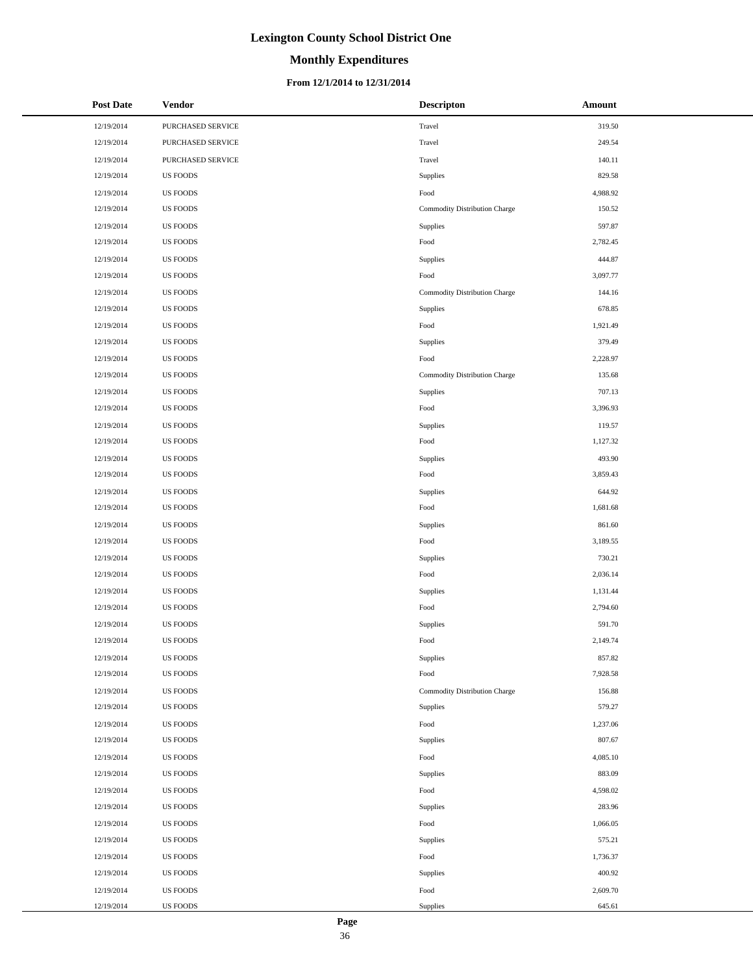# **Monthly Expenditures**

### **From 12/1/2014 to 12/31/2014**

| <b>Post Date</b> | <b>Vendor</b>     | <b>Descripton</b>             | Amount   |
|------------------|-------------------|-------------------------------|----------|
| 12/19/2014       | PURCHASED SERVICE | Travel                        | 319.50   |
| 12/19/2014       | PURCHASED SERVICE | Travel                        | 249.54   |
| 12/19/2014       | PURCHASED SERVICE | Travel                        | 140.11   |
| 12/19/2014       | <b>US FOODS</b>   | Supplies                      | 829.58   |
| 12/19/2014       | <b>US FOODS</b>   | Food                          | 4,988.92 |
| 12/19/2014       | <b>US FOODS</b>   | Commodity Distribution Charge | 150.52   |
| 12/19/2014       | <b>US FOODS</b>   | Supplies                      | 597.87   |
| 12/19/2014       | <b>US FOODS</b>   | Food                          | 2,782.45 |
| 12/19/2014       | <b>US FOODS</b>   | Supplies                      | 444.87   |
| 12/19/2014       | <b>US FOODS</b>   | Food                          | 3,097.77 |
| 12/19/2014       | <b>US FOODS</b>   | Commodity Distribution Charge | 144.16   |
| 12/19/2014       | <b>US FOODS</b>   | Supplies                      | 678.85   |
| 12/19/2014       | <b>US FOODS</b>   | Food                          | 1,921.49 |
| 12/19/2014       | <b>US FOODS</b>   | Supplies                      | 379.49   |
| 12/19/2014       | <b>US FOODS</b>   | Food                          | 2,228.97 |
| 12/19/2014       | <b>US FOODS</b>   | Commodity Distribution Charge | 135.68   |
| 12/19/2014       | <b>US FOODS</b>   | Supplies                      | 707.13   |
| 12/19/2014       | <b>US FOODS</b>   | Food                          | 3,396.93 |
| 12/19/2014       | <b>US FOODS</b>   | Supplies                      | 119.57   |
| 12/19/2014       | <b>US FOODS</b>   | Food                          | 1,127.32 |
| 12/19/2014       | <b>US FOODS</b>   | Supplies                      | 493.90   |
| 12/19/2014       | <b>US FOODS</b>   | Food                          | 3,859.43 |
| 12/19/2014       | <b>US FOODS</b>   | Supplies                      | 644.92   |
| 12/19/2014       | <b>US FOODS</b>   | $\operatorname*{Food}$        | 1,681.68 |
| 12/19/2014       | <b>US FOODS</b>   | Supplies                      | 861.60   |
| 12/19/2014       | <b>US FOODS</b>   | Food                          | 3,189.55 |
| 12/19/2014       | <b>US FOODS</b>   | Supplies                      | 730.21   |
| 12/19/2014       | <b>US FOODS</b>   | Food                          | 2,036.14 |
| 12/19/2014       | <b>US FOODS</b>   | Supplies                      | 1,131.44 |
| 12/19/2014       | <b>US FOODS</b>   | Food                          | 2,794.60 |
| 12/19/2014       | <b>US FOODS</b>   | Supplies                      | 591.70   |
| 12/19/2014       | <b>US FOODS</b>   | Food                          | 2,149.74 |
| 12/19/2014       | <b>US FOODS</b>   | Supplies                      | 857.82   |
| 12/19/2014       | <b>US FOODS</b>   | Food                          | 7,928.58 |
| 12/19/2014       | US FOODS          | Commodity Distribution Charge | 156.88   |
| 12/19/2014       | <b>US FOODS</b>   | Supplies                      | 579.27   |
| 12/19/2014       | <b>US FOODS</b>   | Food                          | 1,237.06 |
| 12/19/2014       | <b>US FOODS</b>   | Supplies                      | 807.67   |
| 12/19/2014       | <b>US FOODS</b>   | Food                          | 4,085.10 |
| 12/19/2014       | <b>US FOODS</b>   | Supplies                      | 883.09   |
| 12/19/2014       | <b>US FOODS</b>   | Food                          | 4,598.02 |
| 12/19/2014       | <b>US FOODS</b>   | Supplies                      | 283.96   |
| 12/19/2014       | US FOODS          | Food                          | 1,066.05 |
| 12/19/2014       | <b>US FOODS</b>   | Supplies                      | 575.21   |
| 12/19/2014       | <b>US FOODS</b>   | Food                          | 1,736.37 |
| 12/19/2014       | <b>US FOODS</b>   | Supplies                      | 400.92   |
| 12/19/2014       | <b>US FOODS</b>   | Food                          | 2,609.70 |
| 12/19/2014       | <b>US FOODS</b>   | Supplies                      | 645.61   |